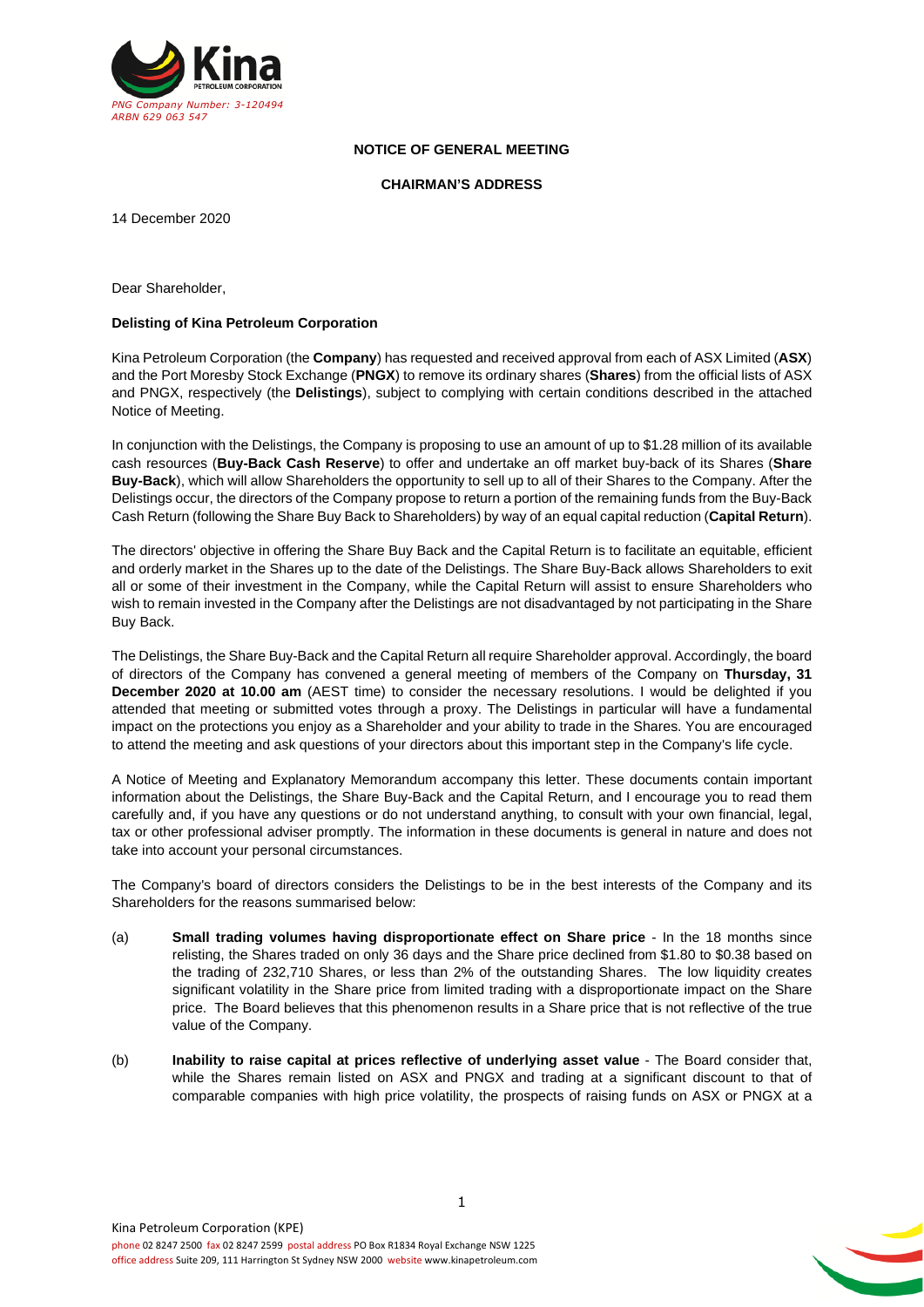

# **NOTICE OF GENERAL MEETING**

#### **CHAIRMAN'S ADDRESS**

14 December 2020

Dear Shareholder,

#### **Delisting of Kina Petroleum Corporation**

Kina Petroleum Corporation (the **Company**) has requested and received approval from each of ASX Limited (**ASX**) and the Port Moresby Stock Exchange (**PNGX**) to remove its ordinary shares (**Shares**) from the official lists of ASX and PNGX, respectively (the **Delistings**), subject to complying with certain conditions described in the attached Notice of Meeting.

In conjunction with the Delistings, the Company is proposing to use an amount of up to \$1.28 million of its available cash resources (**Buy-Back Cash Reserve**) to offer and undertake an off market buy-back of its Shares (**Share Buy-Back**), which will allow Shareholders the opportunity to sell up to all of their Shares to the Company. After the Delistings occur, the directors of the Company propose to return a portion of the remaining funds from the Buy-Back Cash Return (following the Share Buy Back to Shareholders) by way of an equal capital reduction (**Capital Return**).

The directors' objective in offering the Share Buy Back and the Capital Return is to facilitate an equitable, efficient and orderly market in the Shares up to the date of the Delistings. The Share Buy-Back allows Shareholders to exit all or some of their investment in the Company, while the Capital Return will assist to ensure Shareholders who wish to remain invested in the Company after the Delistings are not disadvantaged by not participating in the Share Buy Back.

The Delistings, the Share Buy-Back and the Capital Return all require Shareholder approval. Accordingly, the board of directors of the Company has convened a general meeting of members of the Company on **Thursday, 31 December 2020 at 10.00 am** (AEST time) to consider the necessary resolutions. I would be delighted if you attended that meeting or submitted votes through a proxy. The Delistings in particular will have a fundamental impact on the protections you enjoy as a Shareholder and your ability to trade in the Shares. You are encouraged to attend the meeting and ask questions of your directors about this important step in the Company's life cycle.

A Notice of Meeting and Explanatory Memorandum accompany this letter. These documents contain important information about the Delistings, the Share Buy-Back and the Capital Return, and I encourage you to read them carefully and, if you have any questions or do not understand anything, to consult with your own financial, legal, tax or other professional adviser promptly. The information in these documents is general in nature and does not take into account your personal circumstances.

The Company's board of directors considers the Delistings to be in the best interests of the Company and its Shareholders for the reasons summarised below:

- (a) **Small trading volumes having disproportionate effect on Share price** In the 18 months since relisting, the Shares traded on only 36 days and the Share price declined from \$1.80 to \$0.38 based on the trading of 232,710 Shares, or less than 2% of the outstanding Shares. The low liquidity creates significant volatility in the Share price from limited trading with a disproportionate impact on the Share price. The Board believes that this phenomenon results in a Share price that is not reflective of the true value of the Company.
- (b) **Inability to raise capital at prices reflective of underlying asset value** The Board consider that, while the Shares remain listed on ASX and PNGX and trading at a significant discount to that of comparable companies with high price volatility, the prospects of raising funds on ASX or PNGX at a

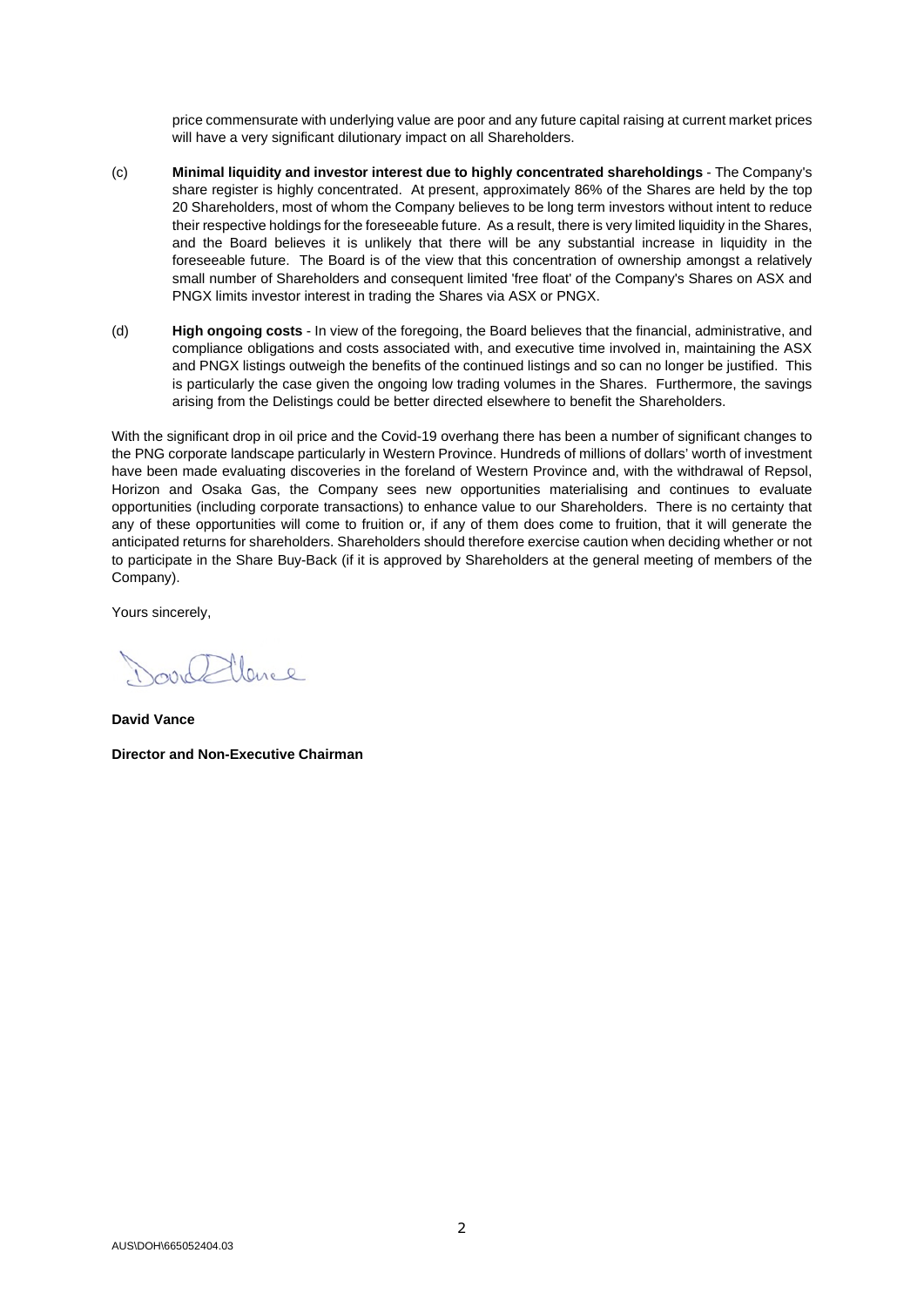price commensurate with underlying value are poor and any future capital raising at current market prices will have a very significant dilutionary impact on all Shareholders.

- (c) **Minimal liquidity and investor interest due to highly concentrated shareholdings** The Company's share register is highly concentrated. At present, approximately 86% of the Shares are held by the top 20 Shareholders, most of whom the Company believes to be long term investors without intent to reduce their respective holdings for the foreseeable future. As a result, there is very limited liquidity in the Shares, and the Board believes it is unlikely that there will be any substantial increase in liquidity in the foreseeable future. The Board is of the view that this concentration of ownership amongst a relatively small number of Shareholders and consequent limited 'free float' of the Company's Shares on ASX and PNGX limits investor interest in trading the Shares via ASX or PNGX.
- (d) **High ongoing costs** In view of the foregoing, the Board believes that the financial, administrative, and compliance obligations and costs associated with, and executive time involved in, maintaining the ASX and PNGX listings outweigh the benefits of the continued listings and so can no longer be justified. This is particularly the case given the ongoing low trading volumes in the Shares. Furthermore, the savings arising from the Delistings could be better directed elsewhere to benefit the Shareholders.

With the significant drop in oil price and the Covid-19 overhang there has been a number of significant changes to the PNG corporate landscape particularly in Western Province. Hundreds of millions of dollars' worth of investment have been made evaluating discoveries in the foreland of Western Province and, with the withdrawal of Repsol, Horizon and Osaka Gas, the Company sees new opportunities materialising and continues to evaluate opportunities (including corporate transactions) to enhance value to our Shareholders. There is no certainty that any of these opportunities will come to fruition or, if any of them does come to fruition, that it will generate the anticipated returns for shareholders. Shareholders should therefore exercise caution when deciding whether or not to participate in the Share Buy-Back (if it is approved by Shareholders at the general meeting of members of the Company).

Yours sincerely,

llares

**David Vance Director and Non-Executive Chairman**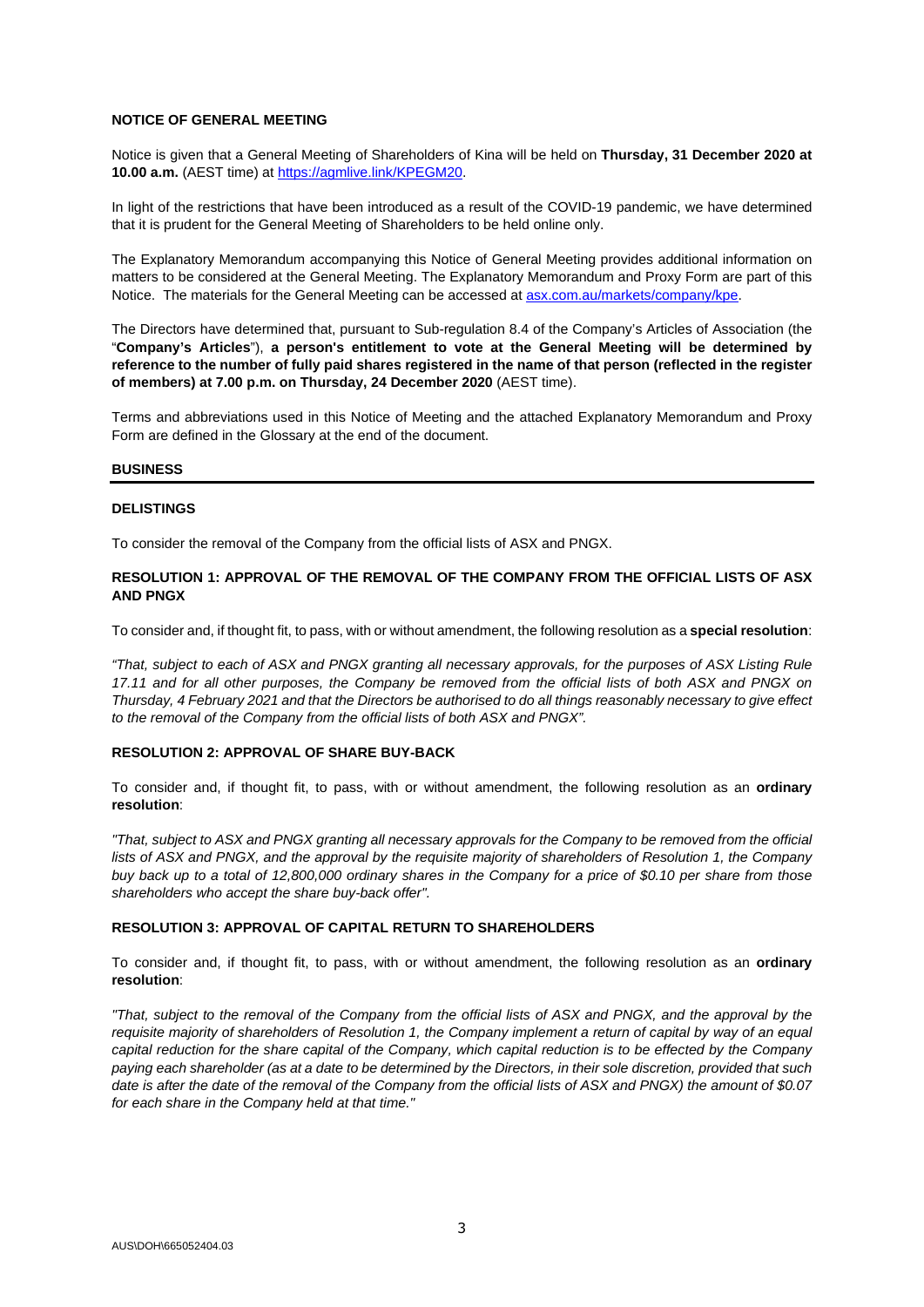#### **NOTICE OF GENERAL MEETING**

Notice is given that a General Meeting of Shareholders of Kina will be held on **Thursday, 31 December 2020 at 10.00 a.m.** (AEST time) at [https://agmlive.link/KPEGM20.](https://protect-eu.mimecast.com/s/4JOICKO1JclBEnmsMNTlf)

In light of the restrictions that have been introduced as a result of the COVID-19 pandemic, we have determined that it is prudent for the General Meeting of Shareholders to be held online only.

The Explanatory Memorandum accompanying this Notice of General Meeting provides additional information on matters to be considered at the General Meeting. The Explanatory Memorandum and Proxy Form are part of this Notice. The materials for the General Meeting can be accessed at **asx.com.au/markets/company/kpe.** 

The Directors have determined that, pursuant to Sub-regulation 8.4 of the Company's Articles of Association (the "**Company's Articles**"), **a person's entitlement to vote at the General Meeting will be determined by reference to the number of fully paid shares registered in the name of that person (reflected in the register of members) at 7.00 p.m. on Thursday, 24 December 2020** (AEST time).

Terms and abbreviations used in this Notice of Meeting and the attached Explanatory Memorandum and Proxy Form are defined in the Glossary at the end of the document.

#### **BUSINESS**

#### **DELISTINGS**

To consider the removal of the Company from the official lists of ASX and PNGX.

#### **RESOLUTION 1: APPROVAL OF THE REMOVAL OF THE COMPANY FROM THE OFFICIAL LISTS OF ASX AND PNGX**

To consider and, if thought fit, to pass, with or without amendment, the following resolution as a **special resolution**:

*"That, subject to each of ASX and PNGX granting all necessary approvals, for the purposes of ASX Listing Rule 17.11 and for all other purposes, the Company be removed from the official lists of both ASX and PNGX on Thursday, 4 February 2021 and that the Directors be authorised to do all things reasonably necessary to give effect to the removal of the Company from the official lists of both ASX and PNGX".* 

#### **RESOLUTION 2: APPROVAL OF SHARE BUY-BACK**

To consider and, if thought fit, to pass, with or without amendment, the following resolution as an **ordinary resolution**:

*"That, subject to ASX and PNGX granting all necessary approvals for the Company to be removed from the official lists of ASX and PNGX, and the approval by the requisite majority of shareholders of Resolution 1, the Company buy back up to a total of 12,800,000 ordinary shares in the Company for a price of \$0.10 per share from those shareholders who accept the share buy-back offer".* 

#### **RESOLUTION 3: APPROVAL OF CAPITAL RETURN TO SHAREHOLDERS**

To consider and, if thought fit, to pass, with or without amendment, the following resolution as an **ordinary resolution**:

*"That, subject to the removal of the Company from the official lists of ASX and PNGX, and the approval by the requisite majority of shareholders of Resolution 1, the Company implement a return of capital by way of an equal capital reduction for the share capital of the Company, which capital reduction is to be effected by the Company paying each shareholder (as at a date to be determined by the Directors, in their sole discretion, provided that such date is after the date of the removal of the Company from the official lists of ASX and PNGX) the amount of \$0.07 for each share in the Company held at that time."*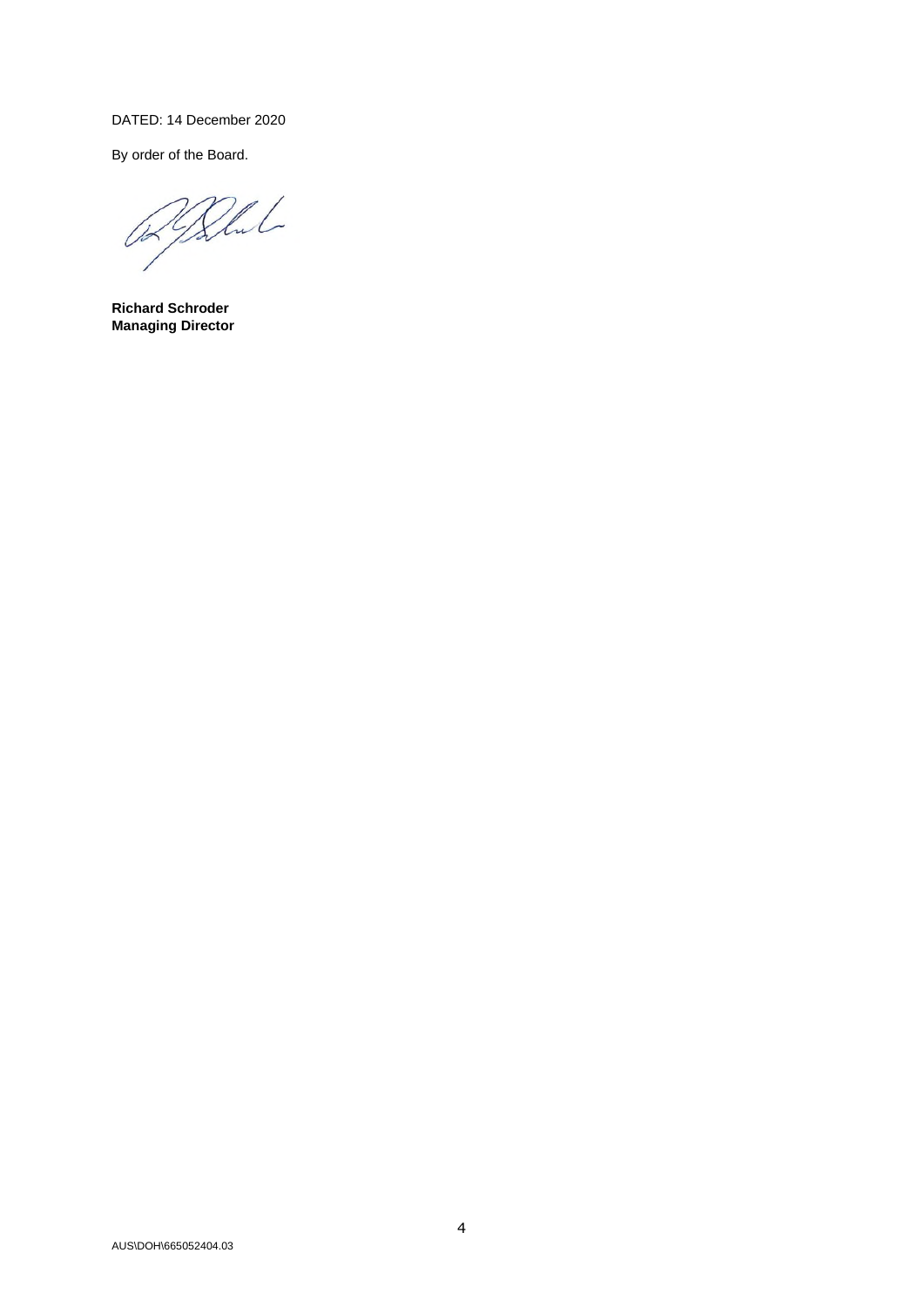# DATED: 14 December 2020

By order of the Board.

Blut 024

**Richard Schroder Managing Director**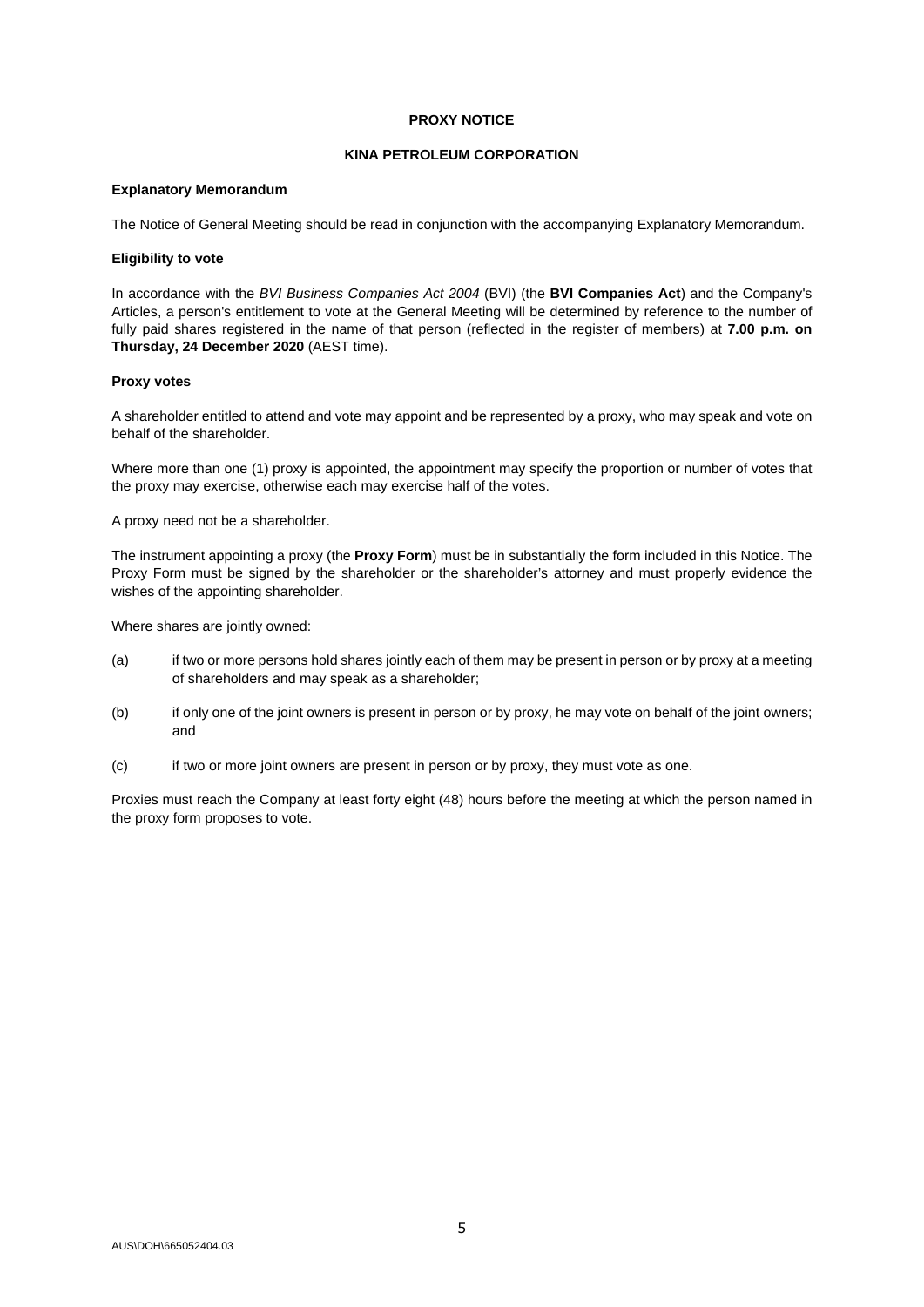#### **PROXY NOTICE**

#### **KINA PETROLEUM CORPORATION**

#### **Explanatory Memorandum**

The Notice of General Meeting should be read in conjunction with the accompanying Explanatory Memorandum.

#### **Eligibility to vote**

In accordance with the *BVI Business Companies Act 2004* (BVI) (the **BVI Companies Act**) and the Company's Articles, a person's entitlement to vote at the General Meeting will be determined by reference to the number of fully paid shares registered in the name of that person (reflected in the register of members) at **7.00 p.m. on Thursday, 24 December 2020** (AEST time).

#### **Proxy votes**

A shareholder entitled to attend and vote may appoint and be represented by a proxy, who may speak and vote on behalf of the shareholder.

Where more than one (1) proxy is appointed, the appointment may specify the proportion or number of votes that the proxy may exercise, otherwise each may exercise half of the votes.

A proxy need not be a shareholder.

The instrument appointing a proxy (the **Proxy Form**) must be in substantially the form included in this Notice. The Proxy Form must be signed by the shareholder or the shareholder's attorney and must properly evidence the wishes of the appointing shareholder.

Where shares are jointly owned:

- (a) if two or more persons hold shares jointly each of them may be present in person or by proxy at a meeting of shareholders and may speak as a shareholder;
- (b) if only one of the joint owners is present in person or by proxy, he may vote on behalf of the joint owners; and
- (c) if two or more joint owners are present in person or by proxy, they must vote as one.

Proxies must reach the Company at least forty eight (48) hours before the meeting at which the person named in the proxy form proposes to vote.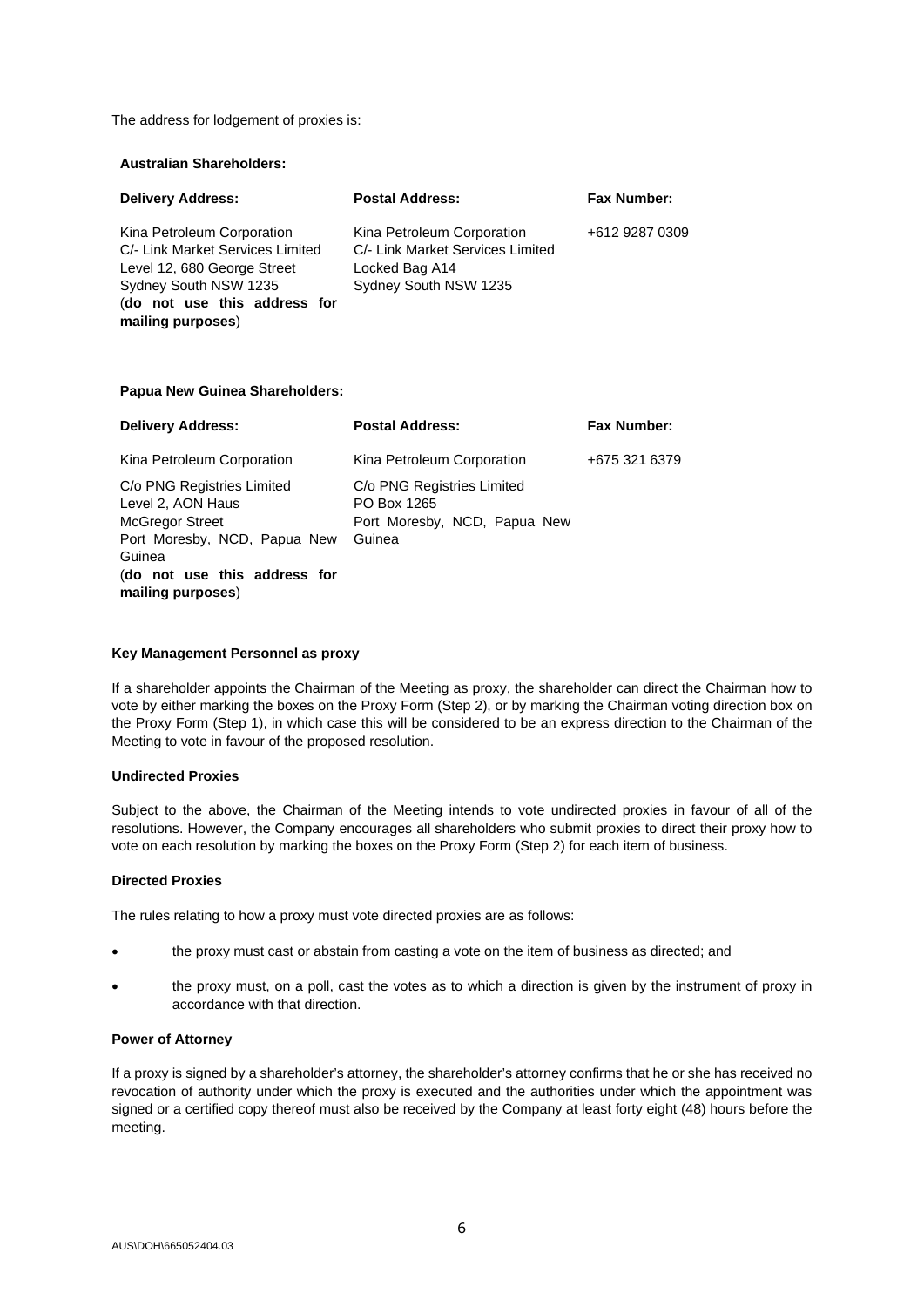The address for lodgement of proxies is:

# **Australian Shareholders:**

| <b>Delivery Address:</b>                                                                                                                                                    | <b>Postal Address:</b>                                                                                    | <b>Fax Number:</b> |
|-----------------------------------------------------------------------------------------------------------------------------------------------------------------------------|-----------------------------------------------------------------------------------------------------------|--------------------|
| Kina Petroleum Corporation<br>C/- Link Market Services Limited<br>Level 12, 680 George Street<br>Sydney South NSW 1235<br>(do not use this address for<br>mailing purposes) | Kina Petroleum Corporation<br>C/- Link Market Services Limited<br>Locked Bag A14<br>Sydney South NSW 1235 | +612 9287 0309     |

#### **Papua New Guinea Shareholders:**

| <b>Delivery Address:</b>                                                                                            | <b>Postal Address:</b>                                                              | <b>Fax Number:</b> |
|---------------------------------------------------------------------------------------------------------------------|-------------------------------------------------------------------------------------|--------------------|
| Kina Petroleum Corporation                                                                                          | Kina Petroleum Corporation                                                          | +675 321 6379      |
| C/o PNG Registries Limited<br>Level 2, AON Haus<br><b>McGregor Street</b><br>Port Moresby, NCD, Papua New<br>Guinea | C/o PNG Registries Limited<br>PO Box 1265<br>Port Moresby, NCD, Papua New<br>Guinea |                    |
| (do not use this address for<br>mailing purposes)                                                                   |                                                                                     |                    |

#### **Key Management Personnel as proxy**

If a shareholder appoints the Chairman of the Meeting as proxy, the shareholder can direct the Chairman how to vote by either marking the boxes on the Proxy Form (Step 2), or by marking the Chairman voting direction box on the Proxy Form (Step 1), in which case this will be considered to be an express direction to the Chairman of the Meeting to vote in favour of the proposed resolution.

#### **Undirected Proxies**

Subject to the above, the Chairman of the Meeting intends to vote undirected proxies in favour of all of the resolutions. However, the Company encourages all shareholders who submit proxies to direct their proxy how to vote on each resolution by marking the boxes on the Proxy Form (Step 2) for each item of business.

#### **Directed Proxies**

The rules relating to how a proxy must vote directed proxies are as follows:

- the proxy must cast or abstain from casting a vote on the item of business as directed; and
- the proxy must, on a poll, cast the votes as to which a direction is given by the instrument of proxy in accordance with that direction.

#### **Power of Attorney**

If a proxy is signed by a shareholder's attorney, the shareholder's attorney confirms that he or she has received no revocation of authority under which the proxy is executed and the authorities under which the appointment was signed or a certified copy thereof must also be received by the Company at least forty eight (48) hours before the meeting.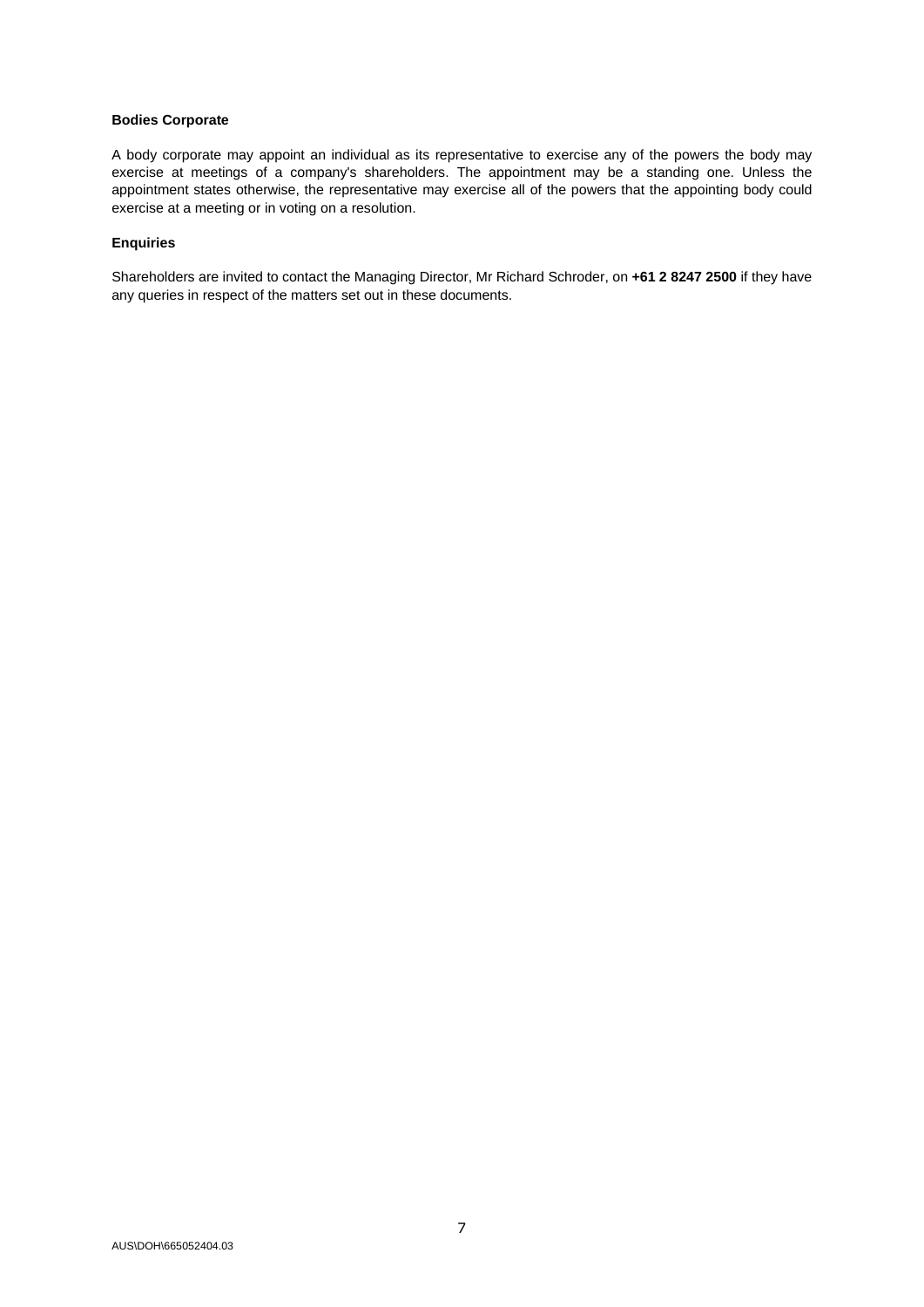#### **Bodies Corporate**

A body corporate may appoint an individual as its representative to exercise any of the powers the body may exercise at meetings of a company's shareholders. The appointment may be a standing one. Unless the appointment states otherwise, the representative may exercise all of the powers that the appointing body could exercise at a meeting or in voting on a resolution.

#### **Enquiries**

Shareholders are invited to contact the Managing Director, Mr Richard Schroder, on **+61 2 8247 2500** if they have any queries in respect of the matters set out in these documents.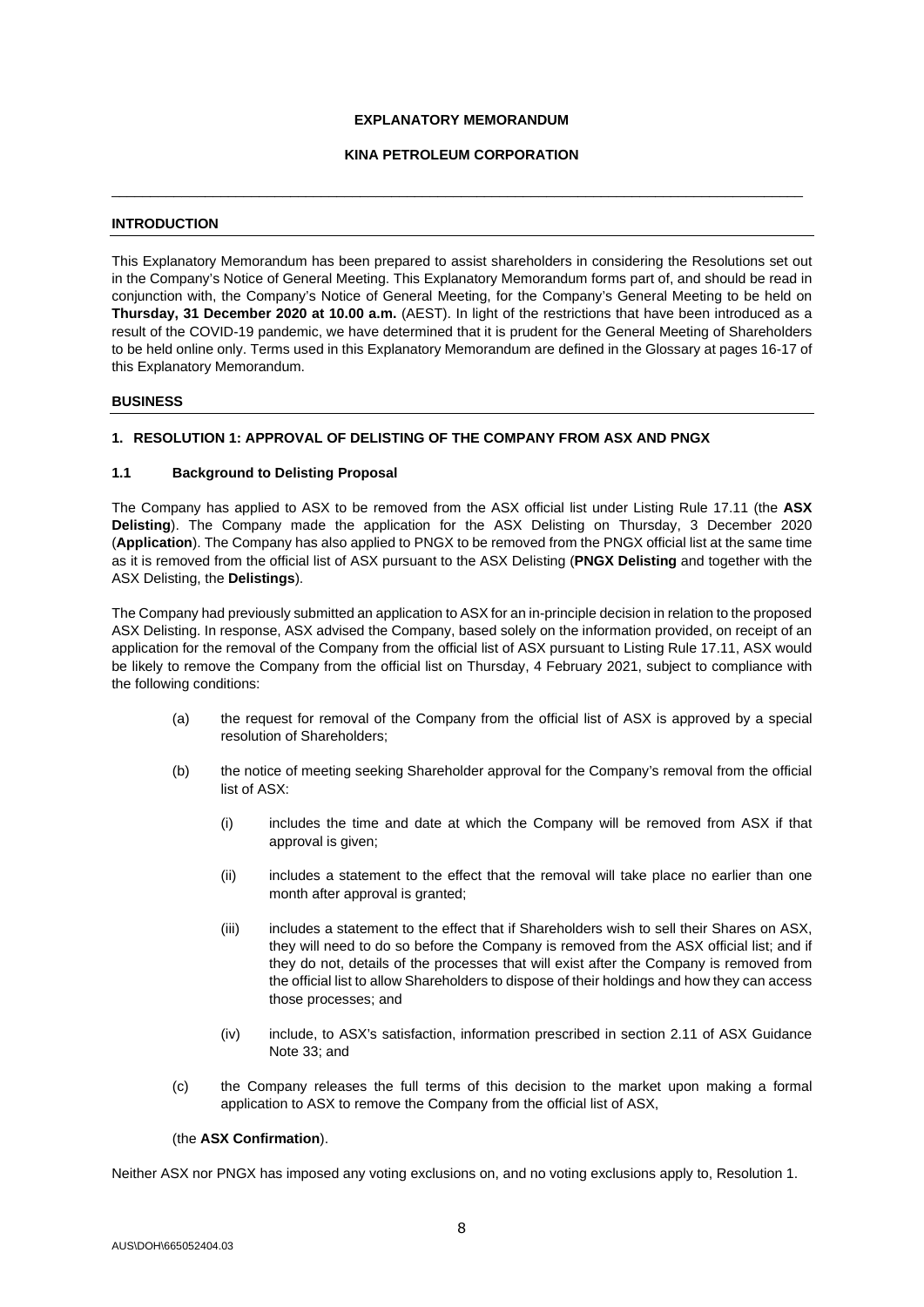#### **EXPLANATORY MEMORANDUM**

#### **KINA PETROLEUM CORPORATION**

\_\_\_\_\_\_\_\_\_\_\_\_\_\_\_\_\_\_\_\_\_\_\_\_\_\_\_\_\_\_\_\_\_\_\_\_\_\_\_\_\_\_\_\_\_\_\_\_\_\_\_\_\_\_\_\_\_\_\_\_\_\_\_\_\_\_\_\_\_\_\_\_\_\_\_\_\_\_\_\_\_\_\_\_\_\_\_\_\_

#### **INTRODUCTION**

This Explanatory Memorandum has been prepared to assist shareholders in considering the Resolutions set out in the Company's Notice of General Meeting. This Explanatory Memorandum forms part of, and should be read in conjunction with, the Company's Notice of General Meeting, for the Company's General Meeting to be held on **Thursday, 31 December 2020 at 10.00 a.m.** (AEST). In light of the restrictions that have been introduced as a result of the COVID-19 pandemic, we have determined that it is prudent for the General Meeting of Shareholders to be held online only. Terms used in this Explanatory Memorandum are defined in the Glossary at pages 16-17 of this Explanatory Memorandum.

#### **BUSINESS**

#### **1. RESOLUTION 1: APPROVAL OF DELISTING OF THE COMPANY FROM ASX AND PNGX**

#### **1.1 Background to Delisting Proposal**

The Company has applied to ASX to be removed from the ASX official list under Listing Rule 17.11 (the **ASX Delisting**). The Company made the application for the ASX Delisting on Thursday, 3 December 2020 (**Application**). The Company has also applied to PNGX to be removed from the PNGX official list at the same time as it is removed from the official list of ASX pursuant to the ASX Delisting (**PNGX Delisting** and together with the ASX Delisting, the **Delistings**).

The Company had previously submitted an application to ASX for an in-principle decision in relation to the proposed ASX Delisting. In response, ASX advised the Company, based solely on the information provided, on receipt of an application for the removal of the Company from the official list of ASX pursuant to Listing Rule 17.11, ASX would be likely to remove the Company from the official list on Thursday, 4 February 2021, subject to compliance with the following conditions:

- (a) the request for removal of the Company from the official list of ASX is approved by a special resolution of Shareholders;
- (b) the notice of meeting seeking Shareholder approval for the Company's removal from the official list of ASX:
	- (i) includes the time and date at which the Company will be removed from ASX if that approval is given;
	- (ii) includes a statement to the effect that the removal will take place no earlier than one month after approval is granted;
	- (iii) includes a statement to the effect that if Shareholders wish to sell their Shares on ASX, they will need to do so before the Company is removed from the ASX official list; and if they do not, details of the processes that will exist after the Company is removed from the official list to allow Shareholders to dispose of their holdings and how they can access those processes; and
	- (iv) include, to ASX's satisfaction, information prescribed in section 2.11 of ASX Guidance Note 33; and
- (c) the Company releases the full terms of this decision to the market upon making a formal application to ASX to remove the Company from the official list of ASX,

#### (the **ASX Confirmation**).

Neither ASX nor PNGX has imposed any voting exclusions on, and no voting exclusions apply to, Resolution 1.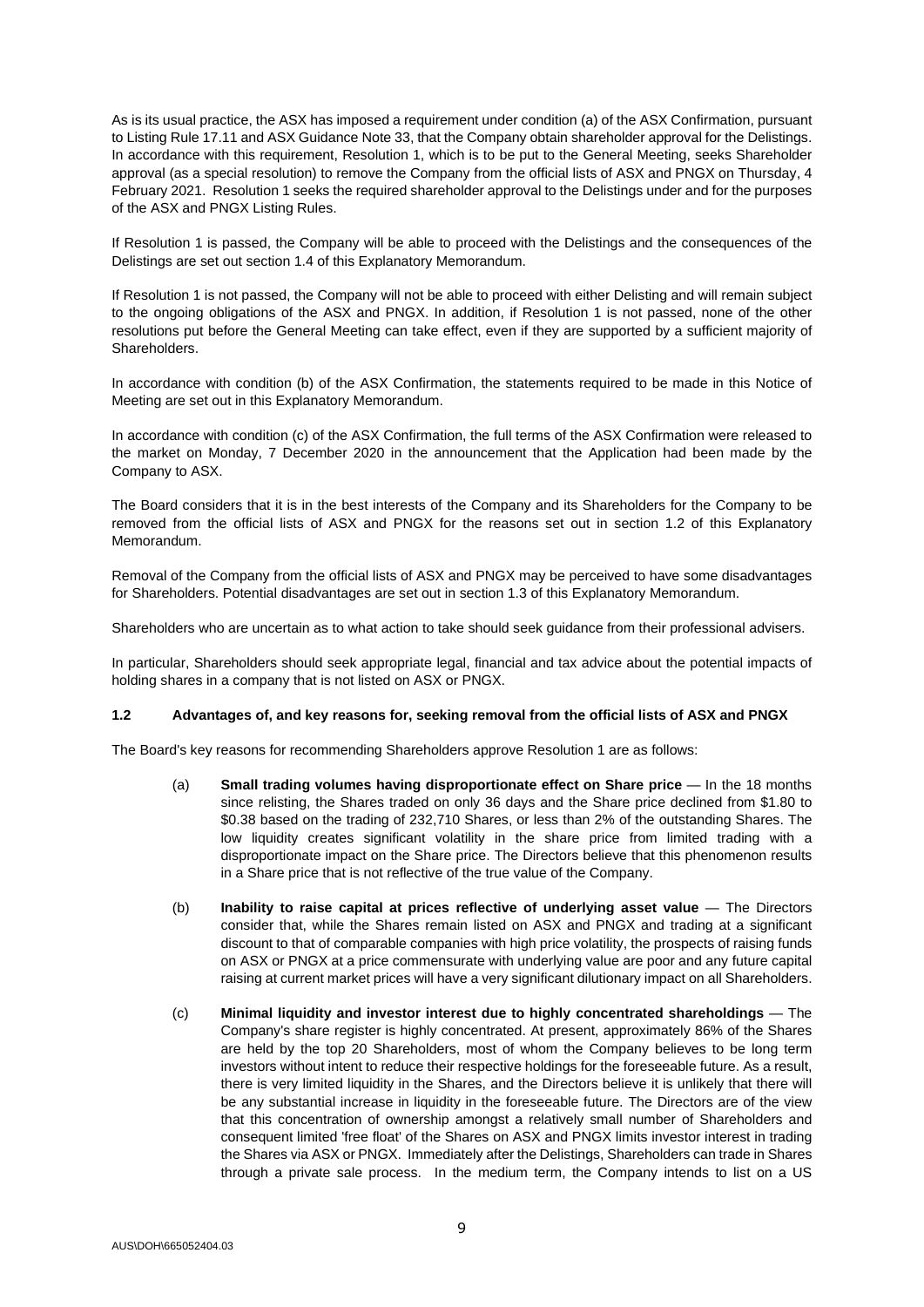As is its usual practice, the ASX has imposed a requirement under condition (a) of the ASX Confirmation, pursuant to Listing Rule 17.11 and ASX Guidance Note 33, that the Company obtain shareholder approval for the Delistings. In accordance with this requirement, Resolution 1, which is to be put to the General Meeting, seeks Shareholder approval (as a special resolution) to remove the Company from the official lists of ASX and PNGX on Thursday, 4 February 2021. Resolution 1 seeks the required shareholder approval to the Delistings under and for the purposes of the ASX and PNGX Listing Rules.

If Resolution 1 is passed, the Company will be able to proceed with the Delistings and the consequences of the Delistings are set out sectio[n 1.4](#page-10-0) of this Explanatory Memorandum.

If Resolution 1 is not passed, the Company will not be able to proceed with either Delisting and will remain subject to the ongoing obligations of the ASX and PNGX. In addition, if Resolution 1 is not passed, none of the other resolutions put before the General Meeting can take effect, even if they are supported by a sufficient majority of Shareholders.

In accordance with condition (b) of the ASX Confirmation, the statements required to be made in this Notice of Meeting are set out in this Explanatory Memorandum.

In accordance with condition (c) of the ASX Confirmation, the full terms of the ASX Confirmation were released to the market on Monday, 7 December 2020 in the announcement that the Application had been made by the Company to ASX.

The Board considers that it is in the best interests of the Company and its Shareholders for the Company to be removed from the official lists of ASX and PNGX for the reasons set out in section [1.2](#page-8-0) of this Explanatory Memorandum.

Removal of the Company from the official lists of ASX and PNGX may be perceived to have some disadvantages for Shareholders. Potential disadvantages are set out in section [1.3](#page-9-0) of this Explanatory Memorandum.

Shareholders who are uncertain as to what action to take should seek guidance from their professional advisers.

In particular, Shareholders should seek appropriate legal, financial and tax advice about the potential impacts of holding shares in a company that is not listed on ASX or PNGX.

#### <span id="page-8-0"></span>**1.2 Advantages of, and key reasons for, seeking removal from the official lists of ASX and PNGX**

The Board's key reasons for recommending Shareholders approve Resolution 1 are as follows:

- (a) **Small trading volumes having disproportionate effect on Share price** In the 18 months since relisting, the Shares traded on only 36 days and the Share price declined from \$1.80 to \$0.38 based on the trading of 232,710 Shares, or less than 2% of the outstanding Shares. The low liquidity creates significant volatility in the share price from limited trading with a disproportionate impact on the Share price. The Directors believe that this phenomenon results in a Share price that is not reflective of the true value of the Company.
- (b) **Inability to raise capital at prices reflective of underlying asset value** The Directors consider that, while the Shares remain listed on ASX and PNGX and trading at a significant discount to that of comparable companies with high price volatility, the prospects of raising funds on ASX or PNGX at a price commensurate with underlying value are poor and any future capital raising at current market prices will have a very significant dilutionary impact on all Shareholders.
- (c) **Minimal liquidity and investor interest due to highly concentrated shareholdings** The Company's share register is highly concentrated. At present, approximately 86% of the Shares are held by the top 20 Shareholders, most of whom the Company believes to be long term investors without intent to reduce their respective holdings for the foreseeable future. As a result, there is very limited liquidity in the Shares, and the Directors believe it is unlikely that there will be any substantial increase in liquidity in the foreseeable future. The Directors are of the view that this concentration of ownership amongst a relatively small number of Shareholders and consequent limited 'free float' of the Shares on ASX and PNGX limits investor interest in trading the Shares via ASX or PNGX. Immediately after the Delistings, Shareholders can trade in Shares through a private sale process. In the medium term, the Company intends to list on a US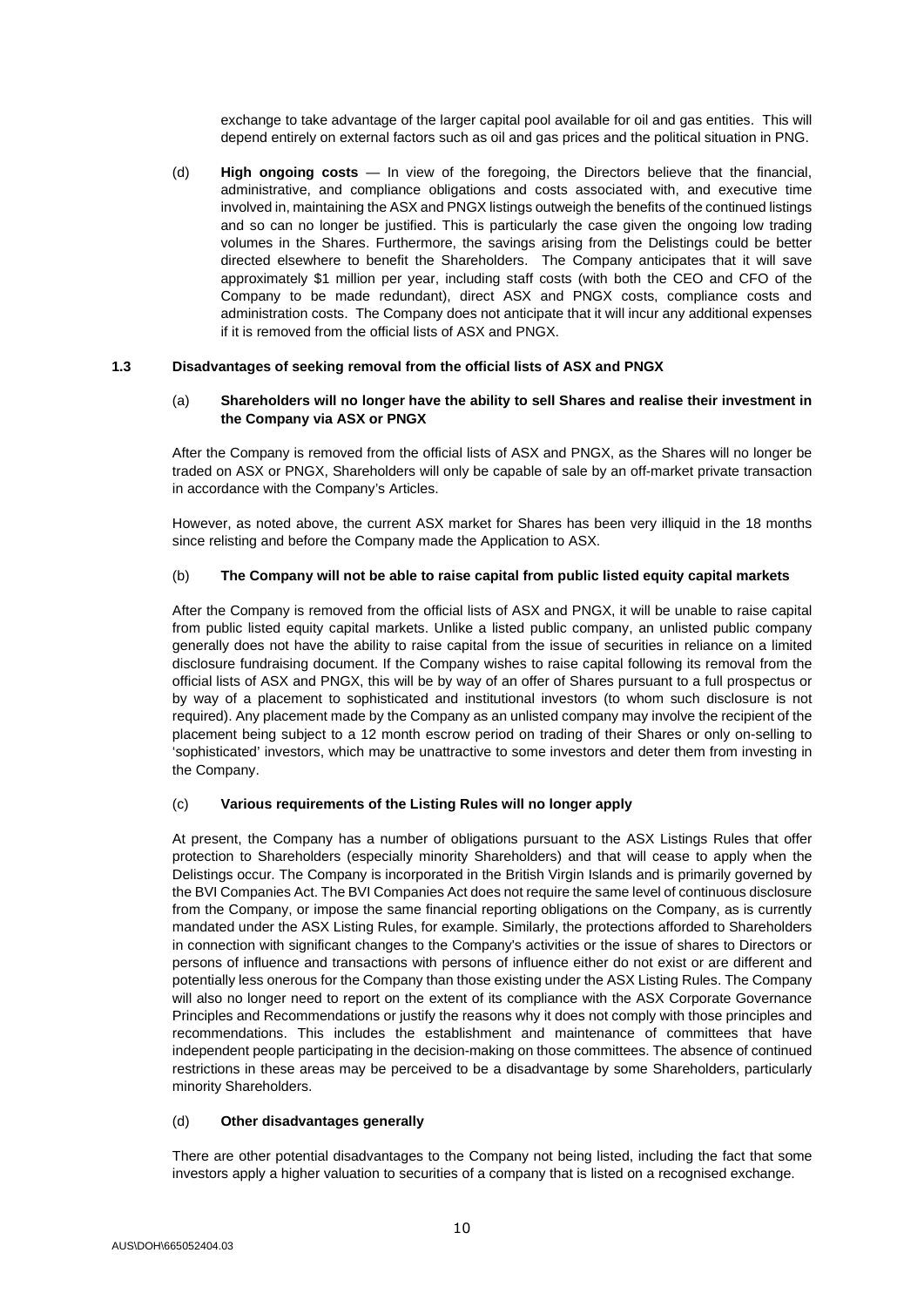exchange to take advantage of the larger capital pool available for oil and gas entities. This will depend entirely on external factors such as oil and gas prices and the political situation in PNG.

(d) **High ongoing costs** — In view of the foregoing, the Directors believe that the financial, administrative, and compliance obligations and costs associated with, and executive time involved in, maintaining the ASX and PNGX listings outweigh the benefits of the continued listings and so can no longer be justified. This is particularly the case given the ongoing low trading volumes in the Shares. Furthermore, the savings arising from the Delistings could be better directed elsewhere to benefit the Shareholders. The Company anticipates that it will save approximately \$1 million per year, including staff costs (with both the CEO and CFO of the Company to be made redundant), direct ASX and PNGX costs, compliance costs and administration costs. The Company does not anticipate that it will incur any additional expenses if it is removed from the official lists of ASX and PNGX.

#### <span id="page-9-0"></span>**1.3 Disadvantages of seeking removal from the official lists of ASX and PNGX**

#### (a) **Shareholders will no longer have the ability to sell Shares and realise their investment in the Company via ASX or PNGX**

After the Company is removed from the official lists of ASX and PNGX, as the Shares will no longer be traded on ASX or PNGX, Shareholders will only be capable of sale by an off-market private transaction in accordance with the Company's Articles.

However, as noted above, the current ASX market for Shares has been very illiquid in the 18 months since relisting and before the Company made the Application to ASX.

#### (b) **The Company will not be able to raise capital from public listed equity capital markets**

After the Company is removed from the official lists of ASX and PNGX, it will be unable to raise capital from public listed equity capital markets. Unlike a listed public company, an unlisted public company generally does not have the ability to raise capital from the issue of securities in reliance on a limited disclosure fundraising document. If the Company wishes to raise capital following its removal from the official lists of ASX and PNGX, this will be by way of an offer of Shares pursuant to a full prospectus or by way of a placement to sophisticated and institutional investors (to whom such disclosure is not required). Any placement made by the Company as an unlisted company may involve the recipient of the placement being subject to a 12 month escrow period on trading of their Shares or only on-selling to 'sophisticated' investors, which may be unattractive to some investors and deter them from investing in the Company.

#### (c) **Various requirements of the Listing Rules will no longer apply**

At present, the Company has a number of obligations pursuant to the ASX Listings Rules that offer protection to Shareholders (especially minority Shareholders) and that will cease to apply when the Delistings occur. The Company is incorporated in the British Virgin Islands and is primarily governed by the BVI Companies Act. The BVI Companies Act does not require the same level of continuous disclosure from the Company, or impose the same financial reporting obligations on the Company, as is currently mandated under the ASX Listing Rules, for example. Similarly, the protections afforded to Shareholders in connection with significant changes to the Company's activities or the issue of shares to Directors or persons of influence and transactions with persons of influence either do not exist or are different and potentially less onerous for the Company than those existing under the ASX Listing Rules. The Company will also no longer need to report on the extent of its compliance with the ASX Corporate Governance Principles and Recommendations or justify the reasons why it does not comply with those principles and recommendations. This includes the establishment and maintenance of committees that have independent people participating in the decision-making on those committees. The absence of continued restrictions in these areas may be perceived to be a disadvantage by some Shareholders, particularly minority Shareholders.

#### (d) **Other disadvantages generally**

There are other potential disadvantages to the Company not being listed, including the fact that some investors apply a higher valuation to securities of a company that is listed on a recognised exchange.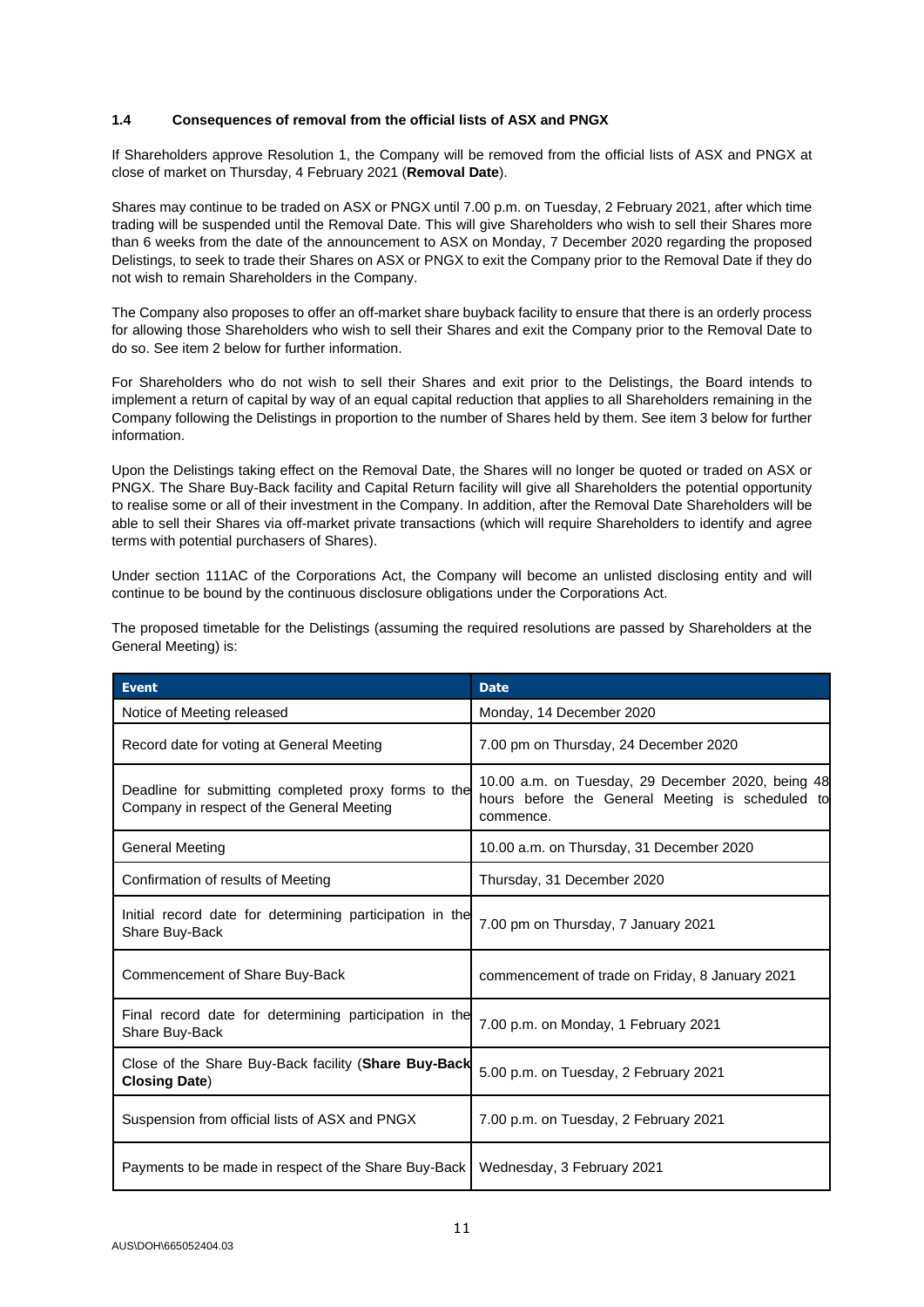#### <span id="page-10-0"></span>**1.4 Consequences of removal from the official lists of ASX and PNGX**

If Shareholders approve Resolution 1, the Company will be removed from the official lists of ASX and PNGX at close of market on Thursday, 4 February 2021 (**Removal Date**).

Shares may continue to be traded on ASX or PNGX until 7.00 p.m. on Tuesday, 2 February 2021, after which time trading will be suspended until the Removal Date. This will give Shareholders who wish to sell their Shares more than 6 weeks from the date of the announcement to ASX on Monday, 7 December 2020 regarding the proposed Delistings, to seek to trade their Shares on ASX or PNGX to exit the Company prior to the Removal Date if they do not wish to remain Shareholders in the Company.

The Company also proposes to offer an off-market share buyback facility to ensure that there is an orderly process for allowing those Shareholders who wish to sell their Shares and exit the Company prior to the Removal Date to do so. See item [2](#page-11-0) below for further information.

For Shareholders who do not wish to sell their Shares and exit prior to the Delistings, the Board intends to implement a return of capital by way of an equal capital reduction that applies to all Shareholders remaining in the Company following the Delistings in proportion to the number of Shares held by them. See item [3](#page-13-0) below for further information.

Upon the Delistings taking effect on the Removal Date, the Shares will no longer be quoted or traded on ASX or PNGX. The Share Buy-Back facility and Capital Return facility will give all Shareholders the potential opportunity to realise some or all of their investment in the Company. In addition, after the Removal Date Shareholders will be able to sell their Shares via off-market private transactions (which will require Shareholders to identify and agree terms with potential purchasers of Shares).

Under section 111AC of the Corporations Act, the Company will become an unlisted disclosing entity and will continue to be bound by the continuous disclosure obligations under the Corporations Act.

| <b>Event</b>                                                                                      | <b>Date</b>                                                                                                        |
|---------------------------------------------------------------------------------------------------|--------------------------------------------------------------------------------------------------------------------|
| Notice of Meeting released                                                                        | Monday, 14 December 2020                                                                                           |
| Record date for voting at General Meeting                                                         | 7.00 pm on Thursday, 24 December 2020                                                                              |
| Deadline for submitting completed proxy forms to the<br>Company in respect of the General Meeting | 10.00 a.m. on Tuesday, 29 December 2020, being 48<br>hours before the General Meeting is scheduled to<br>commence. |
| <b>General Meeting</b>                                                                            | 10.00 a.m. on Thursday, 31 December 2020                                                                           |
| Confirmation of results of Meeting                                                                | Thursday, 31 December 2020                                                                                         |
| Initial record date for determining participation in the<br>Share Buy-Back                        | 7.00 pm on Thursday, 7 January 2021                                                                                |
| Commencement of Share Buy-Back                                                                    | commencement of trade on Friday, 8 January 2021                                                                    |
| Final record date for determining participation in the<br>Share Buy-Back                          | 7.00 p.m. on Monday, 1 February 2021                                                                               |
| Close of the Share Buy-Back facility (Share Buy-Back<br><b>Closing Date)</b>                      | 5.00 p.m. on Tuesday, 2 February 2021                                                                              |
| Suspension from official lists of ASX and PNGX                                                    | 7.00 p.m. on Tuesday, 2 February 2021                                                                              |
| Payments to be made in respect of the Share Buy-Back                                              | Wednesday, 3 February 2021                                                                                         |

The proposed timetable for the Delistings (assuming the required resolutions are passed by Shareholders at the General Meeting) is: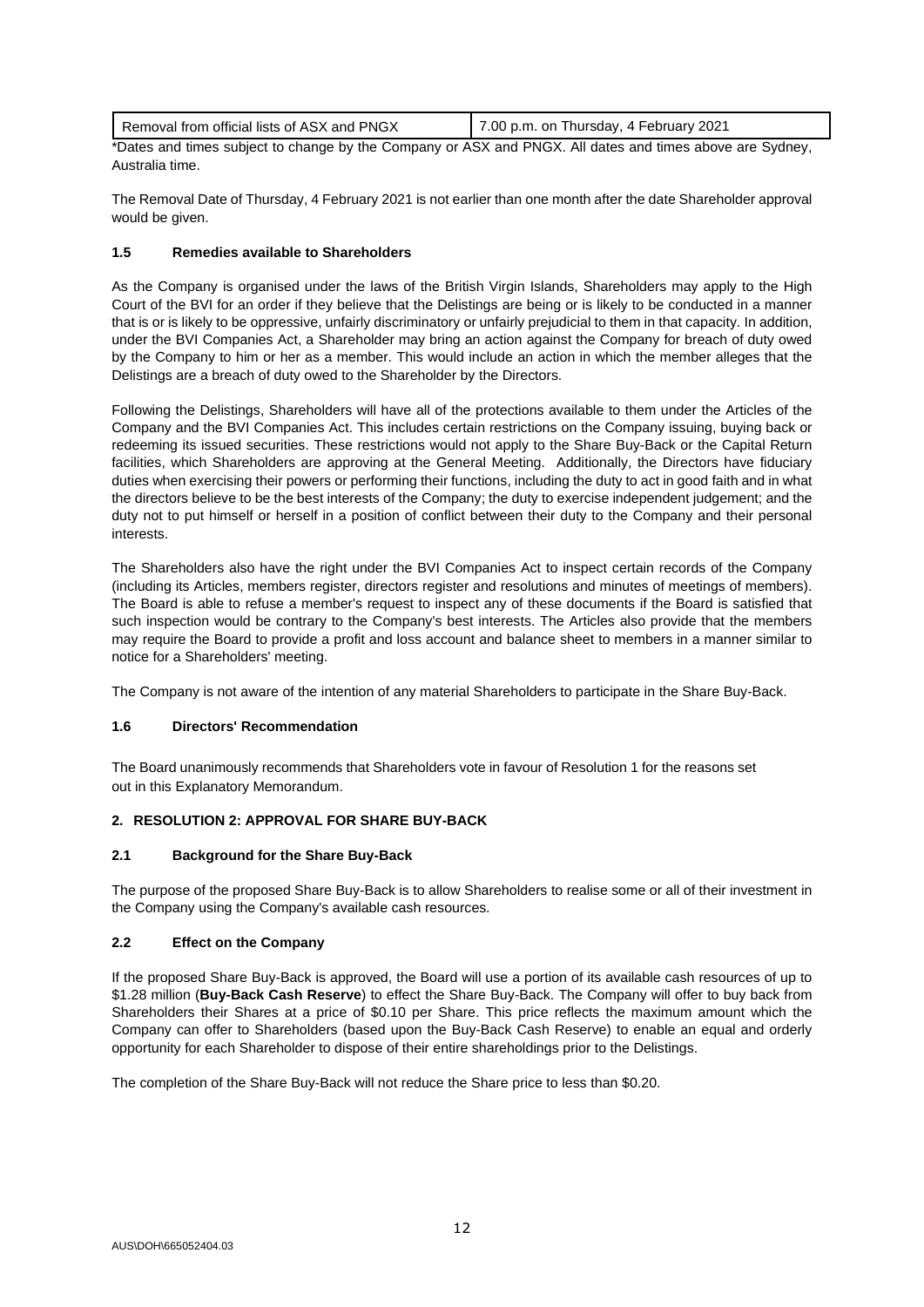| Removal from official lists of ASX and PNGX | 7.00 p.m. on Thursday, 4 February 2021 |
|---------------------------------------------|----------------------------------------|
|                                             |                                        |

\*Dates and times subject to change by the Company or ASX and PNGX. All dates and times above are Sydney, Australia time.

The Removal Date of Thursday, 4 February 2021 is not earlier than one month after the date Shareholder approval would be given.

# **1.5 Remedies available to Shareholders**

As the Company is organised under the laws of the British Virgin Islands, Shareholders may apply to the High Court of the BVI for an order if they believe that the Delistings are being or is likely to be conducted in a manner that is or is likely to be oppressive, unfairly discriminatory or unfairly prejudicial to them in that capacity. In addition, under the BVI Companies Act, a Shareholder may bring an action against the Company for breach of duty owed by the Company to him or her as a member. This would include an action in which the member alleges that the Delistings are a breach of duty owed to the Shareholder by the Directors.

Following the Delistings, Shareholders will have all of the protections available to them under the Articles of the Company and the BVI Companies Act. This includes certain restrictions on the Company issuing, buying back or redeeming its issued securities. These restrictions would not apply to the Share Buy-Back or the Capital Return facilities, which Shareholders are approving at the General Meeting. Additionally, the Directors have fiduciary duties when exercising their powers or performing their functions, including the duty to act in good faith and in what the directors believe to be the best interests of the Company; the duty to exercise independent judgement; and the duty not to put himself or herself in a position of conflict between their duty to the Company and their personal interests.

The Shareholders also have the right under the BVI Companies Act to inspect certain records of the Company (including its Articles, members register, directors register and resolutions and minutes of meetings of members). The Board is able to refuse a member's request to inspect any of these documents if the Board is satisfied that such inspection would be contrary to the Company's best interests. The Articles also provide that the members may require the Board to provide a profit and loss account and balance sheet to members in a manner similar to notice for a Shareholders' meeting.

The Company is not aware of the intention of any material Shareholders to participate in the Share Buy-Back.

# **1.6 Directors' Recommendation**

The Board unanimously recommends that Shareholders vote in favour of Resolution 1 for the reasons set out in this Explanatory Memorandum.

# <span id="page-11-0"></span>**2. RESOLUTION 2: APPROVAL FOR SHARE BUY-BACK**

# **2.1 Background for the Share Buy-Back**

The purpose of the proposed Share Buy-Back is to allow Shareholders to realise some or all of their investment in the Company using the Company's available cash resources.

# **2.2 Effect on the Company**

If the proposed Share Buy-Back is approved, the Board will use a portion of its available cash resources of up to \$1.28 million (**Buy-Back Cash Reserve**) to effect the Share Buy-Back. The Company will offer to buy back from Shareholders their Shares at a price of \$0.10 per Share. This price reflects the maximum amount which the Company can offer to Shareholders (based upon the Buy-Back Cash Reserve) to enable an equal and orderly opportunity for each Shareholder to dispose of their entire shareholdings prior to the Delistings.

The completion of the Share Buy-Back will not reduce the Share price to less than \$0.20.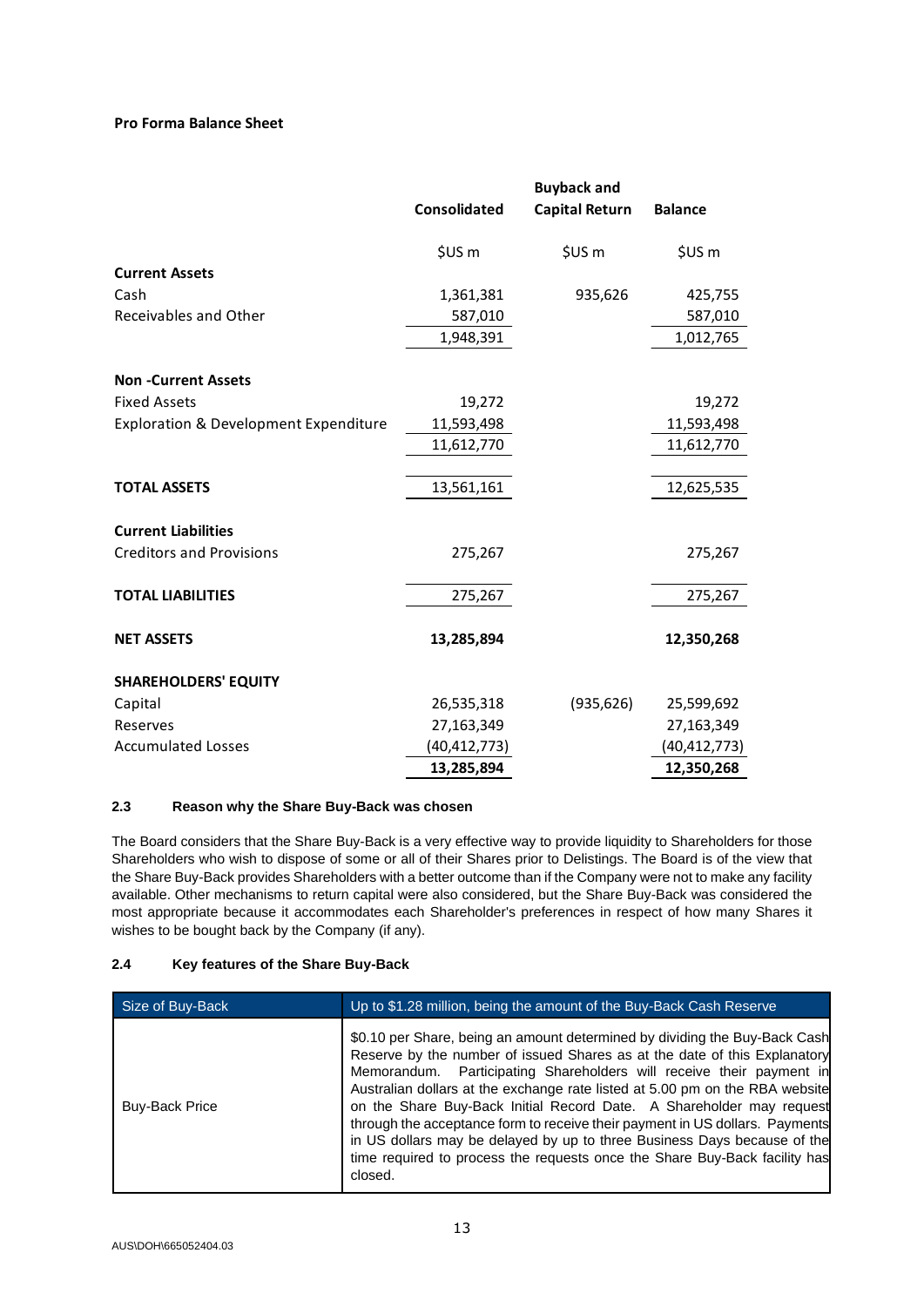# **Pro Forma Balance Sheet**

|                                                  | <b>Consolidated</b> | <b>Buyback and</b><br><b>Capital Return</b> | <b>Balance</b> |
|--------------------------------------------------|---------------------|---------------------------------------------|----------------|
|                                                  | \$US <sub>m</sub>   | \$US <sub>m</sub>                           | \$US m         |
| <b>Current Assets</b>                            |                     |                                             |                |
| Cash                                             | 1,361,381           | 935,626                                     | 425,755        |
| Receivables and Other                            | 587,010             |                                             | 587,010        |
|                                                  | 1,948,391           |                                             | 1,012,765      |
| <b>Non-Current Assets</b>                        |                     |                                             |                |
| <b>Fixed Assets</b>                              | 19,272              |                                             | 19,272         |
| <b>Exploration &amp; Development Expenditure</b> | 11,593,498          |                                             | 11,593,498     |
|                                                  | 11,612,770          |                                             | 11,612,770     |
|                                                  |                     |                                             |                |
| <b>TOTAL ASSETS</b>                              | 13,561,161          |                                             | 12,625,535     |
| <b>Current Liabilities</b>                       |                     |                                             |                |
| <b>Creditors and Provisions</b>                  | 275,267             |                                             | 275,267        |
| <b>TOTAL LIABILITIES</b>                         | 275,267             |                                             | 275,267        |
|                                                  |                     |                                             |                |
| <b>NET ASSETS</b>                                | 13,285,894          |                                             | 12,350,268     |
| <b>SHAREHOLDERS' EQUITY</b>                      |                     |                                             |                |
| Capital                                          | 26,535,318          | (935, 626)                                  | 25,599,692     |
| Reserves                                         | 27,163,349          |                                             | 27,163,349     |
| <b>Accumulated Losses</b>                        | (40,412,773)        |                                             | (40,412,773)   |
|                                                  | 13,285,894          |                                             | 12,350,268     |

# **2.3 Reason why the Share Buy-Back was chosen**

The Board considers that the Share Buy-Back is a very effective way to provide liquidity to Shareholders for those Shareholders who wish to dispose of some or all of their Shares prior to Delistings. The Board is of the view that the Share Buy-Back provides Shareholders with a better outcome than if the Company were not to make any facility available. Other mechanisms to return capital were also considered, but the Share Buy-Back was considered the most appropriate because it accommodates each Shareholder's preferences in respect of how many Shares it wishes to be bought back by the Company (if any).

# **2.4 Key features of the Share Buy-Back**

| Size of Buy-Back      | Up to \$1.28 million, being the amount of the Buy-Back Cash Reserve                                                                                                                                                                                                                                                                                                                                                                                                                                                                                                                                                                          |
|-----------------------|----------------------------------------------------------------------------------------------------------------------------------------------------------------------------------------------------------------------------------------------------------------------------------------------------------------------------------------------------------------------------------------------------------------------------------------------------------------------------------------------------------------------------------------------------------------------------------------------------------------------------------------------|
| <b>Buy-Back Price</b> | \$0.10 per Share, being an amount determined by dividing the Buy-Back Cash<br>Reserve by the number of issued Shares as at the date of this Explanatory<br>Memorandum. Participating Shareholders will receive their payment in<br>Australian dollars at the exchange rate listed at 5.00 pm on the RBA website<br>on the Share Buy-Back Initial Record Date. A Shareholder may request<br>through the acceptance form to receive their payment in US dollars. Payments<br>in US dollars may be delayed by up to three Business Days because of the<br>time required to process the requests once the Share Buy-Back facility has<br>closed. |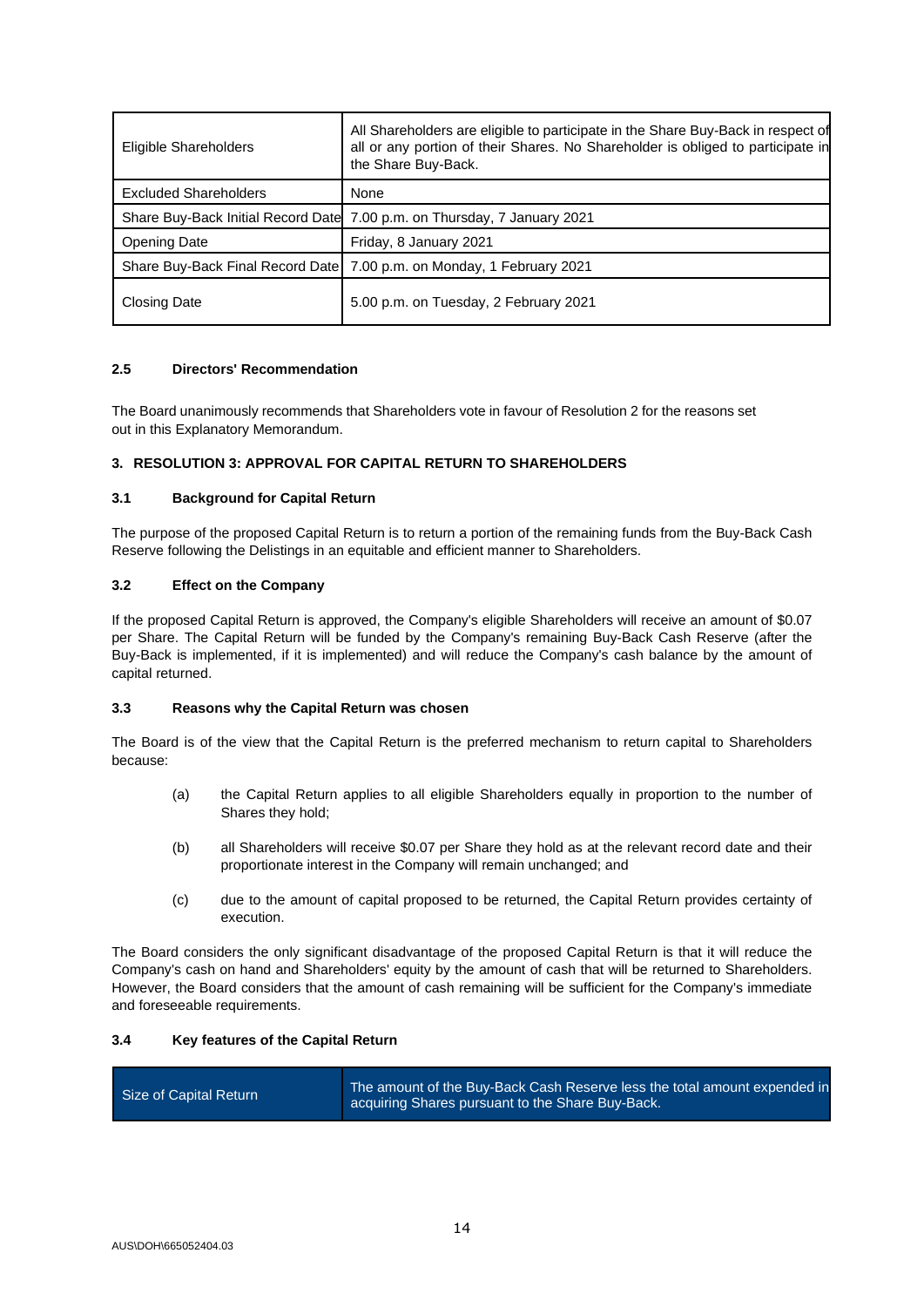| Eligible Shareholders        | All Shareholders are eligible to participate in the Share Buy-Back in respect of<br>all or any portion of their Shares. No Shareholder is obliged to participate in<br>the Share Buy-Back. |
|------------------------------|--------------------------------------------------------------------------------------------------------------------------------------------------------------------------------------------|
| <b>Excluded Shareholders</b> | None                                                                                                                                                                                       |
|                              | Share Buy-Back Initial Record Date 7.00 p.m. on Thursday, 7 January 2021                                                                                                                   |
| Opening Date                 | Friday, 8 January 2021                                                                                                                                                                     |
|                              | Share Buy-Back Final Record Date   7.00 p.m. on Monday, 1 February 2021                                                                                                                    |
| <b>Closing Date</b>          | 5.00 p.m. on Tuesday, 2 February 2021                                                                                                                                                      |

# **2.5 Directors' Recommendation**

The Board unanimously recommends that Shareholders vote in favour of Resolution 2 for the reasons set out in this Explanatory Memorandum.

# <span id="page-13-0"></span>**3. RESOLUTION 3: APPROVAL FOR CAPITAL RETURN TO SHAREHOLDERS**

# **3.1 Background for Capital Return**

The purpose of the proposed Capital Return is to return a portion of the remaining funds from the Buy-Back Cash Reserve following the Delistings in an equitable and efficient manner to Shareholders.

# **3.2 Effect on the Company**

If the proposed Capital Return is approved, the Company's eligible Shareholders will receive an amount of \$0.07 per Share. The Capital Return will be funded by the Company's remaining Buy-Back Cash Reserve (after the Buy-Back is implemented, if it is implemented) and will reduce the Company's cash balance by the amount of capital returned.

# **3.3 Reasons why the Capital Return was chosen**

The Board is of the view that the Capital Return is the preferred mechanism to return capital to Shareholders because:

- (a) the Capital Return applies to all eligible Shareholders equally in proportion to the number of Shares they hold;
- (b) all Shareholders will receive \$0.07 per Share they hold as at the relevant record date and their proportionate interest in the Company will remain unchanged; and
- (c) due to the amount of capital proposed to be returned, the Capital Return provides certainty of execution.

The Board considers the only significant disadvantage of the proposed Capital Return is that it will reduce the Company's cash on hand and Shareholders' equity by the amount of cash that will be returned to Shareholders. However, the Board considers that the amount of cash remaining will be sufficient for the Company's immediate and foreseeable requirements.

# **3.4 Key features of the Capital Return**

| Size of Capital Return | The amount of the Buy-Back Cash Reserve less the total amount expended in<br>acquiring Shares pursuant to the Share Buy-Back. |
|------------------------|-------------------------------------------------------------------------------------------------------------------------------|
|------------------------|-------------------------------------------------------------------------------------------------------------------------------|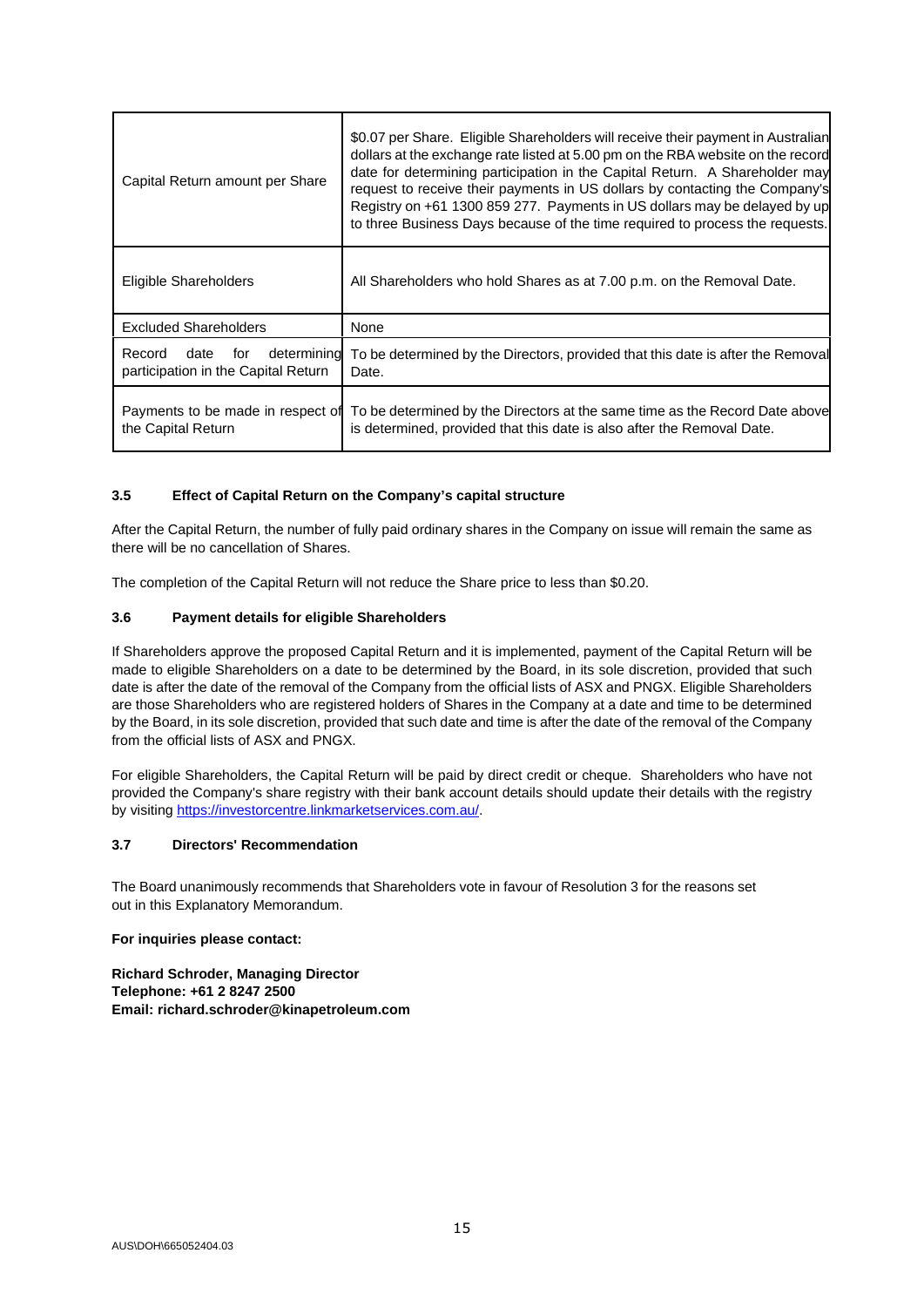| Capital Return amount per Share                                             | \$0.07 per Share. Eligible Shareholders will receive their payment in Australian<br>dollars at the exchange rate listed at 5.00 pm on the RBA website on the record<br>date for determining participation in the Capital Return. A Shareholder may<br>request to receive their payments in US dollars by contacting the Company's<br>Registry on +61 1300 859 277. Payments in US dollars may be delayed by up<br>to three Business Days because of the time required to process the requests. |
|-----------------------------------------------------------------------------|------------------------------------------------------------------------------------------------------------------------------------------------------------------------------------------------------------------------------------------------------------------------------------------------------------------------------------------------------------------------------------------------------------------------------------------------------------------------------------------------|
| Eligible Shareholders                                                       | All Shareholders who hold Shares as at 7.00 p.m. on the Removal Date.                                                                                                                                                                                                                                                                                                                                                                                                                          |
| <b>Excluded Shareholders</b>                                                | None                                                                                                                                                                                                                                                                                                                                                                                                                                                                                           |
| determining<br>Record<br>date<br>for<br>participation in the Capital Return | To be determined by the Directors, provided that this date is after the Removal<br>Date.                                                                                                                                                                                                                                                                                                                                                                                                       |
| Payments to be made in respect of<br>the Capital Return                     | To be determined by the Directors at the same time as the Record Date above<br>is determined, provided that this date is also after the Removal Date.                                                                                                                                                                                                                                                                                                                                          |

#### **3.5 Effect of Capital Return on the Company's capital structure**

After the Capital Return, the number of fully paid ordinary shares in the Company on issue will remain the same as there will be no cancellation of Shares.

The completion of the Capital Return will not reduce the Share price to less than \$0.20.

#### <span id="page-14-0"></span>**3.6 Payment details for eligible Shareholders**

If Shareholders approve the proposed Capital Return and it is implemented, payment of the Capital Return will be made to eligible Shareholders on a date to be determined by the Board, in its sole discretion, provided that such date is after the date of the removal of the Company from the official lists of ASX and PNGX. Eligible Shareholders are those Shareholders who are registered holders of Shares in the Company at a date and time to be determined by the Board, in its sole discretion, provided that such date and time is after the date of the removal of the Company from the official lists of ASX and PNGX.

For eligible Shareholders, the Capital Return will be paid by direct credit or cheque. Shareholders who have not provided the Company's share registry with their bank account details should update their details with the registry by visiting [https://investorcentre.linkmarketservices.com.au/.](https://protect-eu.mimecast.com/s/-TPfCLg7KTAmj14iqEycG)

#### **3.7 Directors' Recommendation**

The Board unanimously recommends that Shareholders vote in favour of Resolution 3 for the reasons set out in this Explanatory Memorandum.

#### **For inquiries please contact:**

**Richard Schroder, Managing Director Telephone: +61 2 8247 2500 Email: richard.schroder@kinapetroleum.com**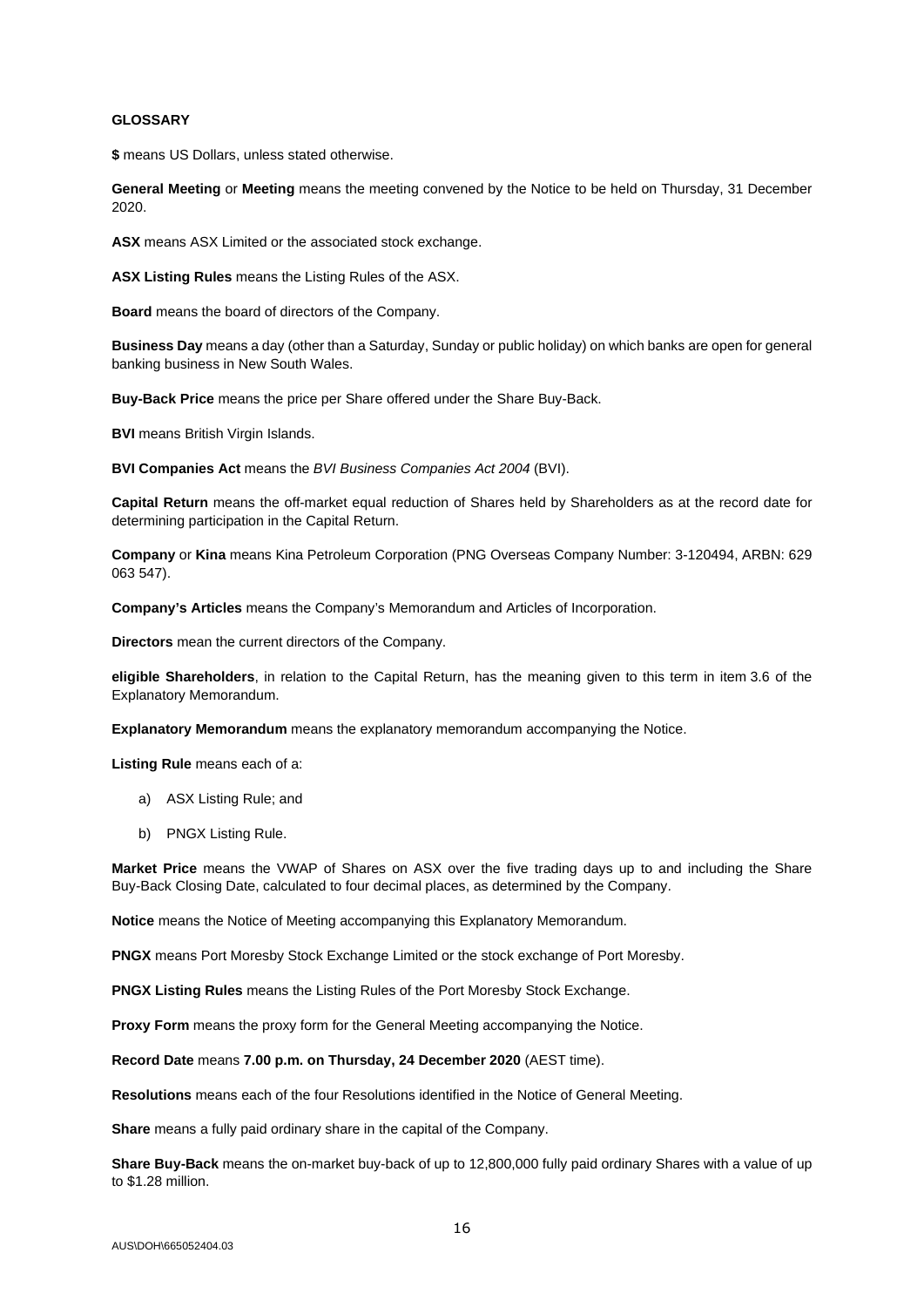#### **GLOSSARY**

**\$** means US Dollars, unless stated otherwise.

**General Meeting** or **Meeting** means the meeting convened by the Notice to be held on Thursday, 31 December 2020.

**ASX** means ASX Limited or the associated stock exchange.

**ASX Listing Rules** means the Listing Rules of the ASX.

**Board** means the board of directors of the Company.

**Business Day** means a day (other than a Saturday, Sunday or public holiday) on which banks are open for general banking business in New South Wales.

**Buy-Back Price** means the price per Share offered under the Share Buy-Back.

**BVI** means British Virgin Islands.

**BVI Companies Act** means the *BVI Business Companies Act 2004* (BVI).

**Capital Return** means the off-market equal reduction of Shares held by Shareholders as at the record date for determining participation in the Capital Return.

**Company** or **Kina** means Kina Petroleum Corporation (PNG Overseas Company Number: 3-120494, ARBN: 629 063 547).

**Company's Articles** means the Company's Memorandum and Articles of Incorporation.

**Directors** mean the current directors of the Company.

**eligible Shareholders**, in relation to the Capital Return, has the meaning given to this term in ite[m 3.6](#page-14-0) of the Explanatory Memorandum.

**Explanatory Memorandum** means the explanatory memorandum accompanying the Notice.

**Listing Rule** means each of a:

- a) ASX Listing Rule; and
- b) PNGX Listing Rule.

**Market Price** means the VWAP of Shares on ASX over the five trading days up to and including the Share Buy-Back Closing Date, calculated to four decimal places, as determined by the Company.

**Notice** means the Notice of Meeting accompanying this Explanatory Memorandum.

**PNGX** means Port Moresby Stock Exchange Limited or the stock exchange of Port Moresby.

**PNGX Listing Rules** means the Listing Rules of the Port Moresby Stock Exchange.

**Proxy Form** means the proxy form for the General Meeting accompanying the Notice.

**Record Date** means **7.00 p.m. on Thursday, 24 December 2020** (AEST time).

**Resolutions** means each of the four Resolutions identified in the Notice of General Meeting.

**Share** means a fully paid ordinary share in the capital of the Company.

**Share Buy-Back** means the on-market buy-back of up to 12,800,000 fully paid ordinary Shares with a value of up to \$1.28 million.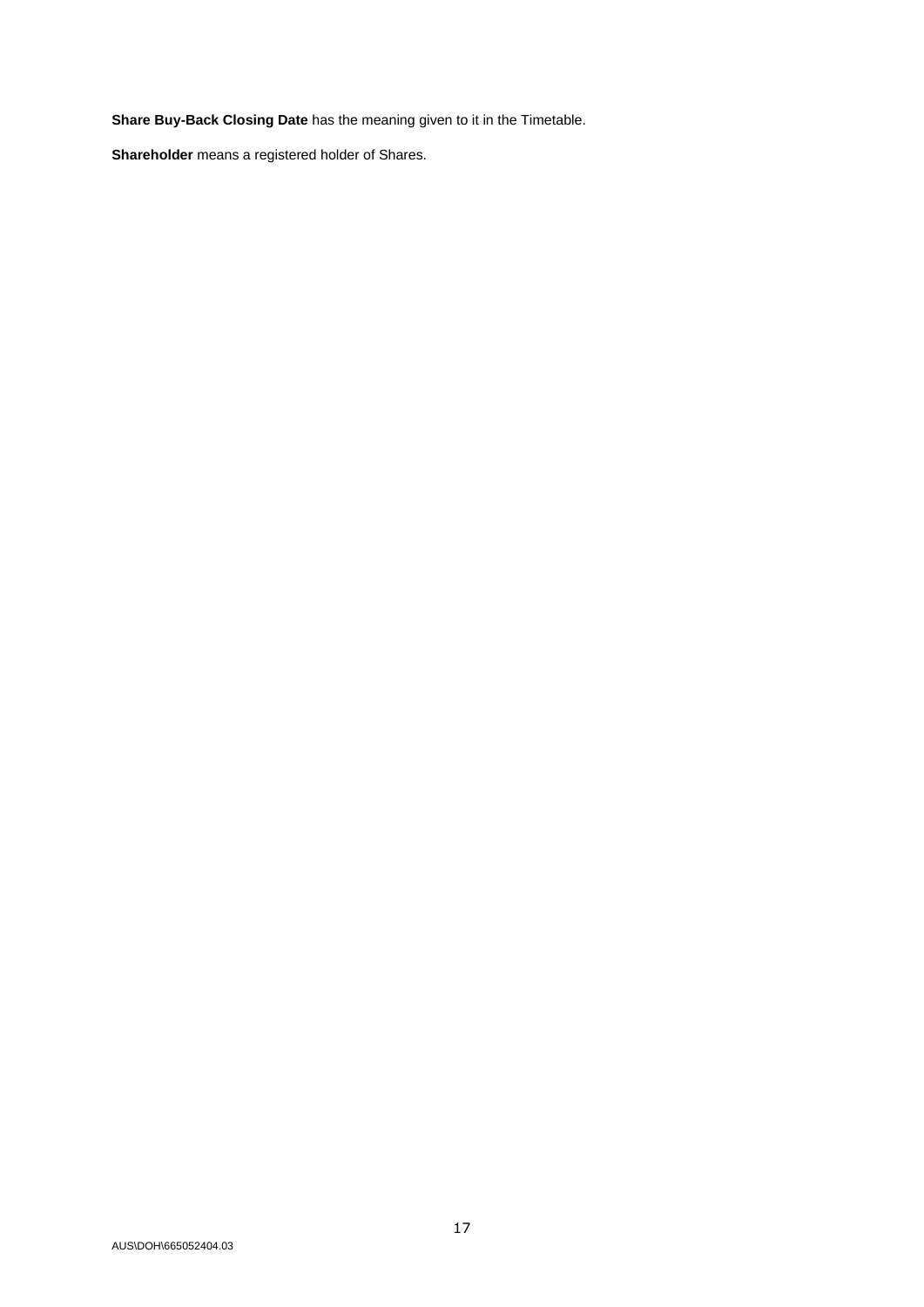**Share Buy-Back Closing Date** has the meaning given to it in the Timetable.

**Shareholder** means a registered holder of Shares.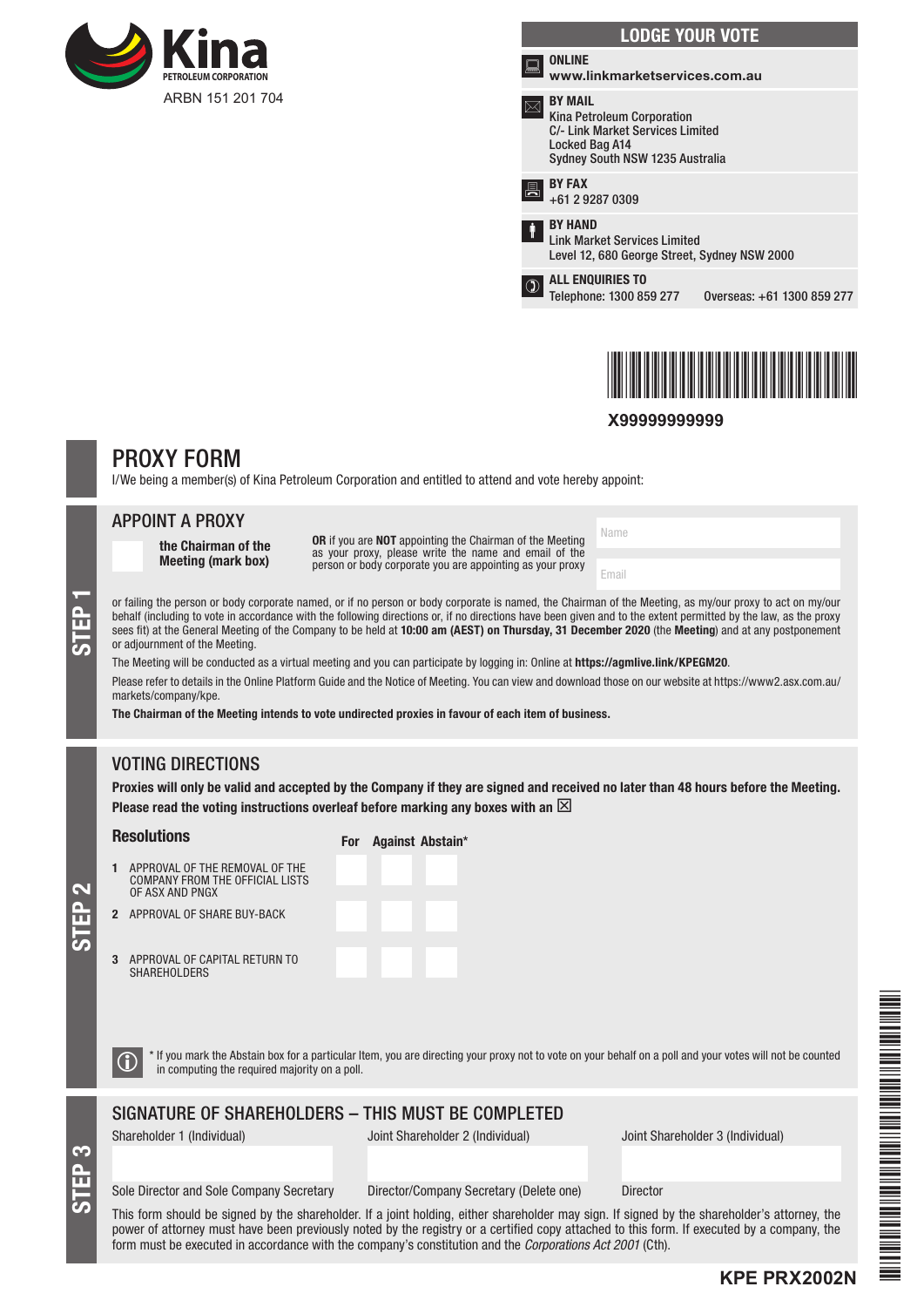

|   | <b>LODGE YOUR VOTE</b>                                                                                                                |                            |
|---|---------------------------------------------------------------------------------------------------------------------------------------|----------------------------|
|   | ONLINE<br>www.linkmarketservices.com.au                                                                                               |                            |
|   | <b>BY MAIL</b><br>Kina Petroleum Corporation<br>C/- Link Market Services Limited<br>Locked Bag A14<br>Sydney South NSW 1235 Australia |                            |
|   | <b>BY FAX</b><br>+61 2 9287 0309                                                                                                      |                            |
| ŧ | <b>BY HAND</b><br><b>Link Market Services Limited</b><br>Level 12, 680 George Street, Sydney NSW 2000                                 |                            |
|   | <b>ALL ENQUIRIES TO</b><br>Telephone: 1300 859 277                                                                                    | Overseas: +61 1300 859 277 |
|   |                                                                                                                                       |                            |



**X99999999999**

Name

Email

# PROXY FORM

I/We being a member(s) of Kina Petroleum Corporation and entitled to attend and vote hereby appoint:

# APPOINT A PROXY

the Chairman of the Meeting (mark box)

OR if you are NOT appointing the Chairman of the Meeting as your proxy, please write the name and email of the person or body corporate you are appointing as your proxy

or failing the person or body corporate named, or if no person or body corporate is named, the Chairman of the Meeting, as my/our proxy to act on my/our behalf (including to vote in accordance with the following directions or, if no directions have been given and to the extent permitted by the law, as the proxy sees fit) at the General Meeting of the Company to be held at 10:00 am (AEST) on Thursday, 31 December 2020 (the Meeting) and at any postponement or adjournment of the Meeting.

The Meeting will be conducted as a virtual meeting and you can participate by logging in: Online at https://agmlive.link/KPEGM20. Please refer to details in the Online Platform Guide and the Notice of Meeting. You can view and download those on our website at https://www2.asx.com.au/ markets/company/kpe.

The Chairman of the Meeting intends to vote undirected proxies in favour of each item of business.

# VOTING DIRECTIONS

Proxies will only be valid and accepted by the Company if they are signed and received no later than 48 hours before the Meeting. Please read the voting instructions overleaf before marking any boxes with an  $\boxtimes$ 

#### **Resolutions**

For Against Abstain\*

- APPROVAL OF THE REMOVA COMPANY FROM THE OFFIC OF ASX AND PNGX
- 3 APPROVAL OF CAPITAL RETURN TO
- 2 APPROVAL OF SHARE BUY-B
	- **SHAREHOLDERS**

| L OF THE<br><b>IAL LISTS</b> |  |  |  |
|------------------------------|--|--|--|
| <b>ACK</b>                   |  |  |  |
| <b>IRN TO</b>                |  |  |  |

 $\bigcirc$  \* If you mark the Abstain box for a particular Item, you are directing your proxy not to vote on your behalf on a poll and your votes will not be counted in computing the required majority on a poll.

# SIGNATURE OF SHAREHOLDERS – THIS MUST BE COMPLETED

STEP 3

STEP 2

Shareholder 1 (Individual) Joint Shareholder 2 (Individual) Joint Shareholder 3 (Individual)

#### Sole Director and Sole Company Secretary Director/Company Secretary (Delete one) Director

This form should be signed by the shareholder. If a joint holding, either shareholder may sign. If signed by the shareholder's attorney, the power of attorney must have been previously noted by the registry or a certified copy attached to this form. If executed by a company, the form must be executed in accordance with the company's constitution and the *Corporations Act 2001* (Cth).

\*KPE PRANCIPAL PRANCIPAL PRANCIPAL PRANCIPAL PRANCIPAL PRANCIPAL PRANCIPAL PRANCIPAL PRANCIPAL PRANCIPAL PRANCIP

**KPE PRX2002N**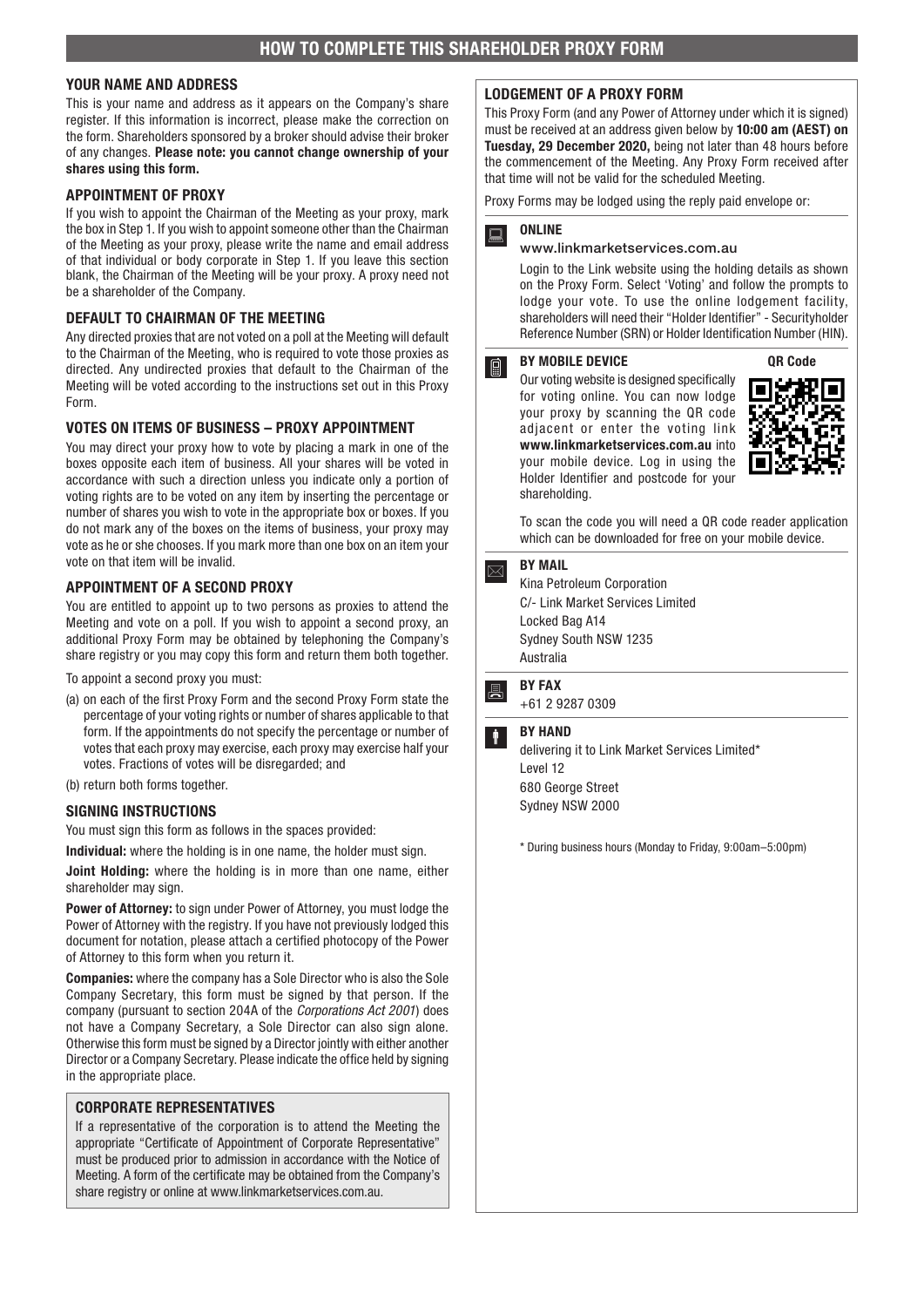# YOUR NAME AND ADDRESS

This is your name and address as it appears on the Company's share register. If this information is incorrect, please make the correction on the form. Shareholders sponsored by a broker should advise their broker of any changes. Please note: you cannot change ownership of your shares using this form.

#### APPOINTMENT OF PROXY

If you wish to appoint the Chairman of the Meeting as your proxy, mark the box in Step 1. If you wish to appoint someone other than the Chairman of the Meeting as your proxy, please write the name and email address of that individual or body corporate in Step 1. If you leave this section blank, the Chairman of the Meeting will be your proxy. A proxy need not be a shareholder of the Company.

#### DEFAULT TO CHAIRMAN OF THE MEETING

Any directed proxies that are not voted on a poll at the Meeting will default to the Chairman of the Meeting, who is required to vote those proxies as directed. Any undirected proxies that default to the Chairman of the Meeting will be voted according to the instructions set out in this Proxy Form.

#### VOTES ON ITEMS OF BUSINESS – PROXY APPOINTMENT

You may direct your proxy how to vote by placing a mark in one of the boxes opposite each item of business. All your shares will be voted in accordance with such a direction unless you indicate only a portion of voting rights are to be voted on any item by inserting the percentage or number of shares you wish to vote in the appropriate box or boxes. If you do not mark any of the boxes on the items of business, your proxy may vote as he or she chooses. If you mark more than one box on an item your vote on that item will be invalid.

#### APPOINTMENT OF A SECOND PROXY

You are entitled to appoint up to two persons as proxies to attend the Meeting and vote on a poll. If you wish to appoint a second proxy, an additional Proxy Form may be obtained by telephoning the Company's share registry or you may copy this form and return them both together.

To appoint a second proxy you must:

- (a) on each of the first Proxy Form and the second Proxy Form state the percentage of your voting rights or number of shares applicable to that form. If the appointments do not specify the percentage or number of votes that each proxy may exercise, each proxy may exercise half your votes. Fractions of votes will be disregarded; and
- (b) return both forms together.

#### SIGNING INSTRUCTIONS

You must sign this form as follows in the spaces provided:

Individual: where the holding is in one name, the holder must sign.

Joint Holding: where the holding is in more than one name, either shareholder may sign.

Power of Attorney: to sign under Power of Attorney, you must lodge the Power of Attorney with the registry. If you have not previously lodged this document for notation, please attach a certified photocopy of the Power of Attorney to this form when you return it.

Companies: where the company has a Sole Director who is also the Sole Company Secretary, this form must be signed by that person. If the company (pursuant to section 204A of the *Corporations Act 2001*) does not have a Company Secretary, a Sole Director can also sign alone. Otherwise this form must be signed by a Director jointly with either another Director or a Company Secretary. Please indicate the office held by signing in the appropriate place.

#### CORPORATE REPRESENTATIVES

If a representative of the corporation is to attend the Meeting the appropriate "Certificate of Appointment of Corporate Representative" must be produced prior to admission in accordance with the Notice of Meeting. A form of the certificate may be obtained from the Company's share registry or online at www.linkmarketservices.com.au.

#### LODGEMENT OF A PROXY FORM

This Proxy Form (and any Power of Attorney under which it is signed) must be received at an address given below by 10:00 am (AEST) on Tuesday, 29 December 2020, being not later than 48 hours before the commencement of the Meeting. Any Proxy Form received after that time will not be valid for the scheduled Meeting.

Proxy Forms may be lodged using the reply paid envelope or:



#### www.linkmarketservices.com.au

Login to the Link website using the holding details as shown on the Proxy Form. Select 'Voting' and follow the prompts to lodge your vote. To use the online lodgement facility, shareholders will need their "Holder Identifier" - Securityholder Reference Number (SRN) or Holder Identification Number (HIN).

#### BY MOBILE DEVICE  $\lceil \nceil$

Our voting website is designed specifically for voting online. You can now lodge your proxy by scanning the QR code adjacent or enter the voting link www.linkmarketservices.com.au into your mobile device. Log in using the Holder Identifier and postcode for your shareholding.



To scan the code you will need a QR code reader application which can be downloaded for free on your mobile device.

# $\boxed{\bowtie}$  BY MAIL

Kina Petroleum Corporation C/- Link Market Services Limited Locked Bag A14 Sydney South NSW 1235 Australia



+61 2 9287 0309

# **BY HAND**

delivering it to Link Market Services Limited\* Level 12 680 George Street Sydney NSW 2000

\* During business hours (Monday to Friday, 9:00am–5:00pm)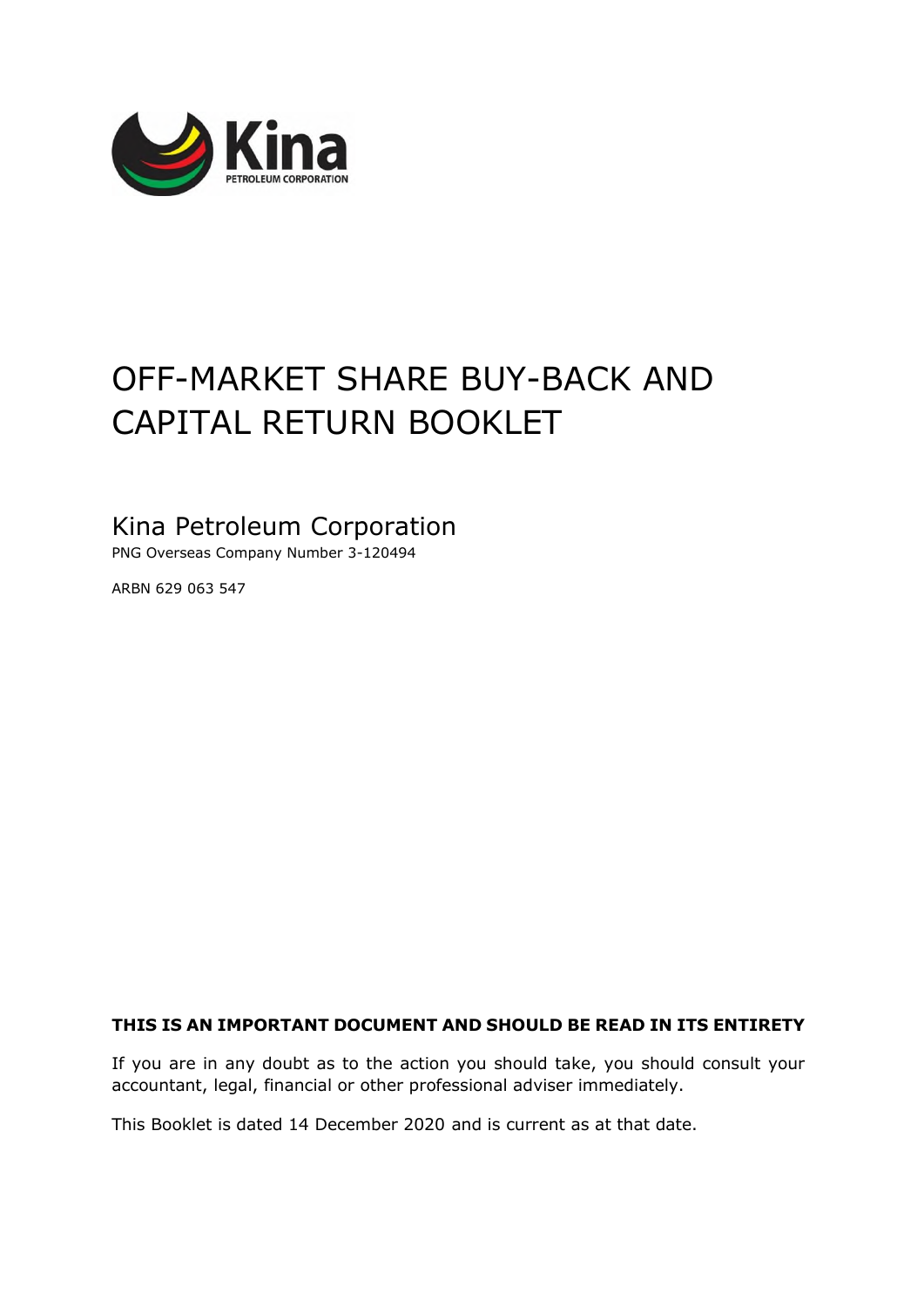

# OFF-MARKET SHARE BUY-BACK AND CAPITAL RETURN BOOKLET

# Kina Petroleum Corporation

PNG Overseas Company Number 3-120494

ARBN 629 063 547

# **THIS IS AN IMPORTANT DOCUMENT AND SHOULD BE READ IN ITS ENTIRETY**

If you are in any doubt as to the action you should take, you should consult your accountant, legal, financial or other professional adviser immediately.

This Booklet is dated 14 December 2020 and is current as at that date.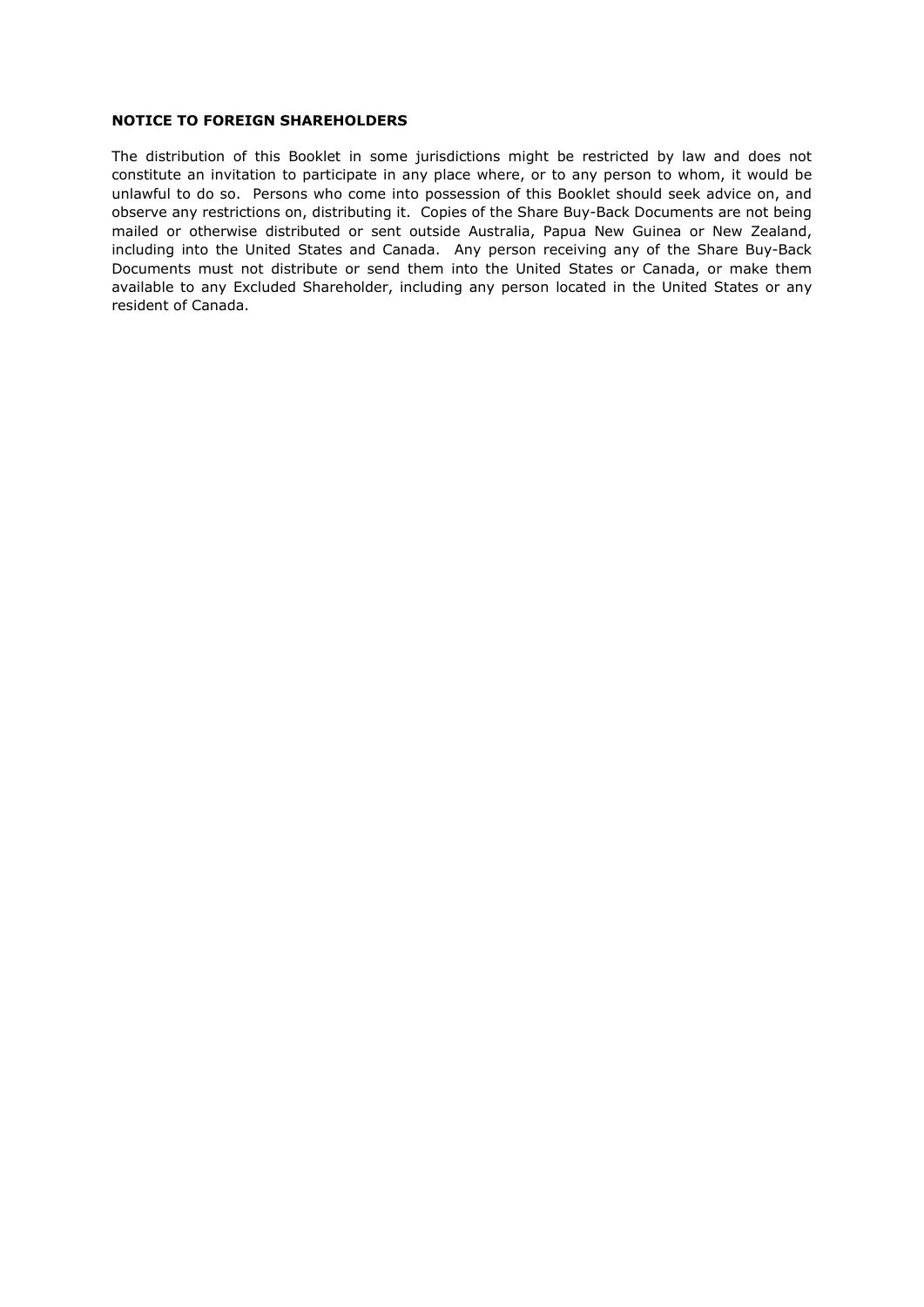# **NOTICE TO FOREIGN SHAREHOLDERS**

The distribution of this Booklet in some jurisdictions might be restricted by law and does not constitute an invitation to participate in any place where, or to any person to whom, it would be unlawful to do so. Persons who come into possession of this Booklet should seek advice on, and observe any restrictions on, distributing it. Copies of the Share Buy-Back Documents are not being mailed or otherwise distributed or sent outside Australia, Papua New Guinea or New Zealand, including into the United States and Canada. Any person receiving any of the Share Buy-Back Documents must not distribute or send them into the United States or Canada, or make them available to any Excluded Shareholder, including any person located in the United States or any resident of Canada.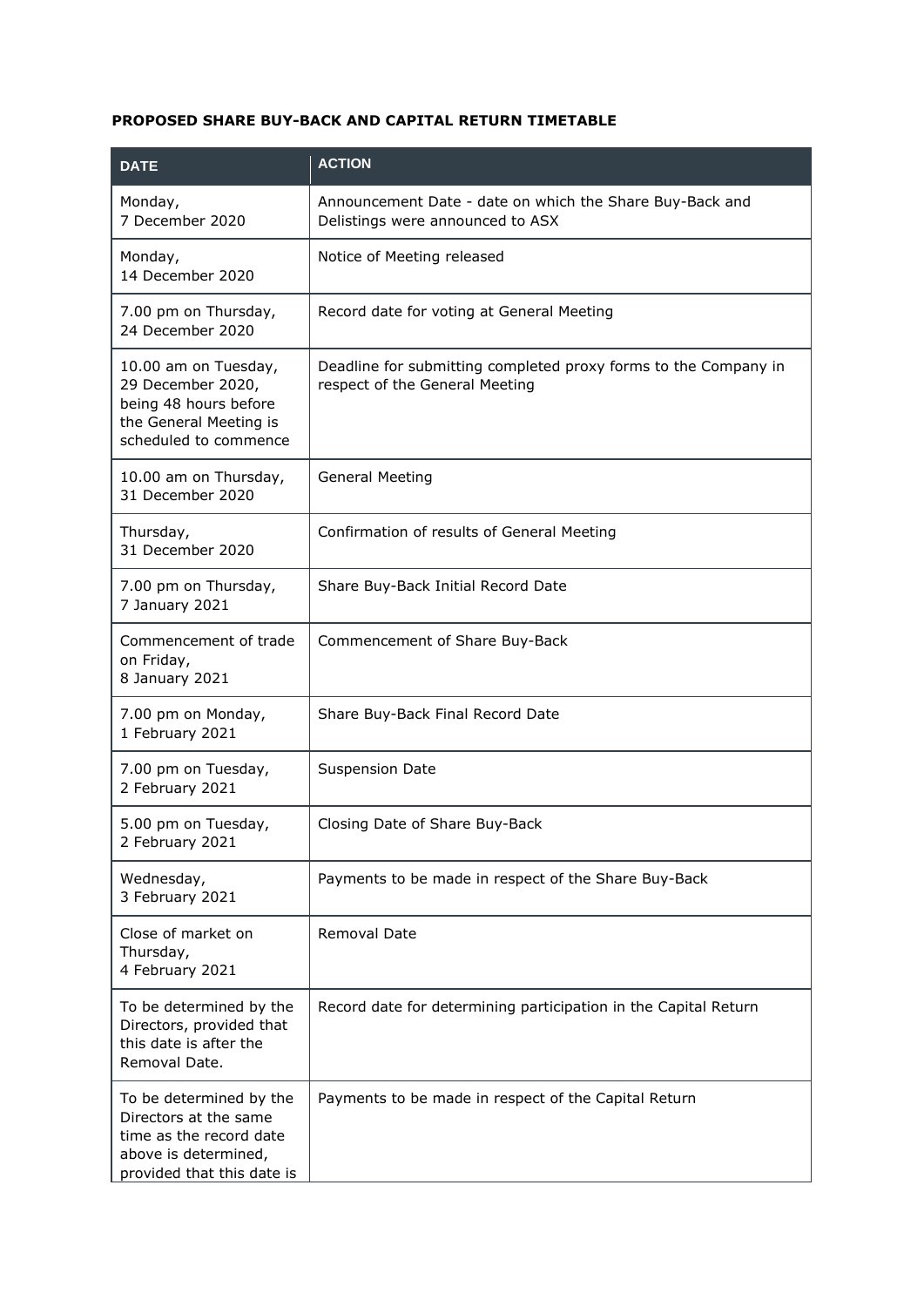# **PROPOSED SHARE BUY-BACK AND CAPITAL RETURN TIMETABLE**

| <b>DATE</b>                                                                                                                       | <b>ACTION</b>                                                                                     |
|-----------------------------------------------------------------------------------------------------------------------------------|---------------------------------------------------------------------------------------------------|
| Monday,<br>7 December 2020                                                                                                        | Announcement Date - date on which the Share Buy-Back and<br>Delistings were announced to ASX      |
| Monday,<br>14 December 2020                                                                                                       | Notice of Meeting released                                                                        |
| 7.00 pm on Thursday,<br>24 December 2020                                                                                          | Record date for voting at General Meeting                                                         |
| 10.00 am on Tuesday,<br>29 December 2020,<br>being 48 hours before<br>the General Meeting is<br>scheduled to commence             | Deadline for submitting completed proxy forms to the Company in<br>respect of the General Meeting |
| 10.00 am on Thursday,<br>31 December 2020                                                                                         | <b>General Meeting</b>                                                                            |
| Thursday,<br>31 December 2020                                                                                                     | Confirmation of results of General Meeting                                                        |
| 7.00 pm on Thursday,<br>7 January 2021                                                                                            | Share Buy-Back Initial Record Date                                                                |
| Commencement of trade<br>on Friday,<br>8 January 2021                                                                             | Commencement of Share Buy-Back                                                                    |
| 7.00 pm on Monday,<br>1 February 2021                                                                                             | Share Buy-Back Final Record Date                                                                  |
| 7.00 pm on Tuesday,<br>2 February 2021                                                                                            | <b>Suspension Date</b>                                                                            |
| 5.00 pm on Tuesday,<br>2 February 2021                                                                                            | Closing Date of Share Buy-Back                                                                    |
| Wednesday,<br>3 February 2021                                                                                                     | Payments to be made in respect of the Share Buy-Back                                              |
| Close of market on<br>Thursday,<br>4 February 2021                                                                                | <b>Removal Date</b>                                                                               |
| To be determined by the<br>Directors, provided that<br>this date is after the<br>Removal Date.                                    | Record date for determining participation in the Capital Return                                   |
| To be determined by the<br>Directors at the same<br>time as the record date<br>above is determined,<br>provided that this date is | Payments to be made in respect of the Capital Return                                              |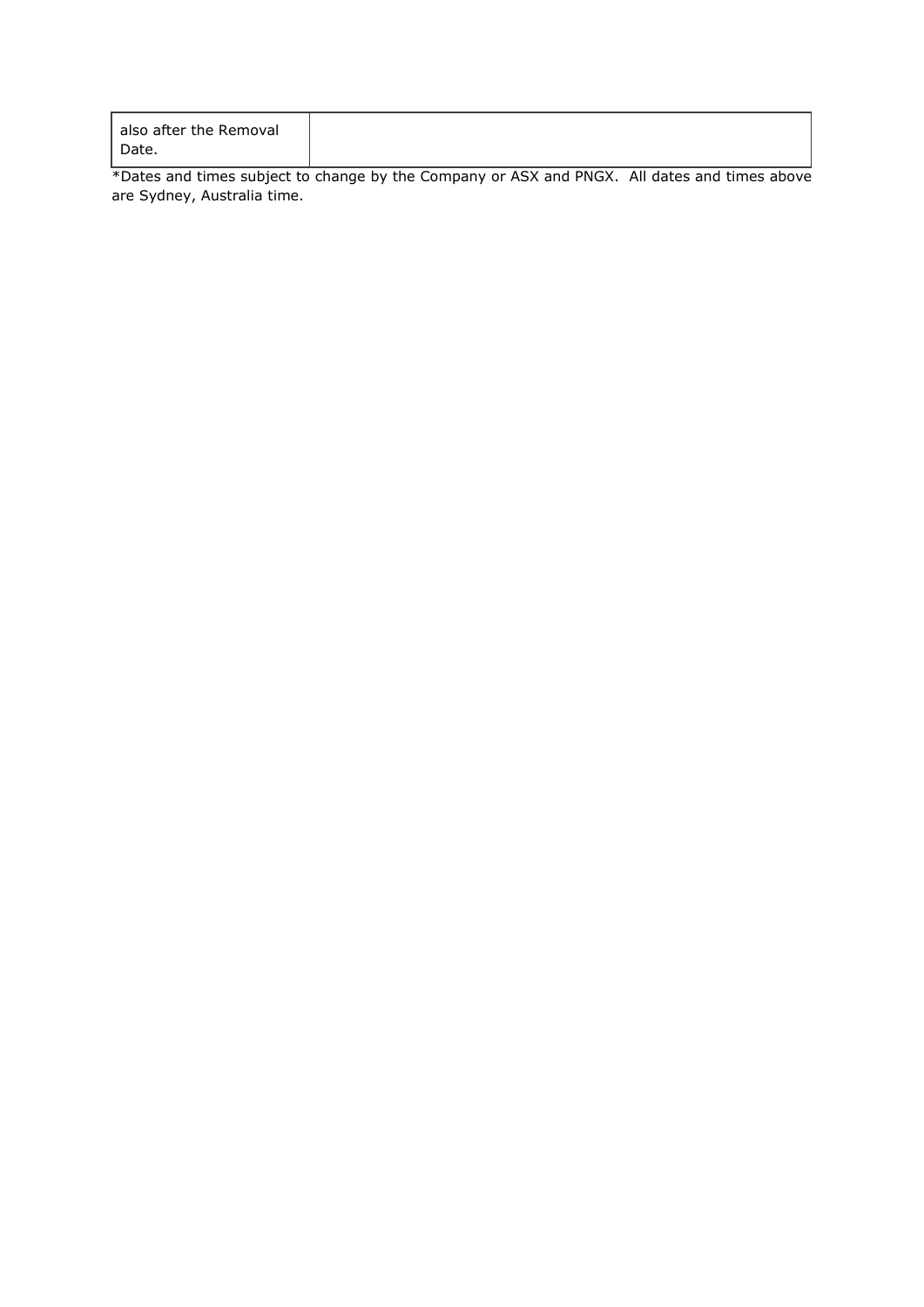| also after the Removal |
|------------------------|
| Date.                  |

\*Dates and times subject to change by the Company or ASX and PNGX. All dates and times above are Sydney, Australia time.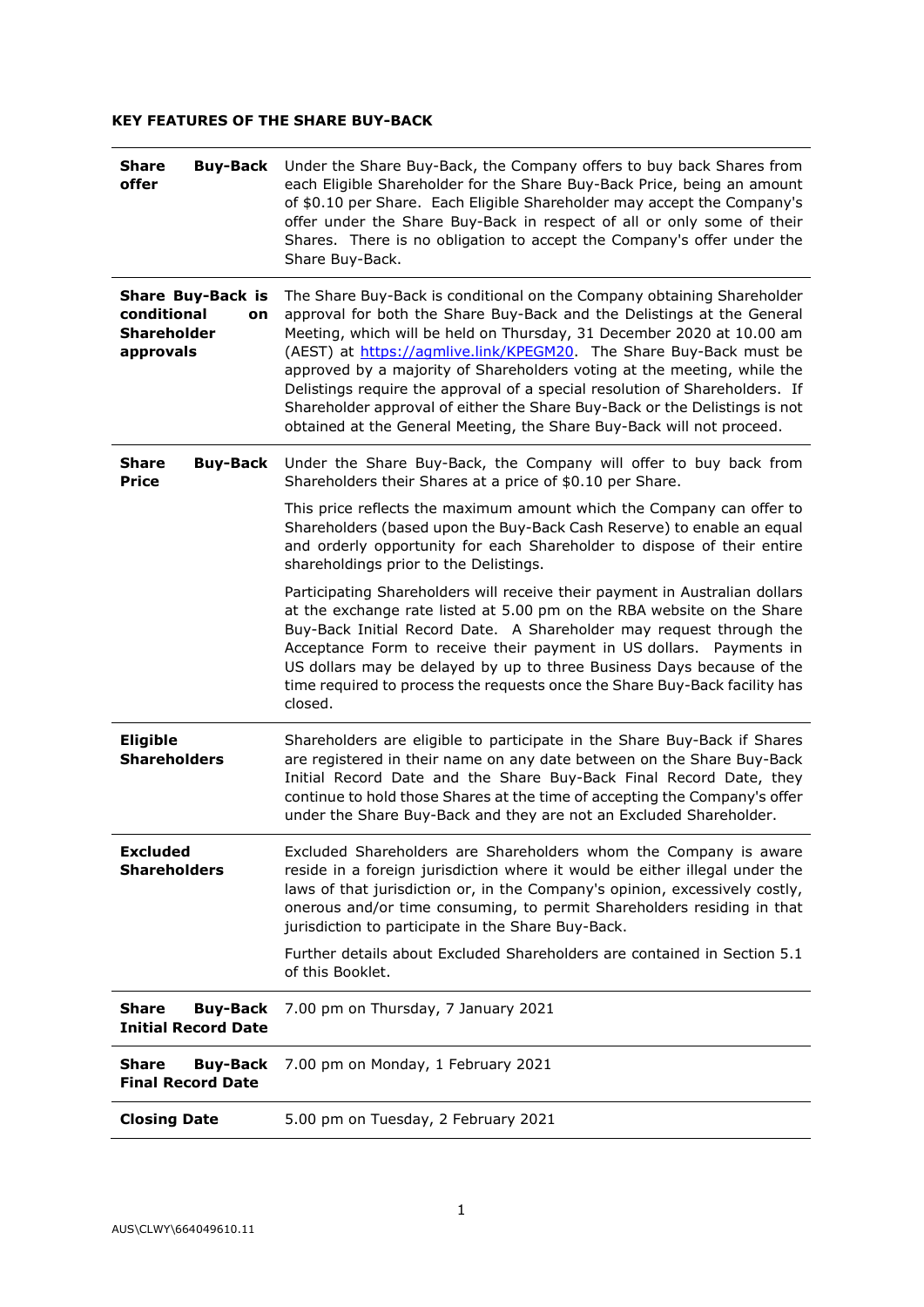# **KEY FEATURES OF THE SHARE BUY-BACK**

| <b>Share</b><br><b>Buy-Back</b><br>offer                                         | Under the Share Buy-Back, the Company offers to buy back Shares from<br>each Eligible Shareholder for the Share Buy-Back Price, being an amount<br>of \$0.10 per Share. Each Eligible Shareholder may accept the Company's<br>offer under the Share Buy-Back in respect of all or only some of their<br>Shares. There is no obligation to accept the Company's offer under the<br>Share Buy-Back.                                                                                                                                                                                                                |
|----------------------------------------------------------------------------------|------------------------------------------------------------------------------------------------------------------------------------------------------------------------------------------------------------------------------------------------------------------------------------------------------------------------------------------------------------------------------------------------------------------------------------------------------------------------------------------------------------------------------------------------------------------------------------------------------------------|
| <b>Share Buy-Back is</b><br>conditional<br>on<br><b>Shareholder</b><br>approvals | The Share Buy-Back is conditional on the Company obtaining Shareholder<br>approval for both the Share Buy-Back and the Delistings at the General<br>Meeting, which will be held on Thursday, 31 December 2020 at 10.00 am<br>(AEST) at https://agmlive.link/KPEGM20. The Share Buy-Back must be<br>approved by a majority of Shareholders voting at the meeting, while the<br>Delistings require the approval of a special resolution of Shareholders. If<br>Shareholder approval of either the Share Buy-Back or the Delistings is not<br>obtained at the General Meeting, the Share Buy-Back will not proceed. |
| Share<br><b>Buy-Back</b><br><b>Price</b>                                         | Under the Share Buy-Back, the Company will offer to buy back from<br>Shareholders their Shares at a price of \$0.10 per Share.                                                                                                                                                                                                                                                                                                                                                                                                                                                                                   |
|                                                                                  | This price reflects the maximum amount which the Company can offer to<br>Shareholders (based upon the Buy-Back Cash Reserve) to enable an equal<br>and orderly opportunity for each Shareholder to dispose of their entire<br>shareholdings prior to the Delistings.                                                                                                                                                                                                                                                                                                                                             |
|                                                                                  | Participating Shareholders will receive their payment in Australian dollars<br>at the exchange rate listed at 5.00 pm on the RBA website on the Share<br>Buy-Back Initial Record Date. A Shareholder may request through the<br>Acceptance Form to receive their payment in US dollars. Payments in<br>US dollars may be delayed by up to three Business Days because of the<br>time required to process the requests once the Share Buy-Back facility has<br>closed.                                                                                                                                            |
| <b>Eligible</b><br><b>Shareholders</b>                                           | Shareholders are eligible to participate in the Share Buy-Back if Shares<br>are registered in their name on any date between on the Share Buy-Back<br>Initial Record Date and the Share Buy-Back Final Record Date, they<br>continue to hold those Shares at the time of accepting the Company's offer<br>under the Share Buy-Back and they are not an Excluded Shareholder.                                                                                                                                                                                                                                     |
| <b>Excluded</b><br><b>Shareholders</b>                                           | Excluded Shareholders are Shareholders whom the Company is aware<br>reside in a foreign jurisdiction where it would be either illegal under the<br>laws of that jurisdiction or, in the Company's opinion, excessively costly,<br>onerous and/or time consuming, to permit Shareholders residing in that<br>jurisdiction to participate in the Share Buy-Back.                                                                                                                                                                                                                                                   |
|                                                                                  | Further details about Excluded Shareholders are contained in Section 5.1<br>of this Booklet.                                                                                                                                                                                                                                                                                                                                                                                                                                                                                                                     |
| <b>Share</b><br><b>Buy-Back</b><br><b>Initial Record Date</b>                    | 7.00 pm on Thursday, 7 January 2021                                                                                                                                                                                                                                                                                                                                                                                                                                                                                                                                                                              |
| <b>Share</b><br><b>Buy-Back</b><br><b>Final Record Date</b>                      | 7.00 pm on Monday, 1 February 2021                                                                                                                                                                                                                                                                                                                                                                                                                                                                                                                                                                               |
| <b>Closing Date</b>                                                              | 5.00 pm on Tuesday, 2 February 2021                                                                                                                                                                                                                                                                                                                                                                                                                                                                                                                                                                              |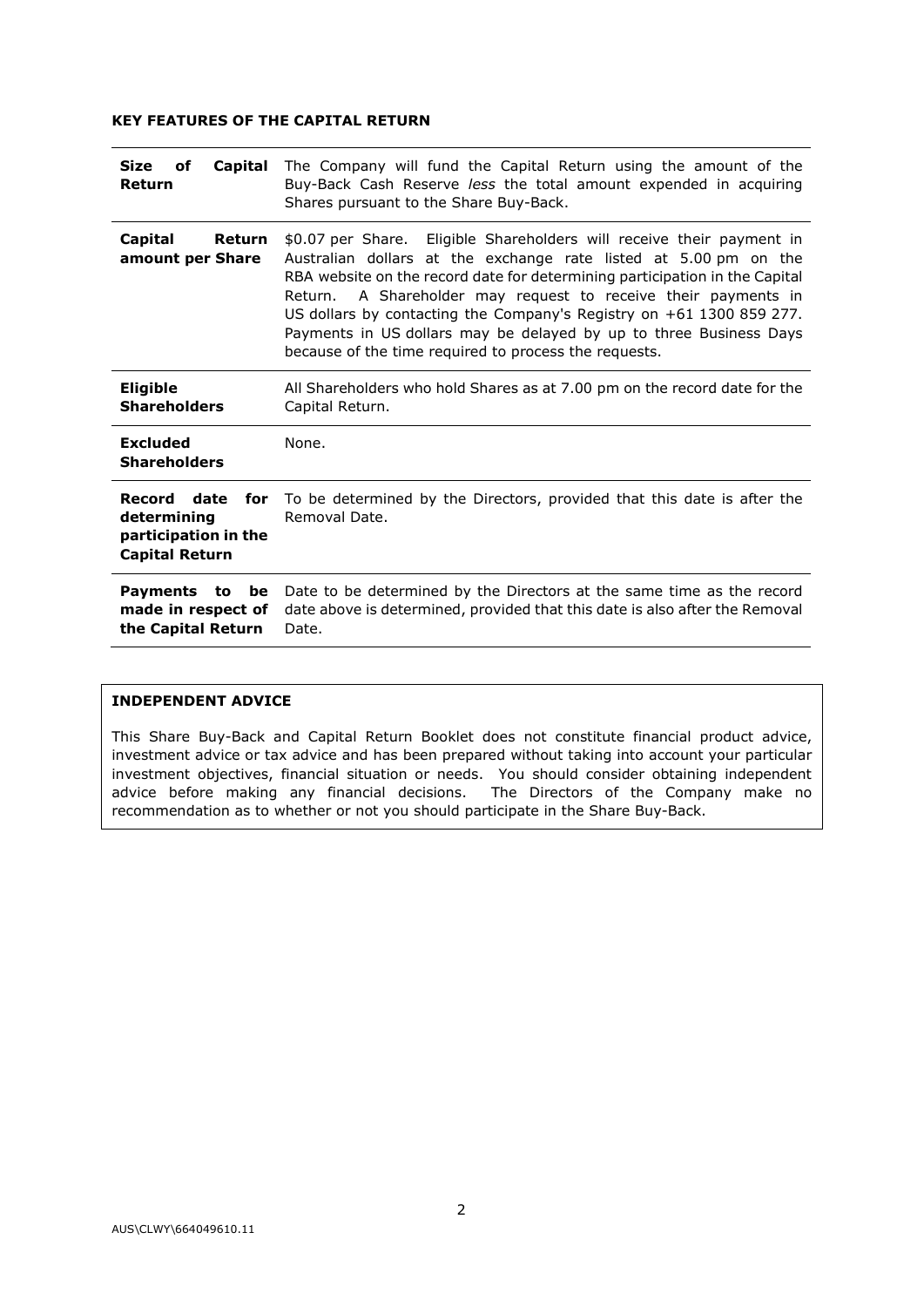# **KEY FEATURES OF THE CAPITAL RETURN**

| The Company will fund the Capital Return using the amount of the<br>Buy-Back Cash Reserve less the total amount expended in acquiring<br>Shares pursuant to the Share Buy-Back.                                                                                                                                                                                                                                                                                                                   |
|---------------------------------------------------------------------------------------------------------------------------------------------------------------------------------------------------------------------------------------------------------------------------------------------------------------------------------------------------------------------------------------------------------------------------------------------------------------------------------------------------|
| \$0.07 per Share. Eligible Shareholders will receive their payment in<br>Australian dollars at the exchange rate listed at 5.00 pm on the<br>RBA website on the record date for determining participation in the Capital<br>Return. A Shareholder may request to receive their payments in<br>US dollars by contacting the Company's Registry on +61 1300 859 277.<br>Payments in US dollars may be delayed by up to three Business Days<br>because of the time required to process the requests. |
| All Shareholders who hold Shares as at 7.00 pm on the record date for the<br>Capital Return.                                                                                                                                                                                                                                                                                                                                                                                                      |
| None.                                                                                                                                                                                                                                                                                                                                                                                                                                                                                             |
| To be determined by the Directors, provided that this date is after the<br>Removal Date.                                                                                                                                                                                                                                                                                                                                                                                                          |
| Date to be determined by the Directors at the same time as the record<br>date above is determined, provided that this date is also after the Removal<br>Date.                                                                                                                                                                                                                                                                                                                                     |
|                                                                                                                                                                                                                                                                                                                                                                                                                                                                                                   |

#### **INDEPENDENT ADVICE**

This Share Buy-Back and Capital Return Booklet does not constitute financial product advice, investment advice or tax advice and has been prepared without taking into account your particular investment objectives, financial situation or needs. You should consider obtaining independent advice before making any financial decisions. The Directors of the Company make no recommendation as to whether or not you should participate in the Share Buy-Back.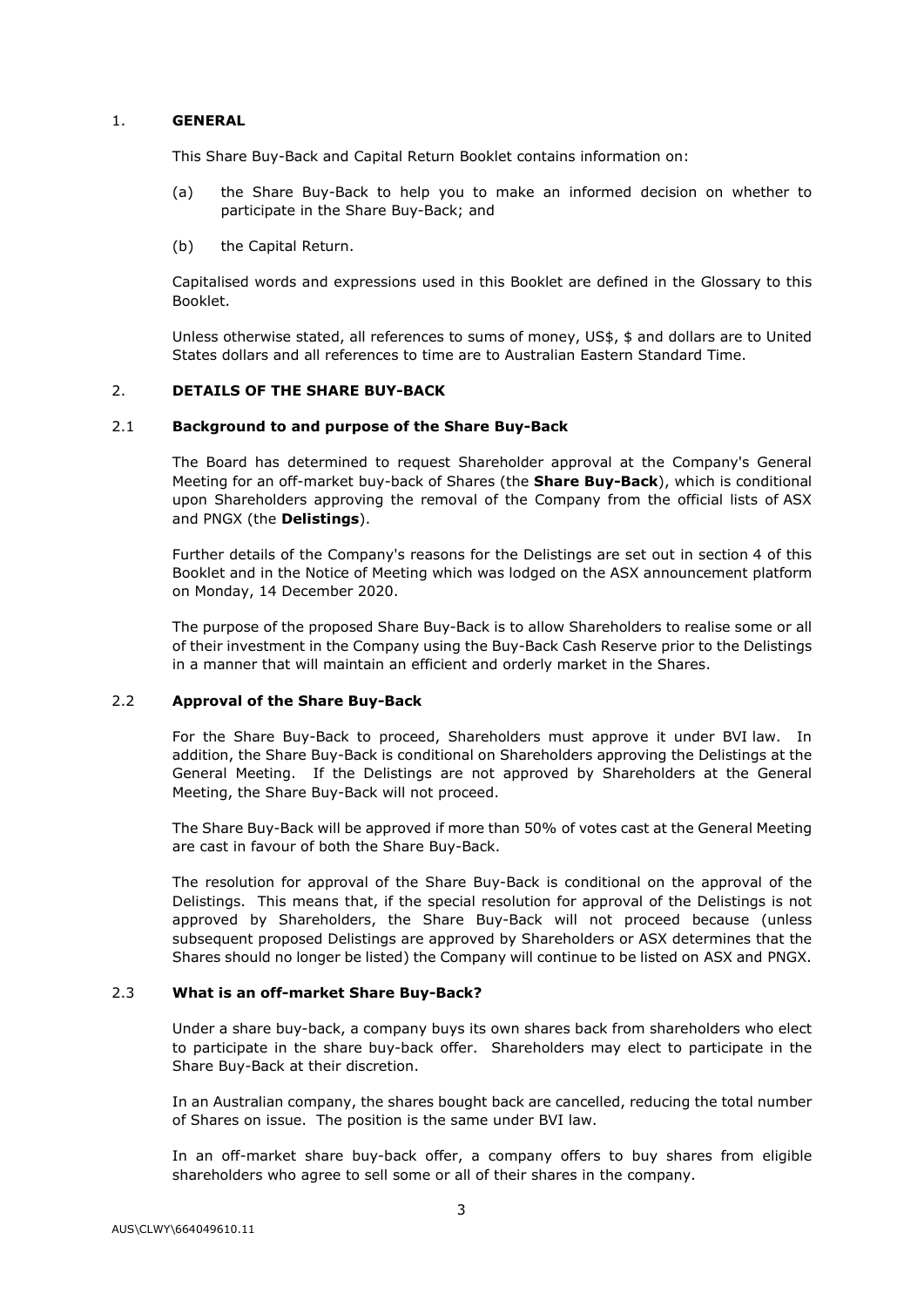# 1. **GENERAL**

This Share Buy-Back and Capital Return Booklet contains information on:

- (a) the Share Buy-Back to help you to make an informed decision on whether to participate in the Share Buy-Back; and
- (b) the Capital Return.

Capitalised words and expressions used in this Booklet are defined in the Glossary to this Booklet.

Unless otherwise stated, all references to sums of money, US\$, \$ and dollars are to United States dollars and all references to time are to Australian Eastern Standard Time.

# 2. **DETAILS OF THE SHARE BUY-BACK**

#### 2.1 **Background to and purpose of the Share Buy-Back**

The Board has determined to request Shareholder approval at the Company's General Meeting for an off-market buy-back of Shares (the **Share Buy-Back**), which is conditional upon Shareholders approving the removal of the Company from the official lists of ASX and PNGX (the **Delistings**).

Further details of the Company's reasons for the Delistings are set out in section [4](#page-33-0) of this Booklet and in the Notice of Meeting which was lodged on the ASX announcement platform on Monday, 14 December 2020.

The purpose of the proposed Share Buy-Back is to allow Shareholders to realise some or all of their investment in the Company using the Buy-Back Cash Reserve prior to the Delistings in a manner that will maintain an efficient and orderly market in the Shares.

# 2.2 **Approval of the Share Buy-Back**

For the Share Buy-Back to proceed, Shareholders must approve it under BVI law. In addition, the Share Buy-Back is conditional on Shareholders approving the Delistings at the General Meeting. If the Delistings are not approved by Shareholders at the General Meeting, the Share Buy-Back will not proceed.

The Share Buy-Back will be approved if more than 50% of votes cast at the General Meeting are cast in favour of both the Share Buy-Back.

The resolution for approval of the Share Buy-Back is conditional on the approval of the Delistings. This means that, if the special resolution for approval of the Delistings is not approved by Shareholders, the Share Buy-Back will not proceed because (unless subsequent proposed Delistings are approved by Shareholders or ASX determines that the Shares should no longer be listed) the Company will continue to be listed on ASX and PNGX.

#### 2.3 **What is an off-market Share Buy-Back?**

Under a share buy-back, a company buys its own shares back from shareholders who elect to participate in the share buy-back offer. Shareholders may elect to participate in the Share Buy-Back at their discretion.

In an Australian company, the shares bought back are cancelled, reducing the total number of Shares on issue. The position is the same under BVI law.

In an off-market share buy-back offer, a company offers to buy shares from eligible shareholders who agree to sell some or all of their shares in the company.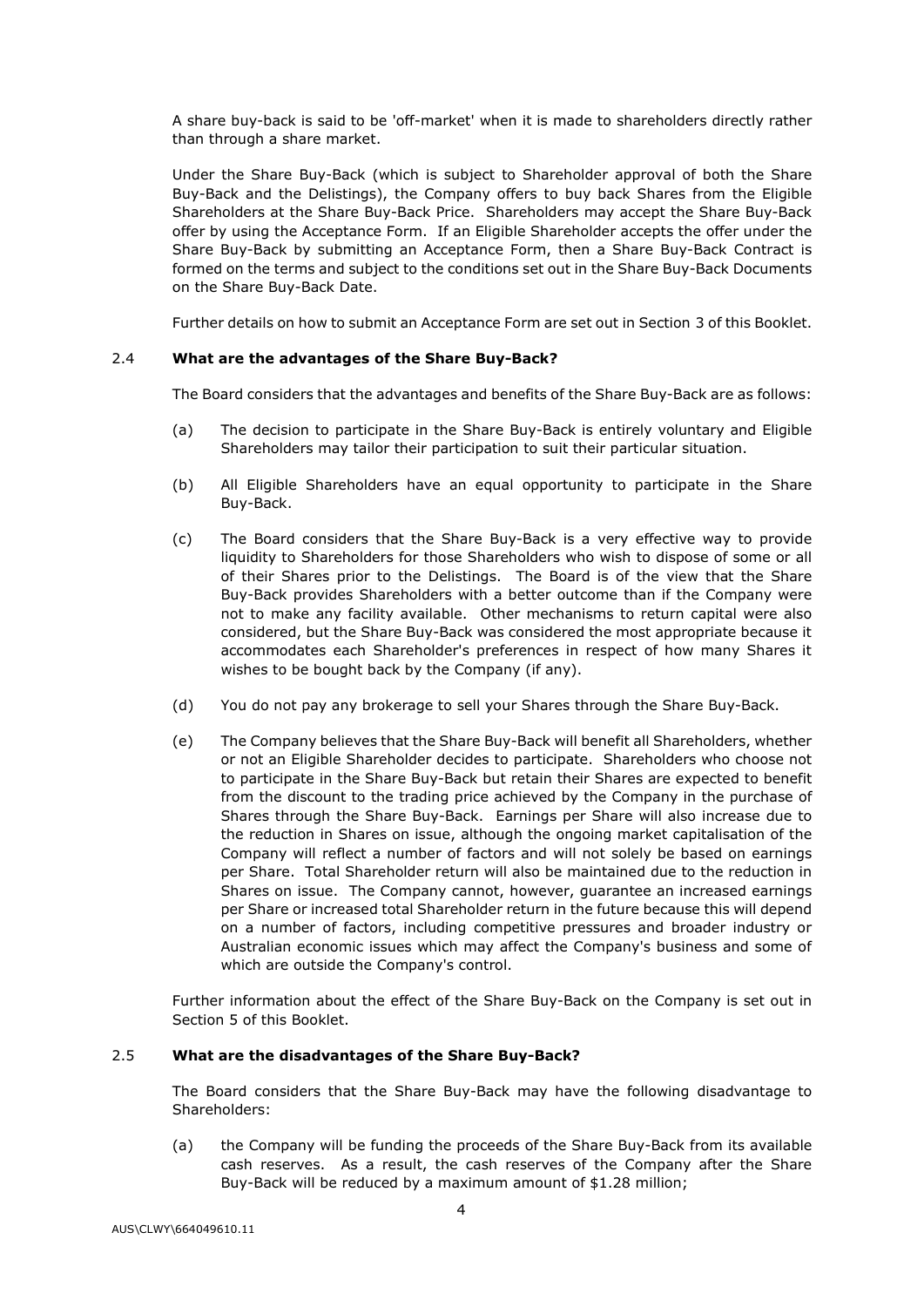A share buy-back is said to be 'off-market' when it is made to shareholders directly rather than through a share market.

Under the Share Buy-Back (which is subject to Shareholder approval of both the Share Buy-Back and the Delistings), the Company offers to buy back Shares from the Eligible Shareholders at the Share Buy-Back Price. Shareholders may accept the Share Buy-Back offer by using the Acceptance Form. If an Eligible Shareholder accepts the offer under the Share Buy-Back by submitting an Acceptance Form, then a Share Buy-Back Contract is formed on the terms and subject to the conditions set out in the Share Buy-Back Documents on the Share Buy-Back Date.

Further details on how to submit an Acceptance Form are set out in Section [3](#page-32-0) of this Booklet.

# 2.4 **What are the advantages of the Share Buy-Back?**

The Board considers that the advantages and benefits of the Share Buy-Back are as follows:

- (a) The decision to participate in the Share Buy-Back is entirely voluntary and Eligible Shareholders may tailor their participation to suit their particular situation.
- (b) All Eligible Shareholders have an equal opportunity to participate in the Share Buy-Back.
- (c) The Board considers that the Share Buy-Back is a very effective way to provide liquidity to Shareholders for those Shareholders who wish to dispose of some or all of their Shares prior to the Delistings. The Board is of the view that the Share Buy-Back provides Shareholders with a better outcome than if the Company were not to make any facility available. Other mechanisms to return capital were also considered, but the Share Buy-Back was considered the most appropriate because it accommodates each Shareholder's preferences in respect of how many Shares it wishes to be bought back by the Company (if any).
- (d) You do not pay any brokerage to sell your Shares through the Share Buy-Back.
- (e) The Company believes that the Share Buy-Back will benefit all Shareholders, whether or not an Eligible Shareholder decides to participate. Shareholders who choose not to participate in the Share Buy-Back but retain their Shares are expected to benefit from the discount to the trading price achieved by the Company in the purchase of Shares through the Share Buy-Back. Earnings per Share will also increase due to the reduction in Shares on issue, although the ongoing market capitalisation of the Company will reflect a number of factors and will not solely be based on earnings per Share. Total Shareholder return will also be maintained due to the reduction in Shares on issue. The Company cannot, however, guarantee an increased earnings per Share or increased total Shareholder return in the future because this will depend on a number of factors, including competitive pressures and broader industry or Australian economic issues which may affect the Company's business and some of which are outside the Company's control.

Further information about the effect of the Share Buy-Back on the Company is set out in Section [5](#page-35-1) of this Booklet.

# 2.5 **What are the disadvantages of the Share Buy-Back?**

The Board considers that the Share Buy-Back may have the following disadvantage to Shareholders:

(a) the Company will be funding the proceeds of the Share Buy-Back from its available cash reserves. As a result, the cash reserves of the Company after the Share Buy-Back will be reduced by a maximum amount of \$1.28 million;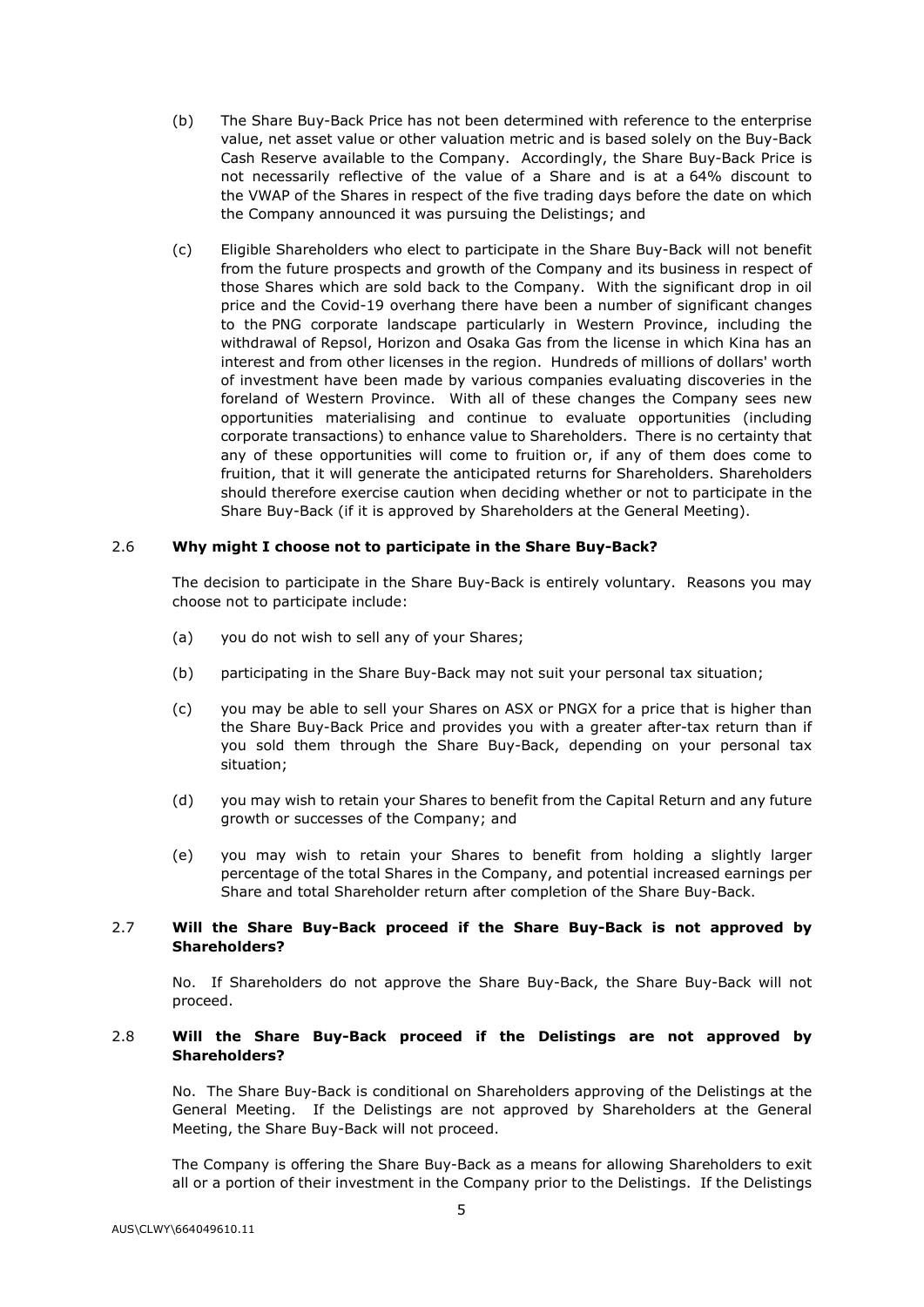- (b) The Share Buy-Back Price has not been determined with reference to the enterprise value, net asset value or other valuation metric and is based solely on the Buy-Back Cash Reserve available to the Company. Accordingly, the Share Buy-Back Price is not necessarily reflective of the value of a Share and is at a 64% discount to the VWAP of the Shares in respect of the five trading days before the date on which the Company announced it was pursuing the Delistings; and
- (c) Eligible Shareholders who elect to participate in the Share Buy-Back will not benefit from the future prospects and growth of the Company and its business in respect of those Shares which are sold back to the Company. With the significant drop in oil price and the Covid-19 overhang there have been a number of significant changes to the PNG corporate landscape particularly in Western Province, including the withdrawal of Repsol, Horizon and Osaka Gas from the license in which Kina has an interest and from other licenses in the region. Hundreds of millions of dollars' worth of investment have been made by various companies evaluating discoveries in the foreland of Western Province. With all of these changes the Company sees new opportunities materialising and continue to evaluate opportunities (including corporate transactions) to enhance value to Shareholders. There is no certainty that any of these opportunities will come to fruition or, if any of them does come to fruition, that it will generate the anticipated returns for Shareholders. Shareholders should therefore exercise caution when deciding whether or not to participate in the Share Buy-Back (if it is approved by Shareholders at the General Meeting).

#### 2.6 **Why might I choose not to participate in the Share Buy-Back?**

The decision to participate in the Share Buy-Back is entirely voluntary. Reasons you may choose not to participate include:

- (a) you do not wish to sell any of your Shares;
- (b) participating in the Share Buy-Back may not suit your personal tax situation;
- (c) you may be able to sell your Shares on ASX or PNGX for a price that is higher than the Share Buy-Back Price and provides you with a greater after-tax return than if you sold them through the Share Buy-Back, depending on your personal tax situation;
- (d) you may wish to retain your Shares to benefit from the Capital Return and any future growth or successes of the Company; and
- (e) you may wish to retain your Shares to benefit from holding a slightly larger percentage of the total Shares in the Company, and potential increased earnings per Share and total Shareholder return after completion of the Share Buy-Back.

#### 2.7 **Will the Share Buy-Back proceed if the Share Buy-Back is not approved by Shareholders?**

No. If Shareholders do not approve the Share Buy-Back, the Share Buy-Back will not proceed.

# 2.8 **Will the Share Buy-Back proceed if the Delistings are not approved by Shareholders?**

No. The Share Buy-Back is conditional on Shareholders approving of the Delistings at the General Meeting. If the Delistings are not approved by Shareholders at the General Meeting, the Share Buy-Back will not proceed.

The Company is offering the Share Buy-Back as a means for allowing Shareholders to exit all or a portion of their investment in the Company prior to the Delistings. If the Delistings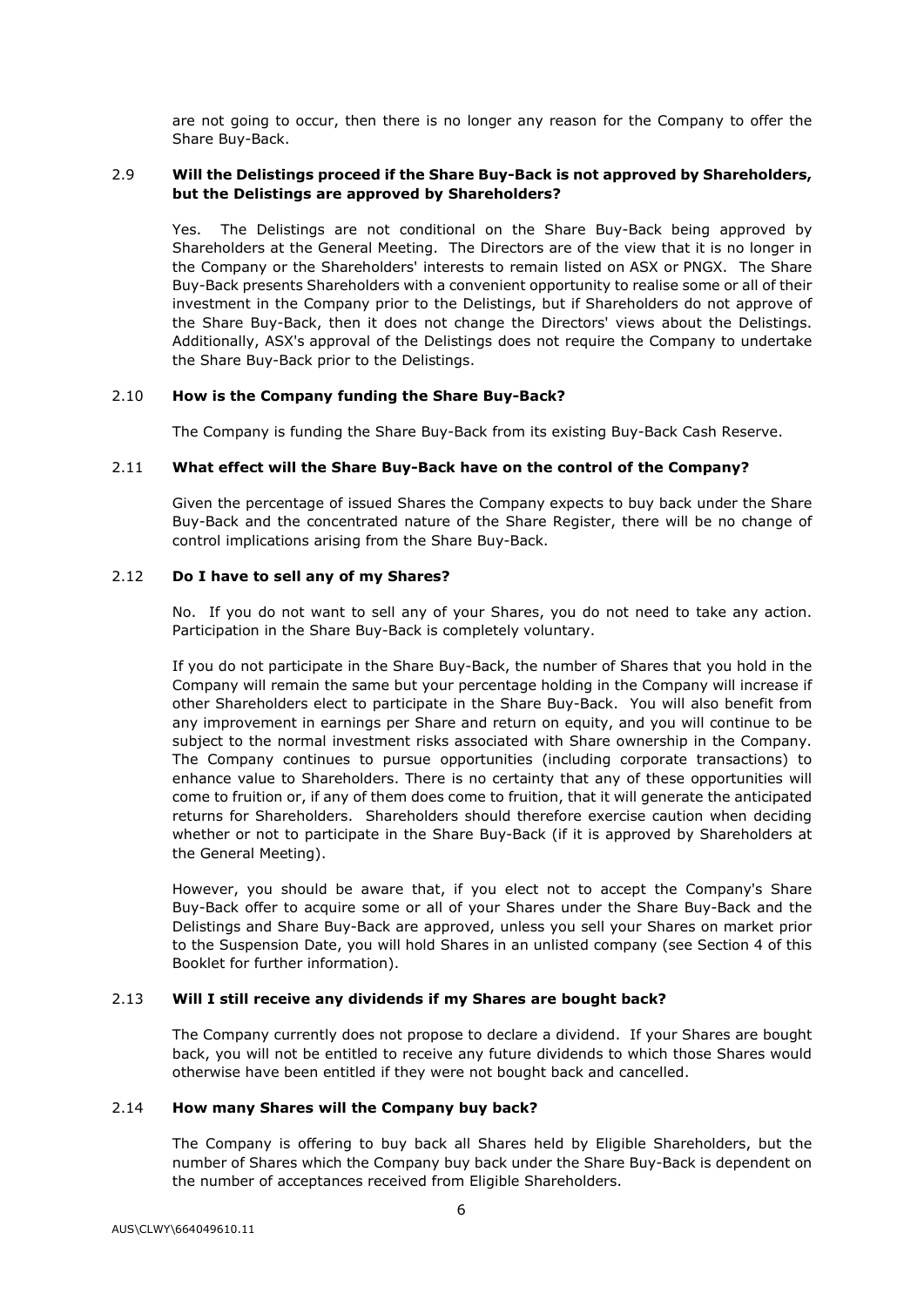are not going to occur, then there is no longer any reason for the Company to offer the Share Buy-Back.

# 2.9 **Will the Delistings proceed if the Share Buy-Back is not approved by Shareholders, but the Delistings are approved by Shareholders?**

Yes. The Delistings are not conditional on the Share Buy-Back being approved by Shareholders at the General Meeting. The Directors are of the view that it is no longer in the Company or the Shareholders' interests to remain listed on ASX or PNGX. The Share Buy-Back presents Shareholders with a convenient opportunity to realise some or all of their investment in the Company prior to the Delistings, but if Shareholders do not approve of the Share Buy-Back, then it does not change the Directors' views about the Delistings. Additionally, ASX's approval of the Delistings does not require the Company to undertake the Share Buy-Back prior to the Delistings.

# 2.10 **How is the Company funding the Share Buy-Back?**

The Company is funding the Share Buy-Back from its existing Buy-Back Cash Reserve.

# 2.11 **What effect will the Share Buy-Back have on the control of the Company?**

Given the percentage of issued Shares the Company expects to buy back under the Share Buy-Back and the concentrated nature of the Share Register, there will be no change of control implications arising from the Share Buy-Back.

# 2.12 **Do I have to sell any of my Shares?**

No. If you do not want to sell any of your Shares, you do not need to take any action. Participation in the Share Buy-Back is completely voluntary.

If you do not participate in the Share Buy-Back, the number of Shares that you hold in the Company will remain the same but your percentage holding in the Company will increase if other Shareholders elect to participate in the Share Buy-Back. You will also benefit from any improvement in earnings per Share and return on equity, and you will continue to be subject to the normal investment risks associated with Share ownership in the Company. The Company continues to pursue opportunities (including corporate transactions) to enhance value to Shareholders. There is no certainty that any of these opportunities will come to fruition or, if any of them does come to fruition, that it will generate the anticipated returns for Shareholders. Shareholders should therefore exercise caution when deciding whether or not to participate in the Share Buy-Back (if it is approved by Shareholders at the General Meeting).

However, you should be aware that, if you elect not to accept the Company's Share Buy-Back offer to acquire some or all of your Shares under the Share Buy-Back and the Delistings and Share Buy-Back are approved, unless you sell your Shares on market prior to the Suspension Date, you will hold Shares in an unlisted company (see Section [4](#page-33-0) of this Booklet for further information).

# 2.13 **Will I still receive any dividends if my Shares are bought back?**

The Company currently does not propose to declare a dividend. If your Shares are bought back, you will not be entitled to receive any future dividends to which those Shares would otherwise have been entitled if they were not bought back and cancelled.

# 2.14 **How many Shares will the Company buy back?**

The Company is offering to buy back all Shares held by Eligible Shareholders, but the number of Shares which the Company buy back under the Share Buy-Back is dependent on the number of acceptances received from Eligible Shareholders.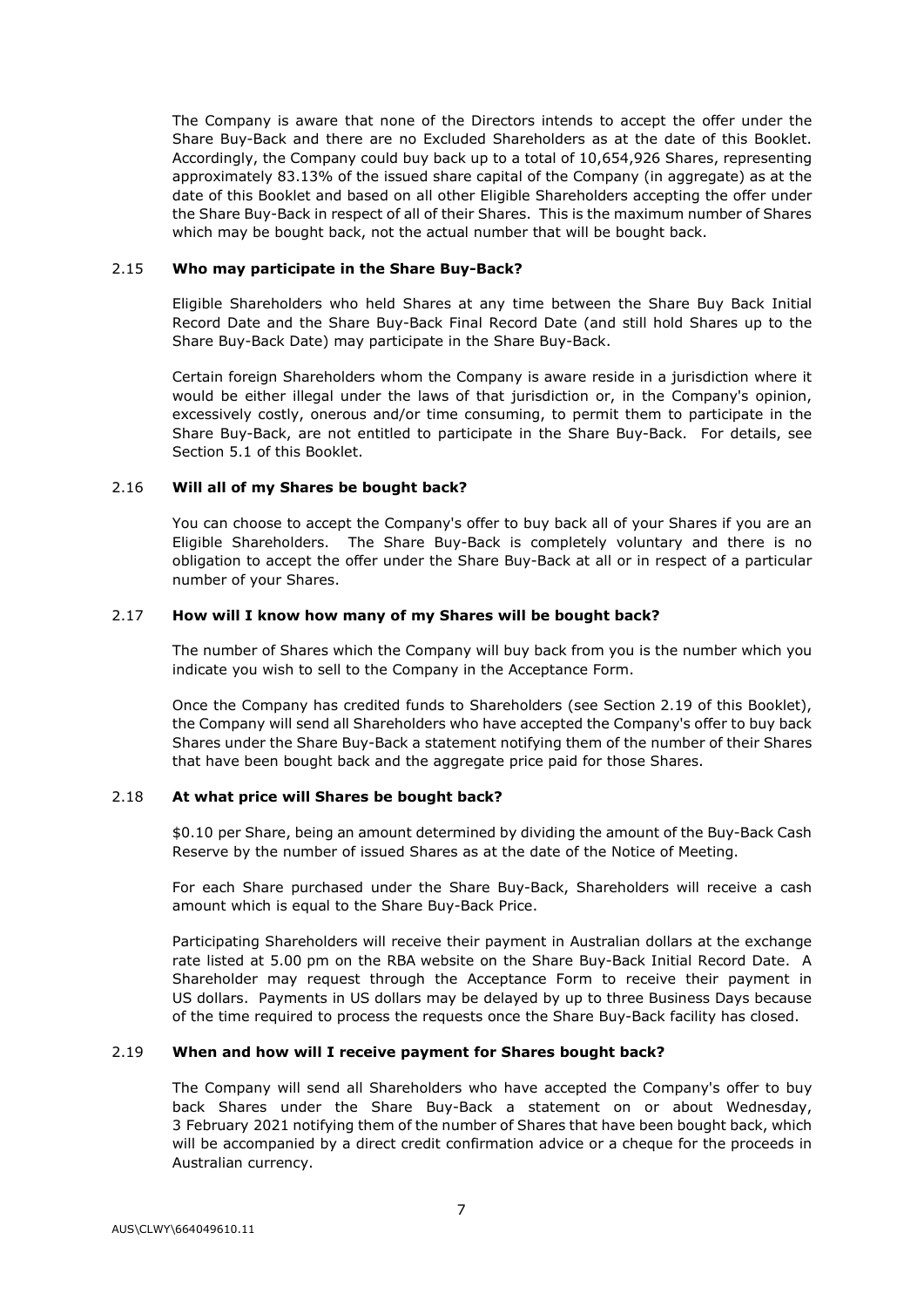The Company is aware that none of the Directors intends to accept the offer under the Share Buy-Back and there are no Excluded Shareholders as at the date of this Booklet. Accordingly, the Company could buy back up to a total of 10,654,926 Shares, representing approximately 83.13% of the issued share capital of the Company (in aggregate) as at the date of this Booklet and based on all other Eligible Shareholders accepting the offer under the Share Buy-Back in respect of all of their Shares. This is the maximum number of Shares which may be bought back, not the actual number that will be bought back.

#### 2.15 **Who may participate in the Share Buy-Back?**

Eligible Shareholders who held Shares at any time between the Share Buy Back Initial Record Date and the Share Buy-Back Final Record Date (and still hold Shares up to the Share Buy-Back Date) may participate in the Share Buy-Back.

Certain foreign Shareholders whom the Company is aware reside in a jurisdiction where it would be either illegal under the laws of that jurisdiction or, in the Company's opinion, excessively costly, onerous and/or time consuming, to permit them to participate in the Share Buy-Back, are not entitled to participate in the Share Buy-Back. For details, see Section [5.1](#page-35-0) of this Booklet.

# 2.16 **Will all of my Shares be bought back?**

You can choose to accept the Company's offer to buy back all of your Shares if you are an Eligible Shareholders. The Share Buy-Back is completely voluntary and there is no obligation to accept the offer under the Share Buy-Back at all or in respect of a particular number of your Shares.

# 2.17 **How will I know how many of my Shares will be bought back?**

The number of Shares which the Company will buy back from you is the number which you indicate you wish to sell to the Company in the Acceptance Form.

Once the Company has credited funds to Shareholders (see Section [2.19](#page-30-0) of this Booklet), the Company will send all Shareholders who have accepted the Company's offer to buy back Shares under the Share Buy-Back a statement notifying them of the number of their Shares that have been bought back and the aggregate price paid for those Shares.

# 2.18 **At what price will Shares be bought back?**

\$0.10 per Share, being an amount determined by dividing the amount of the Buy-Back Cash Reserve by the number of issued Shares as at the date of the Notice of Meeting.

For each Share purchased under the Share Buy-Back, Shareholders will receive a cash amount which is equal to the Share Buy-Back Price.

Participating Shareholders will receive their payment in Australian dollars at the exchange rate listed at 5.00 pm on the RBA website on the Share Buy-Back Initial Record Date. A Shareholder may request through the Acceptance Form to receive their payment in US dollars. Payments in US dollars may be delayed by up to three Business Days because of the time required to process the requests once the Share Buy-Back facility has closed.

# <span id="page-30-0"></span>2.19 **When and how will I receive payment for Shares bought back?**

The Company will send all Shareholders who have accepted the Company's offer to buy back Shares under the Share Buy-Back a statement on or about Wednesday, 3 February 2021 notifying them of the number of Shares that have been bought back, which will be accompanied by a direct credit confirmation advice or a cheque for the proceeds in Australian currency.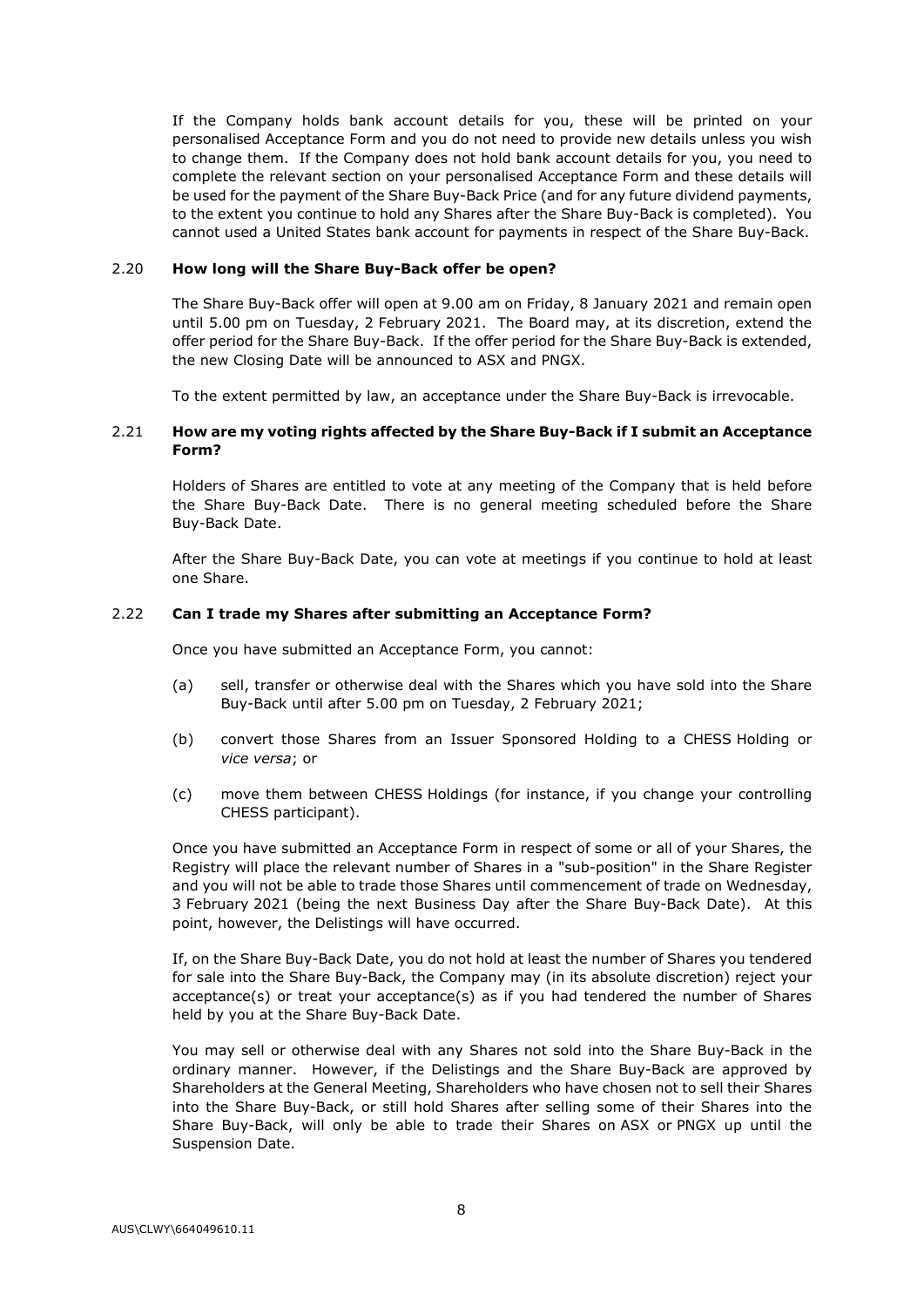If the Company holds bank account details for you, these will be printed on your personalised Acceptance Form and you do not need to provide new details unless you wish to change them. If the Company does not hold bank account details for you, you need to complete the relevant section on your personalised Acceptance Form and these details will be used for the payment of the Share Buy-Back Price (and for any future dividend payments, to the extent you continue to hold any Shares after the Share Buy-Back is completed). You cannot used a United States bank account for payments in respect of the Share Buy-Back.

#### 2.20 **How long will the Share Buy-Back offer be open?**

The Share Buy-Back offer will open at 9.00 am on Friday, 8 January 2021 and remain open until 5.00 pm on Tuesday, 2 February 2021. The Board may, at its discretion, extend the offer period for the Share Buy-Back. If the offer period for the Share Buy-Back is extended, the new Closing Date will be announced to ASX and PNGX.

To the extent permitted by law, an acceptance under the Share Buy-Back is irrevocable.

# 2.21 **How are my voting rights affected by the Share Buy-Back if I submit an Acceptance Form?**

Holders of Shares are entitled to vote at any meeting of the Company that is held before the Share Buy-Back Date. There is no general meeting scheduled before the Share Buy-Back Date.

After the Share Buy-Back Date, you can vote at meetings if you continue to hold at least one Share.

#### 2.22 **Can I trade my Shares after submitting an Acceptance Form?**

Once you have submitted an Acceptance Form, you cannot:

- (a) sell, transfer or otherwise deal with the Shares which you have sold into the Share Buy-Back until after 5.00 pm on Tuesday, 2 February 2021;
- (b) convert those Shares from an Issuer Sponsored Holding to a CHESS Holding or *vice versa*; or
- (c) move them between CHESS Holdings (for instance, if you change your controlling CHESS participant).

Once you have submitted an Acceptance Form in respect of some or all of your Shares, the Registry will place the relevant number of Shares in a "sub-position" in the Share Register and you will not be able to trade those Shares until commencement of trade on Wednesday, 3 February 2021 (being the next Business Day after the Share Buy-Back Date). At this point, however, the Delistings will have occurred.

If, on the Share Buy-Back Date, you do not hold at least the number of Shares you tendered for sale into the Share Buy-Back, the Company may (in its absolute discretion) reject your acceptance(s) or treat your acceptance(s) as if you had tendered the number of Shares held by you at the Share Buy-Back Date.

You may sell or otherwise deal with any Shares not sold into the Share Buy-Back in the ordinary manner. However, if the Delistings and the Share Buy-Back are approved by Shareholders at the General Meeting, Shareholders who have chosen not to sell their Shares into the Share Buy-Back, or still hold Shares after selling some of their Shares into the Share Buy-Back, will only be able to trade their Shares on ASX or PNGX up until the Suspension Date.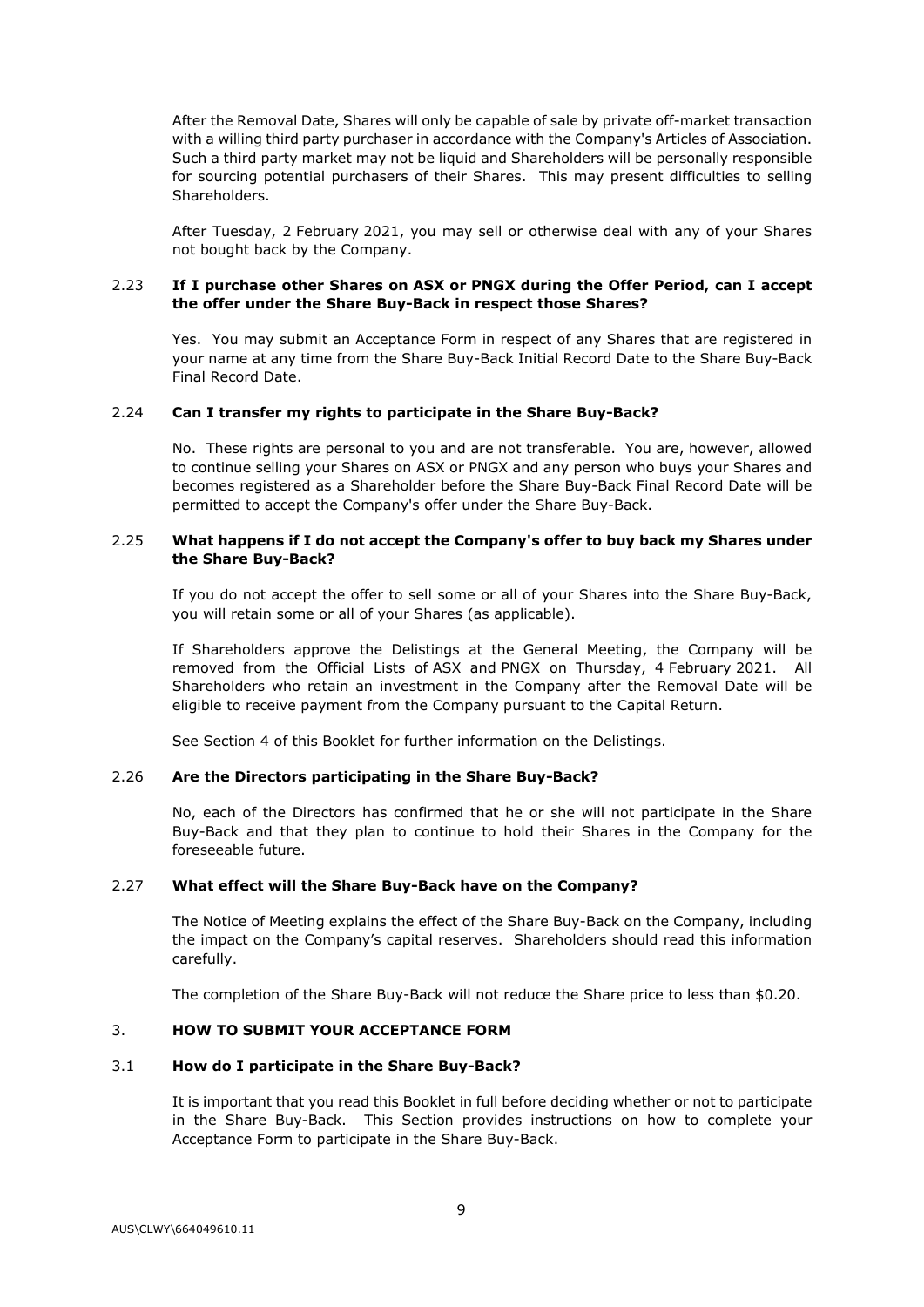After the Removal Date, Shares will only be capable of sale by private off-market transaction with a willing third party purchaser in accordance with the Company's Articles of Association. Such a third party market may not be liquid and Shareholders will be personally responsible for sourcing potential purchasers of their Shares. This may present difficulties to selling Shareholders.

After Tuesday, 2 February 2021, you may sell or otherwise deal with any of your Shares not bought back by the Company.

# 2.23 **If I purchase other Shares on ASX or PNGX during the Offer Period, can I accept the offer under the Share Buy-Back in respect those Shares?**

Yes. You may submit an Acceptance Form in respect of any Shares that are registered in your name at any time from the Share Buy-Back Initial Record Date to the Share Buy-Back Final Record Date.

# 2.24 **Can I transfer my rights to participate in the Share Buy-Back?**

No. These rights are personal to you and are not transferable. You are, however, allowed to continue selling your Shares on ASX or PNGX and any person who buys your Shares and becomes registered as a Shareholder before the Share Buy-Back Final Record Date will be permitted to accept the Company's offer under the Share Buy-Back.

# 2.25 **What happens if I do not accept the Company's offer to buy back my Shares under the Share Buy-Back?**

If you do not accept the offer to sell some or all of your Shares into the Share Buy-Back, you will retain some or all of your Shares (as applicable).

If Shareholders approve the Delistings at the General Meeting, the Company will be removed from the Official Lists of ASX and PNGX on Thursday, 4 February 2021. All Shareholders who retain an investment in the Company after the Removal Date will be eligible to receive payment from the Company pursuant to the Capital Return.

See Section [4](#page-33-0) of this Booklet for further information on the Delistings.

# 2.26 **Are the Directors participating in the Share Buy-Back?**

No, each of the Directors has confirmed that he or she will not participate in the Share Buy-Back and that they plan to continue to hold their Shares in the Company for the foreseeable future.

# 2.27 **What effect will the Share Buy-Back have on the Company?**

The Notice of Meeting explains the effect of the Share Buy-Back on the Company, including the impact on the Company's capital reserves. Shareholders should read this information carefully.

The completion of the Share Buy-Back will not reduce the Share price to less than \$0.20.

# <span id="page-32-0"></span>3. **HOW TO SUBMIT YOUR ACCEPTANCE FORM**

# 3.1 **How do I participate in the Share Buy-Back?**

It is important that you read this Booklet in full before deciding whether or not to participate in the Share Buy-Back. This Section provides instructions on how to complete your Acceptance Form to participate in the Share Buy-Back.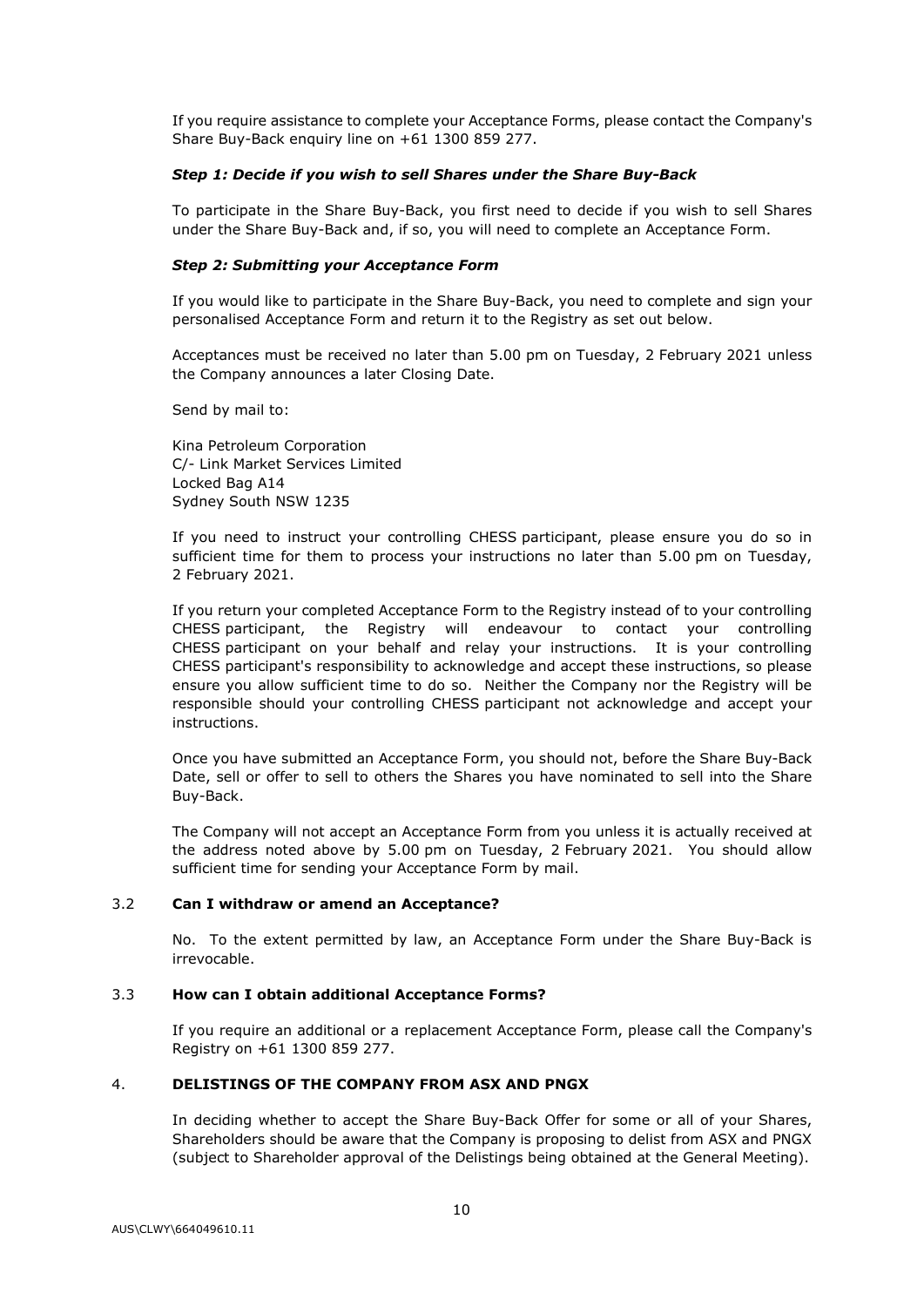If you require assistance to complete your Acceptance Forms, please contact the Company's Share Buy-Back enquiry line on +61 1300 859 277.

# *Step 1: Decide if you wish to sell Shares under the Share Buy-Back*

To participate in the Share Buy-Back, you first need to decide if you wish to sell Shares under the Share Buy-Back and, if so, you will need to complete an Acceptance Form.

# *Step 2: Submitting your Acceptance Form*

If you would like to participate in the Share Buy-Back, you need to complete and sign your personalised Acceptance Form and return it to the Registry as set out below.

Acceptances must be received no later than 5.00 pm on Tuesday, 2 February 2021 unless the Company announces a later Closing Date.

Send by mail to:

Kina Petroleum Corporation C/- Link Market Services Limited Locked Bag A14 Sydney South NSW 1235

If you need to instruct your controlling CHESS participant, please ensure you do so in sufficient time for them to process your instructions no later than 5.00 pm on Tuesday, 2 February 2021.

If you return your completed Acceptance Form to the Registry instead of to your controlling CHESS participant, the Registry will endeavour to contact your controlling CHESS participant on your behalf and relay your instructions. It is your controlling CHESS participant's responsibility to acknowledge and accept these instructions, so please ensure you allow sufficient time to do so. Neither the Company nor the Registry will be responsible should your controlling CHESS participant not acknowledge and accept your instructions.

Once you have submitted an Acceptance Form, you should not, before the Share Buy-Back Date, sell or offer to sell to others the Shares you have nominated to sell into the Share Buy-Back.

The Company will not accept an Acceptance Form from you unless it is actually received at the address noted above by 5.00 pm on Tuesday, 2 February 2021. You should allow sufficient time for sending your Acceptance Form by mail.

# 3.2 **Can I withdraw or amend an Acceptance?**

No. To the extent permitted by law, an Acceptance Form under the Share Buy-Back is irrevocable.

#### 3.3 **How can I obtain additional Acceptance Forms?**

If you require an additional or a replacement Acceptance Form, please call the Company's Registry on +61 1300 859 277.

#### <span id="page-33-0"></span>4. **DELISTINGS OF THE COMPANY FROM ASX AND PNGX**

In deciding whether to accept the Share Buy-Back Offer for some or all of your Shares, Shareholders should be aware that the Company is proposing to delist from ASX and PNGX (subject to Shareholder approval of the Delistings being obtained at the General Meeting).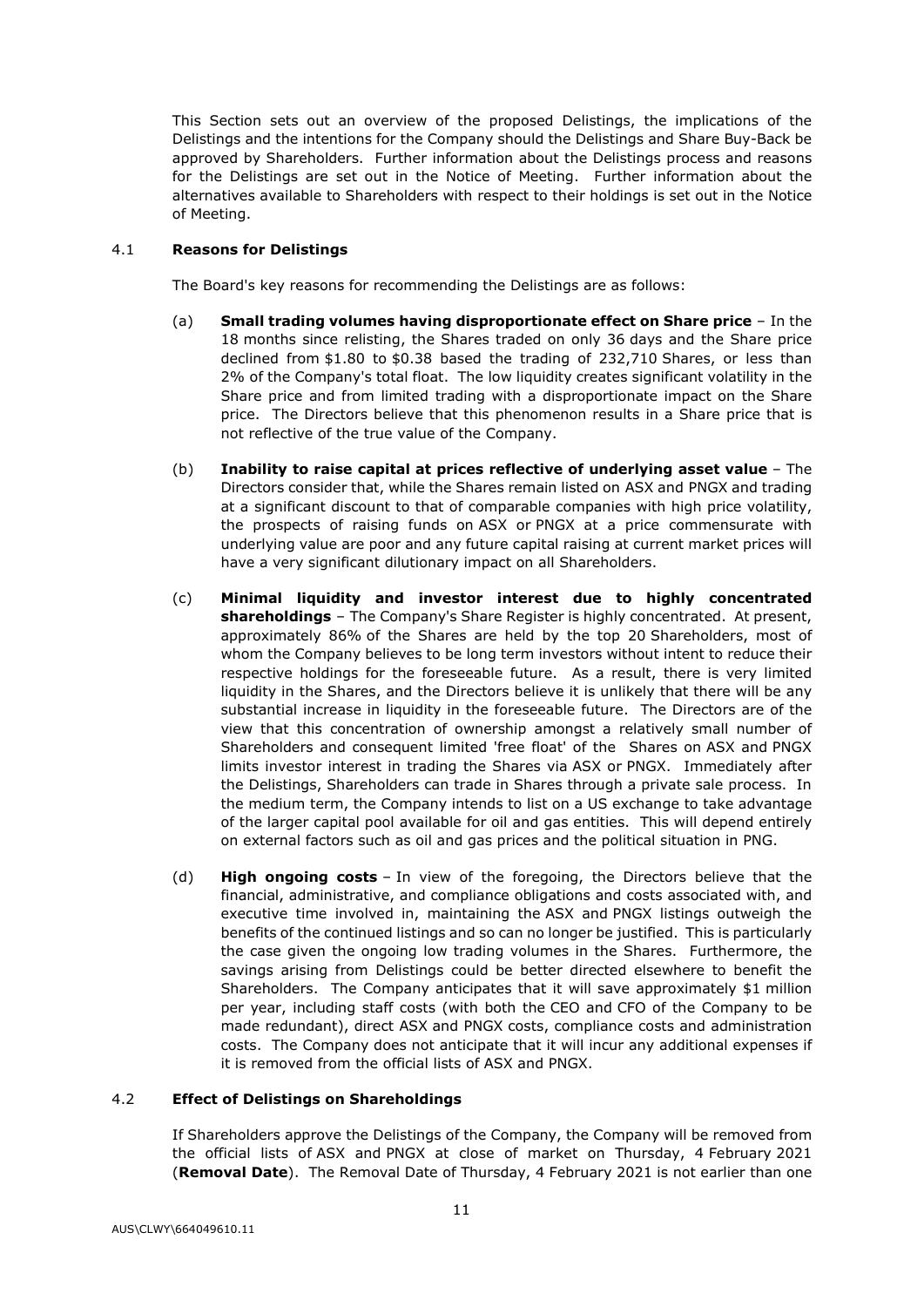This Section sets out an overview of the proposed Delistings, the implications of the Delistings and the intentions for the Company should the Delistings and Share Buy-Back be approved by Shareholders. Further information about the Delistings process and reasons for the Delistings are set out in the Notice of Meeting. Further information about the alternatives available to Shareholders with respect to their holdings is set out in the Notice of Meeting.

# 4.1 **Reasons for Delistings**

The Board's key reasons for recommending the Delistings are as follows:

- (a) **Small trading volumes having disproportionate effect on Share price** In the 18 months since relisting, the Shares traded on only 36 days and the Share price declined from \$1.80 to \$0.38 based the trading of 232,710 Shares, or less than 2% of the Company's total float. The low liquidity creates significant volatility in the Share price and from limited trading with a disproportionate impact on the Share price. The Directors believe that this phenomenon results in a Share price that is not reflective of the true value of the Company.
- (b) **Inability to raise capital at prices reflective of underlying asset value** The Directors consider that, while the Shares remain listed on ASX and PNGX and trading at a significant discount to that of comparable companies with high price volatility, the prospects of raising funds on ASX or PNGX at a price commensurate with underlying value are poor and any future capital raising at current market prices will have a very significant dilutionary impact on all Shareholders.
- (c) **Minimal liquidity and investor interest due to highly concentrated shareholdings** – The Company's Share Register is highly concentrated. At present, approximately 86% of the Shares are held by the top 20 Shareholders, most of whom the Company believes to be long term investors without intent to reduce their respective holdings for the foreseeable future. As a result, there is very limited liquidity in the Shares, and the Directors believe it is unlikely that there will be any substantial increase in liquidity in the foreseeable future. The Directors are of the view that this concentration of ownership amongst a relatively small number of Shareholders and consequent limited 'free float' of the Shares on ASX and PNGX limits investor interest in trading the Shares via ASX or PNGX. Immediately after the Delistings, Shareholders can trade in Shares through a private sale process. In the medium term, the Company intends to list on a US exchange to take advantage of the larger capital pool available for oil and gas entities. This will depend entirely on external factors such as oil and gas prices and the political situation in PNG.
- (d) **High ongoing costs** In view of the foregoing, the Directors believe that the financial, administrative, and compliance obligations and costs associated with, and executive time involved in, maintaining the ASX and PNGX listings outweigh the benefits of the continued listings and so can no longer be justified. This is particularly the case given the ongoing low trading volumes in the Shares. Furthermore, the savings arising from Delistings could be better directed elsewhere to benefit the Shareholders. The Company anticipates that it will save approximately \$1 million per year, including staff costs (with both the CEO and CFO of the Company to be made redundant), direct ASX and PNGX costs, compliance costs and administration costs. The Company does not anticipate that it will incur any additional expenses if it is removed from the official lists of ASX and PNGX.

# 4.2 **Effect of Delistings on Shareholdings**

If Shareholders approve the Delistings of the Company, the Company will be removed from the official lists of ASX and PNGX at close of market on Thursday, 4 February 2021 (**Removal Date**). The Removal Date of Thursday, 4 February 2021 is not earlier than one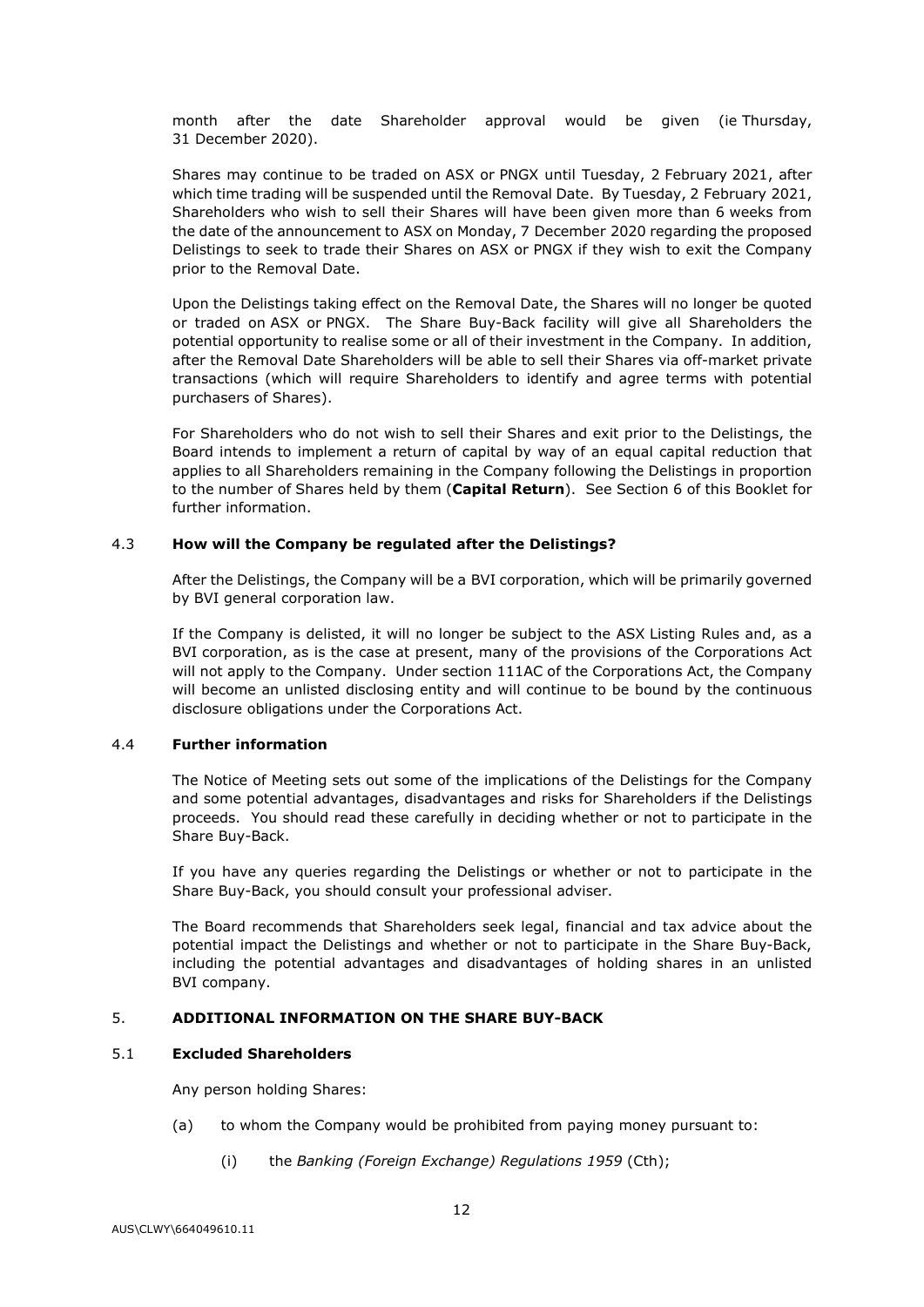month after the date Shareholder approval would be given (ie Thursday, 31 December 2020).

Shares may continue to be traded on ASX or PNGX until Tuesday, 2 February 2021, after which time trading will be suspended until the Removal Date. By Tuesday, 2 February 2021, Shareholders who wish to sell their Shares will have been given more than 6 weeks from the date of the announcement to ASX on Monday, 7 December 2020 regarding the proposed Delistings to seek to trade their Shares on ASX or PNGX if they wish to exit the Company prior to the Removal Date.

Upon the Delistings taking effect on the Removal Date, the Shares will no longer be quoted or traded on ASX or PNGX. The Share Buy-Back facility will give all Shareholders the potential opportunity to realise some or all of their investment in the Company. In addition, after the Removal Date Shareholders will be able to sell their Shares via off-market private transactions (which will require Shareholders to identify and agree terms with potential purchasers of Shares).

For Shareholders who do not wish to sell their Shares and exit prior to the Delistings, the Board intends to implement a return of capital by way of an equal capital reduction that applies to all Shareholders remaining in the Company following the Delistings in proportion to the number of Shares held by them (**Capital Return**). See Section [6](#page-40-0) of this Booklet for further information.

#### 4.3 **How will the Company be regulated after the Delistings?**

After the Delistings, the Company will be a BVI corporation, which will be primarily governed by BVI general corporation law.

If the Company is delisted, it will no longer be subject to the ASX Listing Rules and, as a BVI corporation, as is the case at present, many of the provisions of the Corporations Act will not apply to the Company. Under section 111AC of the Corporations Act, the Company will become an unlisted disclosing entity and will continue to be bound by the continuous disclosure obligations under the Corporations Act.

# 4.4 **Further information**

The Notice of Meeting sets out some of the implications of the Delistings for the Company and some potential advantages, disadvantages and risks for Shareholders if the Delistings proceeds. You should read these carefully in deciding whether or not to participate in the Share Buy-Back.

If you have any queries regarding the Delistings or whether or not to participate in the Share Buy-Back, you should consult your professional adviser.

The Board recommends that Shareholders seek legal, financial and tax advice about the potential impact the Delistings and whether or not to participate in the Share Buy-Back, including the potential advantages and disadvantages of holding shares in an unlisted BVI company.

# <span id="page-35-1"></span>5. **ADDITIONAL INFORMATION ON THE SHARE BUY-BACK**

# <span id="page-35-0"></span>5.1 **Excluded Shareholders**

Any person holding Shares:

- (a) to whom the Company would be prohibited from paying money pursuant to:
	- (i) the *Banking (Foreign Exchange) Regulations 1959* (Cth);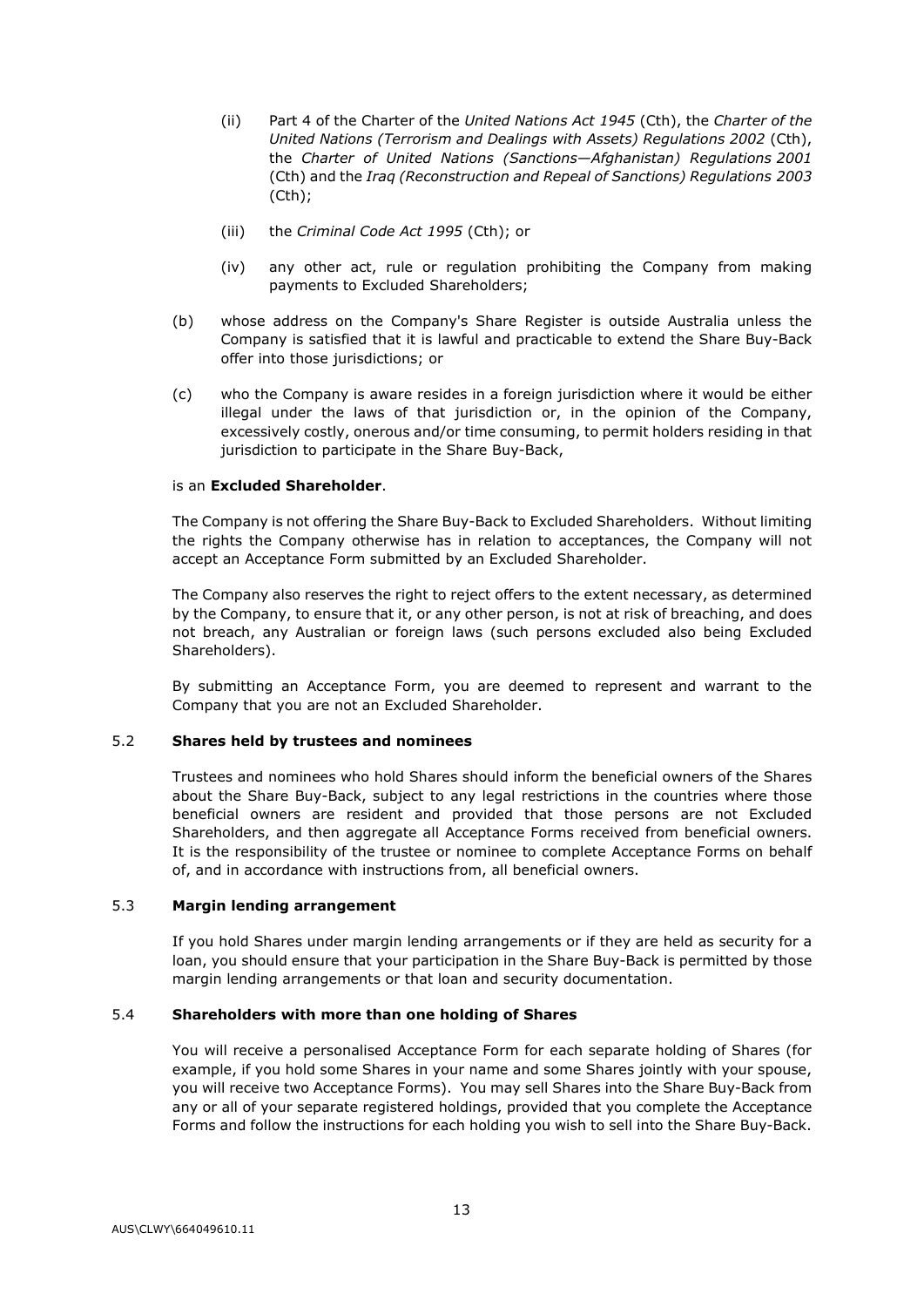- (ii) Part 4 of the Charter of the *United Nations Act 1945* (Cth), the *Charter of the United Nations (Terrorism and Dealings with Assets) Regulations 2002* (Cth), the *Charter of United Nations (Sanctions—Afghanistan) Regulations 2001* (Cth) and the *Iraq (Reconstruction and Repeal of Sanctions) Regulations 2003* (Cth);
- (iii) the *Criminal Code Act 1995* (Cth); or
- (iv) any other act, rule or regulation prohibiting the Company from making payments to Excluded Shareholders;
- (b) whose address on the Company's Share Register is outside Australia unless the Company is satisfied that it is lawful and practicable to extend the Share Buy-Back offer into those jurisdictions; or
- (c) who the Company is aware resides in a foreign jurisdiction where it would be either illegal under the laws of that jurisdiction or, in the opinion of the Company, excessively costly, onerous and/or time consuming, to permit holders residing in that jurisdiction to participate in the Share Buy-Back,

# is an **Excluded Shareholder**.

The Company is not offering the Share Buy-Back to Excluded Shareholders. Without limiting the rights the Company otherwise has in relation to acceptances, the Company will not accept an Acceptance Form submitted by an Excluded Shareholder.

The Company also reserves the right to reject offers to the extent necessary, as determined by the Company, to ensure that it, or any other person, is not at risk of breaching, and does not breach, any Australian or foreign laws (such persons excluded also being Excluded Shareholders).

By submitting an Acceptance Form, you are deemed to represent and warrant to the Company that you are not an Excluded Shareholder.

# 5.2 **Shares held by trustees and nominees**

Trustees and nominees who hold Shares should inform the beneficial owners of the Shares about the Share Buy-Back, subject to any legal restrictions in the countries where those beneficial owners are resident and provided that those persons are not Excluded Shareholders, and then aggregate all Acceptance Forms received from beneficial owners. It is the responsibility of the trustee or nominee to complete Acceptance Forms on behalf of, and in accordance with instructions from, all beneficial owners.

# 5.3 **Margin lending arrangement**

If you hold Shares under margin lending arrangements or if they are held as security for a loan, you should ensure that your participation in the Share Buy-Back is permitted by those margin lending arrangements or that loan and security documentation.

# 5.4 **Shareholders with more than one holding of Shares**

You will receive a personalised Acceptance Form for each separate holding of Shares (for example, if you hold some Shares in your name and some Shares jointly with your spouse, you will receive two Acceptance Forms). You may sell Shares into the Share Buy-Back from any or all of your separate registered holdings, provided that you complete the Acceptance Forms and follow the instructions for each holding you wish to sell into the Share Buy-Back.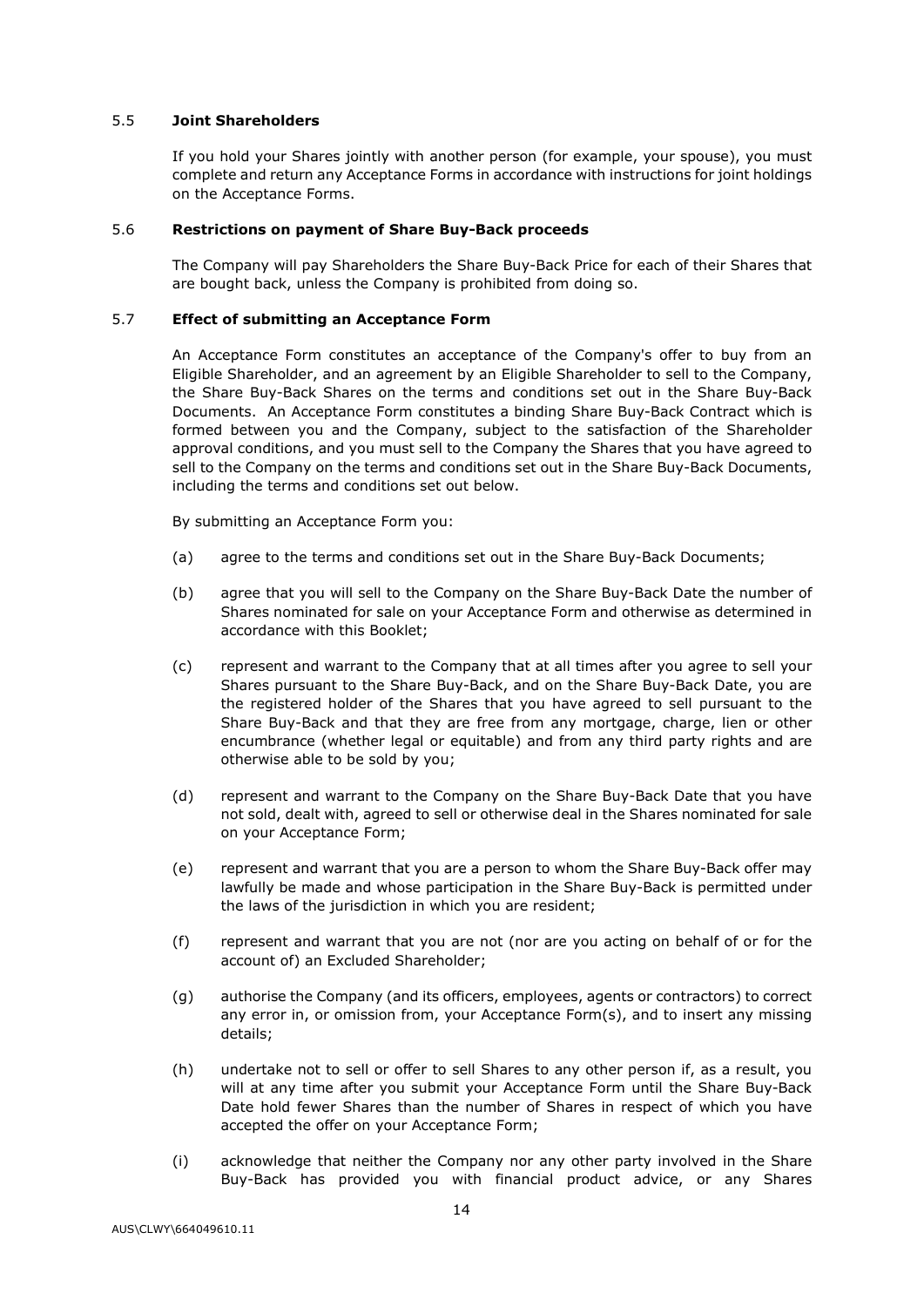# 5.5 **Joint Shareholders**

If you hold your Shares jointly with another person (for example, your spouse), you must complete and return any Acceptance Forms in accordance with instructions for joint holdings on the Acceptance Forms.

#### 5.6 **Restrictions on payment of Share Buy-Back proceeds**

The Company will pay Shareholders the Share Buy-Back Price for each of their Shares that are bought back, unless the Company is prohibited from doing so.

# <span id="page-37-0"></span>5.7 **Effect of submitting an Acceptance Form**

An Acceptance Form constitutes an acceptance of the Company's offer to buy from an Eligible Shareholder, and an agreement by an Eligible Shareholder to sell to the Company, the Share Buy-Back Shares on the terms and conditions set out in the Share Buy-Back Documents. An Acceptance Form constitutes a binding Share Buy-Back Contract which is formed between you and the Company, subject to the satisfaction of the Shareholder approval conditions, and you must sell to the Company the Shares that you have agreed to sell to the Company on the terms and conditions set out in the Share Buy-Back Documents, including the terms and conditions set out below.

By submitting an Acceptance Form you:

- (a) agree to the terms and conditions set out in the Share Buy-Back Documents;
- (b) agree that you will sell to the Company on the Share Buy-Back Date the number of Shares nominated for sale on your Acceptance Form and otherwise as determined in accordance with this Booklet;
- (c) represent and warrant to the Company that at all times after you agree to sell your Shares pursuant to the Share Buy-Back, and on the Share Buy-Back Date, you are the registered holder of the Shares that you have agreed to sell pursuant to the Share Buy-Back and that they are free from any mortgage, charge, lien or other encumbrance (whether legal or equitable) and from any third party rights and are otherwise able to be sold by you;
- (d) represent and warrant to the Company on the Share Buy-Back Date that you have not sold, dealt with, agreed to sell or otherwise deal in the Shares nominated for sale on your Acceptance Form;
- (e) represent and warrant that you are a person to whom the Share Buy-Back offer may lawfully be made and whose participation in the Share Buy-Back is permitted under the laws of the jurisdiction in which you are resident;
- (f) represent and warrant that you are not (nor are you acting on behalf of or for the account of) an Excluded Shareholder;
- (g) authorise the Company (and its officers, employees, agents or contractors) to correct any error in, or omission from, your Acceptance Form(s), and to insert any missing details;
- (h) undertake not to sell or offer to sell Shares to any other person if, as a result, you will at any time after you submit your Acceptance Form until the Share Buy-Back Date hold fewer Shares than the number of Shares in respect of which you have accepted the offer on your Acceptance Form;
- (i) acknowledge that neither the Company nor any other party involved in the Share Buy-Back has provided you with financial product advice, or any Shares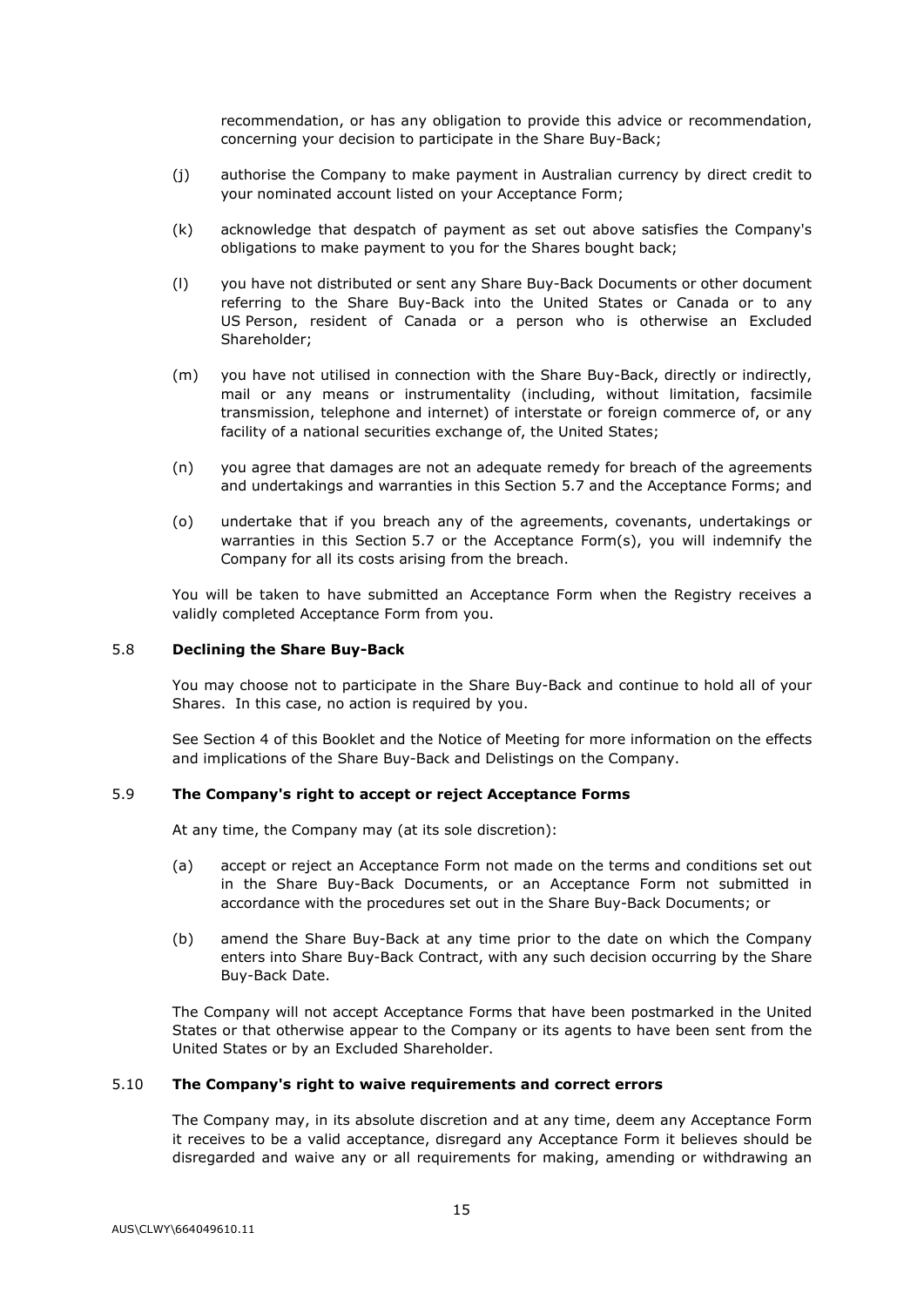recommendation, or has any obligation to provide this advice or recommendation, concerning your decision to participate in the Share Buy-Back;

- (j) authorise the Company to make payment in Australian currency by direct credit to your nominated account listed on your Acceptance Form;
- (k) acknowledge that despatch of payment as set out above satisfies the Company's obligations to make payment to you for the Shares bought back;
- (l) you have not distributed or sent any Share Buy-Back Documents or other document referring to the Share Buy-Back into the United States or Canada or to any US Person, resident of Canada or a person who is otherwise an Excluded Shareholder;
- (m) you have not utilised in connection with the Share Buy-Back, directly or indirectly, mail or any means or instrumentality (including, without limitation, facsimile transmission, telephone and internet) of interstate or foreign commerce of, or any facility of a national securities exchange of, the United States;
- (n) you agree that damages are not an adequate remedy for breach of the agreements and undertakings and warranties in this Section [5.7](#page-37-0) and the Acceptance Forms; and
- (o) undertake that if you breach any of the agreements, covenants, undertakings or warranties in this Section [5.7](#page-37-0) or the Acceptance Form(s), you will indemnify the Company for all its costs arising from the breach.

You will be taken to have submitted an Acceptance Form when the Registry receives a validly completed Acceptance Form from you.

#### 5.8 **Declining the Share Buy-Back**

You may choose not to participate in the Share Buy-Back and continue to hold all of your Shares. In this case, no action is required by you.

See Section [4](#page-33-0) of this Booklet and the Notice of Meeting for more information on the effects and implications of the Share Buy-Back and Delistings on the Company.

# 5.9 **The Company's right to accept or reject Acceptance Forms**

At any time, the Company may (at its sole discretion):

- (a) accept or reject an Acceptance Form not made on the terms and conditions set out in the Share Buy-Back Documents, or an Acceptance Form not submitted in accordance with the procedures set out in the Share Buy-Back Documents; or
- (b) amend the Share Buy-Back at any time prior to the date on which the Company enters into Share Buy-Back Contract, with any such decision occurring by the Share Buy-Back Date.

The Company will not accept Acceptance Forms that have been postmarked in the United States or that otherwise appear to the Company or its agents to have been sent from the United States or by an Excluded Shareholder.

# 5.10 **The Company's right to waive requirements and correct errors**

The Company may, in its absolute discretion and at any time, deem any Acceptance Form it receives to be a valid acceptance, disregard any Acceptance Form it believes should be disregarded and waive any or all requirements for making, amending or withdrawing an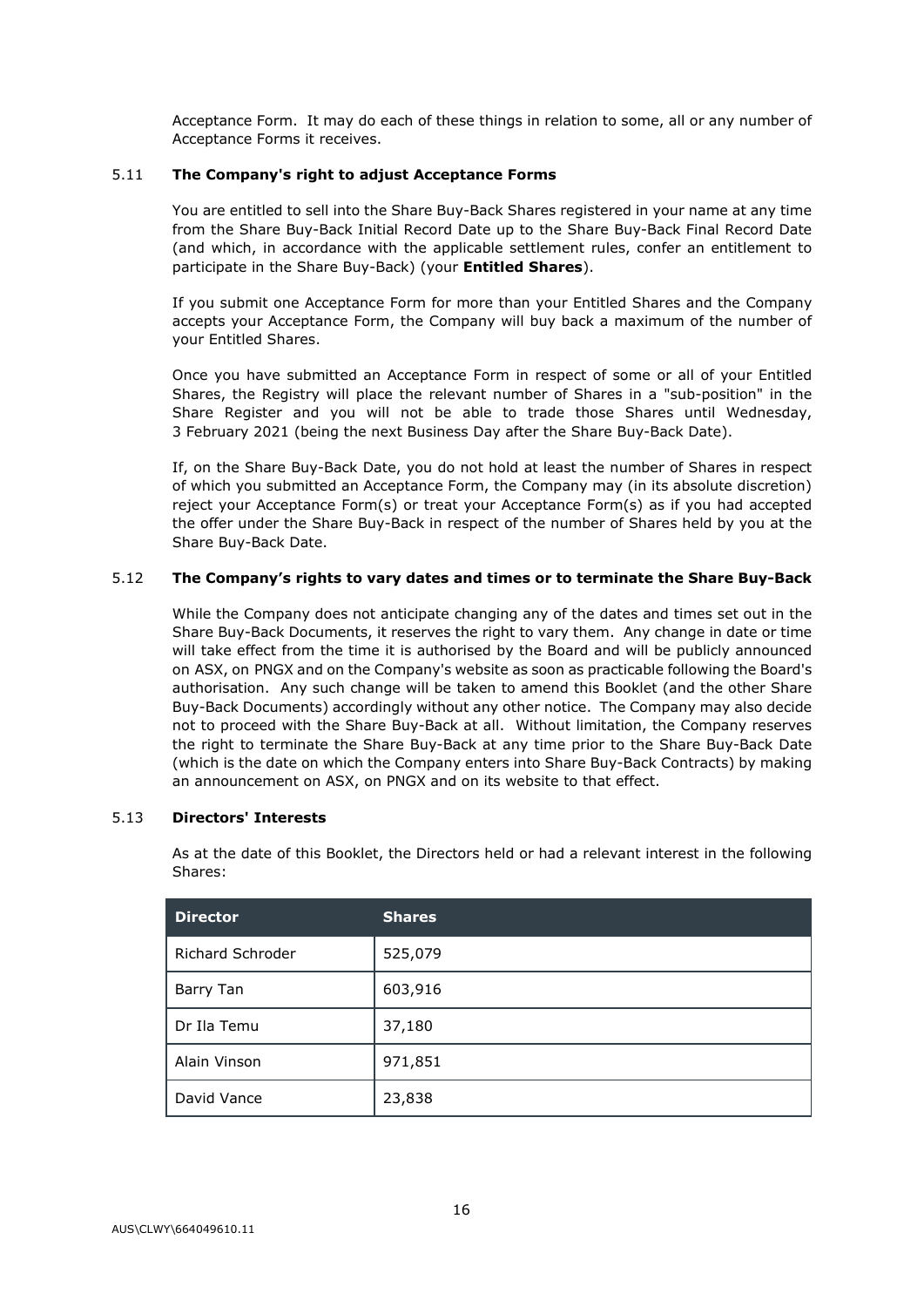Acceptance Form. It may do each of these things in relation to some, all or any number of Acceptance Forms it receives.

# 5.11 **The Company's right to adjust Acceptance Forms**

You are entitled to sell into the Share Buy-Back Shares registered in your name at any time from the Share Buy-Back Initial Record Date up to the Share Buy-Back Final Record Date (and which, in accordance with the applicable settlement rules, confer an entitlement to participate in the Share Buy-Back) (your **Entitled Shares**).

If you submit one Acceptance Form for more than your Entitled Shares and the Company accepts your Acceptance Form, the Company will buy back a maximum of the number of your Entitled Shares.

Once you have submitted an Acceptance Form in respect of some or all of your Entitled Shares, the Registry will place the relevant number of Shares in a "sub-position" in the Share Register and you will not be able to trade those Shares until Wednesday, 3 February 2021 (being the next Business Day after the Share Buy-Back Date).

If, on the Share Buy-Back Date, you do not hold at least the number of Shares in respect of which you submitted an Acceptance Form, the Company may (in its absolute discretion) reject your Acceptance Form(s) or treat your Acceptance Form(s) as if you had accepted the offer under the Share Buy-Back in respect of the number of Shares held by you at the Share Buy-Back Date.

# 5.12 **The Company's rights to vary dates and times or to terminate the Share Buy-Back**

While the Company does not anticipate changing any of the dates and times set out in the Share Buy-Back Documents, it reserves the right to vary them. Any change in date or time will take effect from the time it is authorised by the Board and will be publicly announced on ASX, on PNGX and on the Company's website as soon as practicable following the Board's authorisation. Any such change will be taken to amend this Booklet (and the other Share Buy-Back Documents) accordingly without any other notice. The Company may also decide not to proceed with the Share Buy-Back at all. Without limitation, the Company reserves the right to terminate the Share Buy-Back at any time prior to the Share Buy-Back Date (which is the date on which the Company enters into Share Buy-Back Contracts) by making an announcement on ASX, on PNGX and on its website to that effect.

# 5.13 **Directors' Interests**

As at the date of this Booklet, the Directors held or had a relevant interest in the following Shares:

| <b>Director</b>         | <b>Shares</b> |
|-------------------------|---------------|
| <b>Richard Schroder</b> | 525,079       |
| Barry Tan               | 603,916       |
| Dr Ila Temu             | 37,180        |
| Alain Vinson            | 971,851       |
| David Vance             | 23,838        |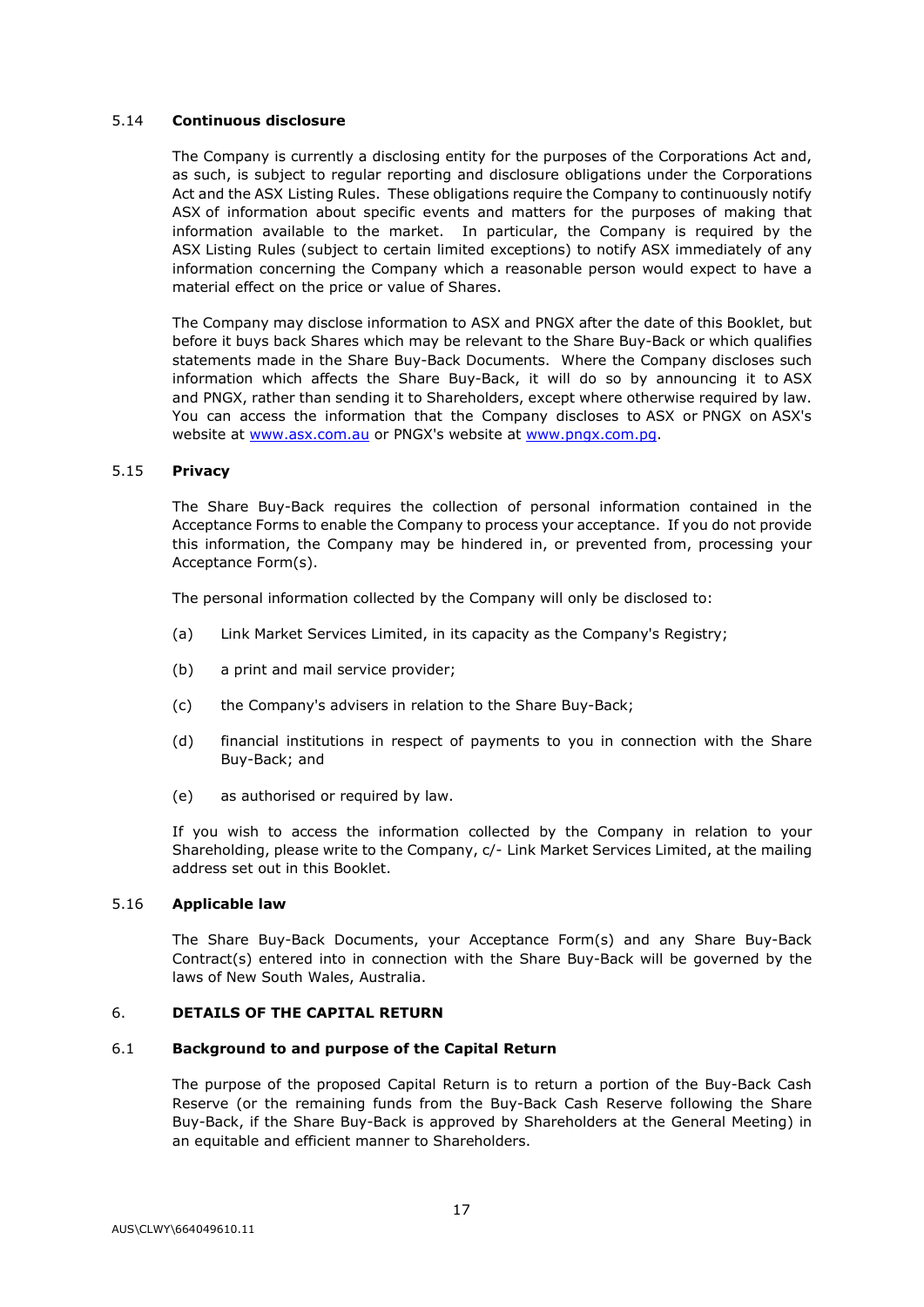# 5.14 **Continuous disclosure**

The Company is currently a disclosing entity for the purposes of the Corporations Act and, as such, is subject to regular reporting and disclosure obligations under the Corporations Act and the ASX Listing Rules. These obligations require the Company to continuously notify ASX of information about specific events and matters for the purposes of making that information available to the market. In particular, the Company is required by the ASX Listing Rules (subject to certain limited exceptions) to notify ASX immediately of any information concerning the Company which a reasonable person would expect to have a material effect on the price or value of Shares.

The Company may disclose information to ASX and PNGX after the date of this Booklet, but before it buys back Shares which may be relevant to the Share Buy-Back or which qualifies statements made in the Share Buy-Back Documents. Where the Company discloses such information which affects the Share Buy-Back, it will do so by announcing it to ASX and PNGX, rather than sending it to Shareholders, except where otherwise required by law. You can access the information that the Company discloses to ASX or PNGX on ASX's website at [www.asx.com.au](http://www.asx.com.au/) or PNGX's website at [www.pngx.com.pg.](http://www.pngx.com.pg/)

#### 5.15 **Privacy**

The Share Buy-Back requires the collection of personal information contained in the Acceptance Forms to enable the Company to process your acceptance. If you do not provide this information, the Company may be hindered in, or prevented from, processing your Acceptance Form(s).

The personal information collected by the Company will only be disclosed to:

- (a) Link Market Services Limited, in its capacity as the Company's Registry;
- (b) a print and mail service provider;
- (c) the Company's advisers in relation to the Share Buy-Back;
- (d) financial institutions in respect of payments to you in connection with the Share Buy-Back; and
- (e) as authorised or required by law.

If you wish to access the information collected by the Company in relation to your Shareholding, please write to the Company, c/- Link Market Services Limited, at the mailing address set out in this Booklet.

#### 5.16 **Applicable law**

The Share Buy-Back Documents, your Acceptance Form(s) and any Share Buy-Back Contract(s) entered into in connection with the Share Buy-Back will be governed by the laws of New South Wales, Australia.

# <span id="page-40-0"></span>6. **DETAILS OF THE CAPITAL RETURN**

#### 6.1 **Background to and purpose of the Capital Return**

The purpose of the proposed Capital Return is to return a portion of the Buy-Back Cash Reserve (or the remaining funds from the Buy-Back Cash Reserve following the Share Buy-Back, if the Share Buy-Back is approved by Shareholders at the General Meeting) in an equitable and efficient manner to Shareholders.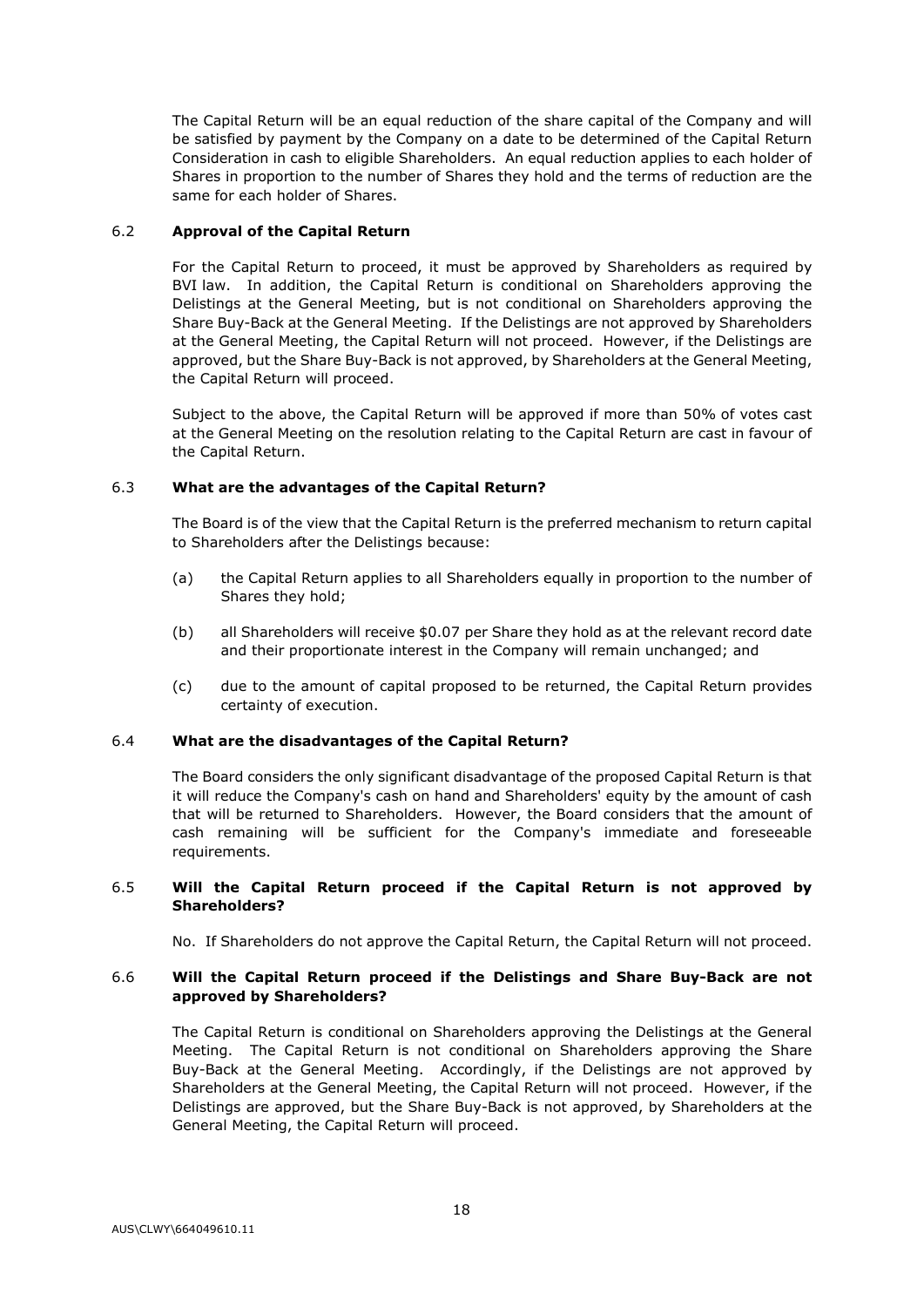The Capital Return will be an equal reduction of the share capital of the Company and will be satisfied by payment by the Company on a date to be determined of the Capital Return Consideration in cash to eligible Shareholders. An equal reduction applies to each holder of Shares in proportion to the number of Shares they hold and the terms of reduction are the same for each holder of Shares.

# 6.2 **Approval of the Capital Return**

For the Capital Return to proceed, it must be approved by Shareholders as required by BVI law. In addition, the Capital Return is conditional on Shareholders approving the Delistings at the General Meeting, but is not conditional on Shareholders approving the Share Buy-Back at the General Meeting. If the Delistings are not approved by Shareholders at the General Meeting, the Capital Return will not proceed. However, if the Delistings are approved, but the Share Buy-Back is not approved, by Shareholders at the General Meeting, the Capital Return will proceed.

Subject to the above, the Capital Return will be approved if more than 50% of votes cast at the General Meeting on the resolution relating to the Capital Return are cast in favour of the Capital Return.

# 6.3 **What are the advantages of the Capital Return?**

The Board is of the view that the Capital Return is the preferred mechanism to return capital to Shareholders after the Delistings because:

- (a) the Capital Return applies to all Shareholders equally in proportion to the number of Shares they hold;
- (b) all Shareholders will receive \$0.07 per Share they hold as at the relevant record date and their proportionate interest in the Company will remain unchanged; and
- (c) due to the amount of capital proposed to be returned, the Capital Return provides certainty of execution.

# 6.4 **What are the disadvantages of the Capital Return?**

The Board considers the only significant disadvantage of the proposed Capital Return is that it will reduce the Company's cash on hand and Shareholders' equity by the amount of cash that will be returned to Shareholders. However, the Board considers that the amount of cash remaining will be sufficient for the Company's immediate and foreseeable requirements.

# 6.5 **Will the Capital Return proceed if the Capital Return is not approved by Shareholders?**

No. If Shareholders do not approve the Capital Return, the Capital Return will not proceed.

# 6.6 **Will the Capital Return proceed if the Delistings and Share Buy-Back are not approved by Shareholders?**

The Capital Return is conditional on Shareholders approving the Delistings at the General Meeting. The Capital Return is not conditional on Shareholders approving the Share Buy-Back at the General Meeting. Accordingly, if the Delistings are not approved by Shareholders at the General Meeting, the Capital Return will not proceed. However, if the Delistings are approved, but the Share Buy-Back is not approved, by Shareholders at the General Meeting, the Capital Return will proceed.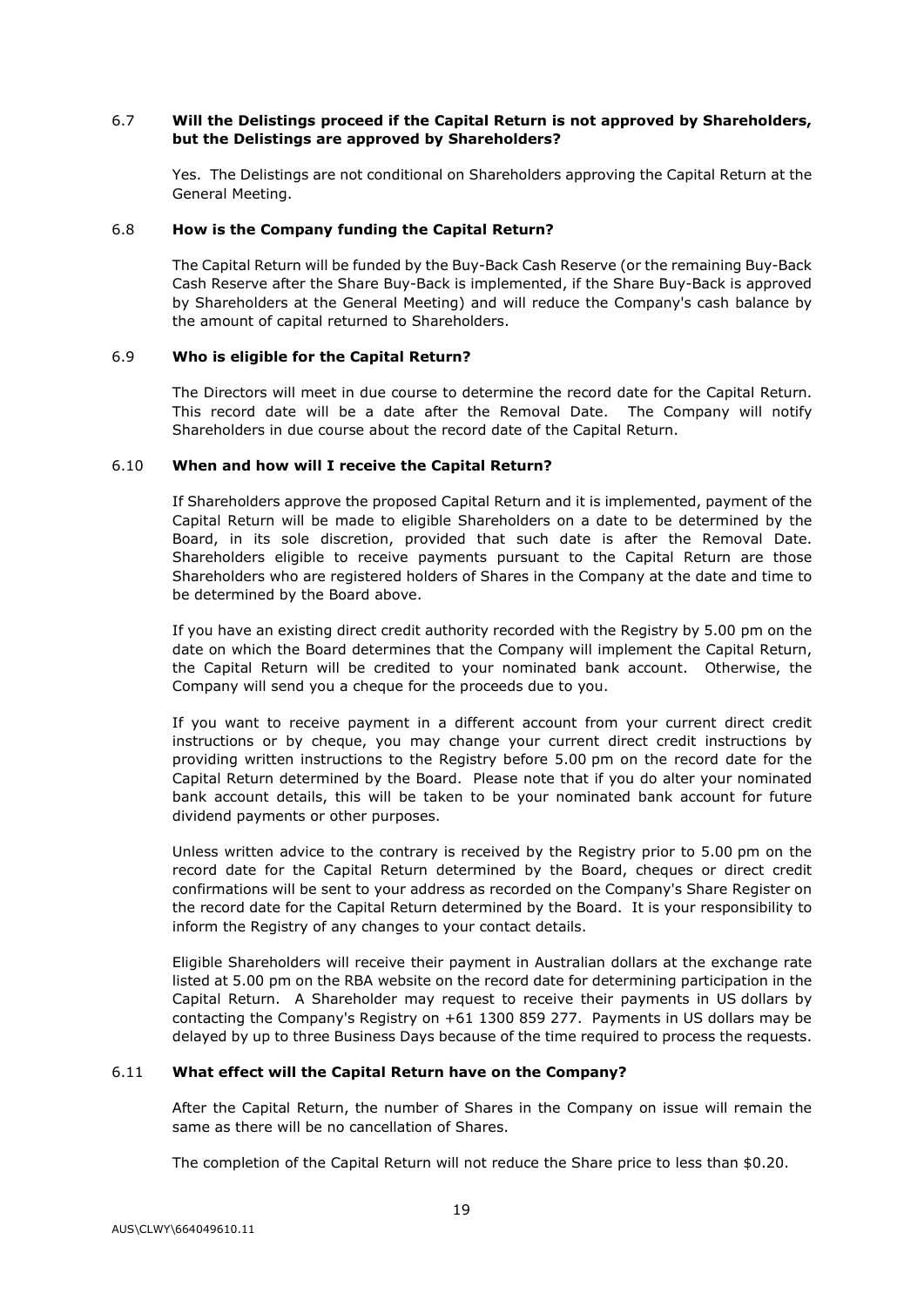# 6.7 **Will the Delistings proceed if the Capital Return is not approved by Shareholders, but the Delistings are approved by Shareholders?**

Yes. The Delistings are not conditional on Shareholders approving the Capital Return at the General Meeting.

#### 6.8 **How is the Company funding the Capital Return?**

The Capital Return will be funded by the Buy-Back Cash Reserve (or the remaining Buy-Back Cash Reserve after the Share Buy-Back is implemented, if the Share Buy-Back is approved by Shareholders at the General Meeting) and will reduce the Company's cash balance by the amount of capital returned to Shareholders.

#### 6.9 **Who is eligible for the Capital Return?**

The Directors will meet in due course to determine the record date for the Capital Return. This record date will be a date after the Removal Date. The Company will notify Shareholders in due course about the record date of the Capital Return.

#### 6.10 **When and how will I receive the Capital Return?**

If Shareholders approve the proposed Capital Return and it is implemented, payment of the Capital Return will be made to eligible Shareholders on a date to be determined by the Board, in its sole discretion, provided that such date is after the Removal Date. Shareholders eligible to receive payments pursuant to the Capital Return are those Shareholders who are registered holders of Shares in the Company at the date and time to be determined by the Board above.

If you have an existing direct credit authority recorded with the Registry by 5.00 pm on the date on which the Board determines that the Company will implement the Capital Return, the Capital Return will be credited to your nominated bank account. Otherwise, the Company will send you a cheque for the proceeds due to you.

If you want to receive payment in a different account from your current direct credit instructions or by cheque, you may change your current direct credit instructions by providing written instructions to the Registry before 5.00 pm on the record date for the Capital Return determined by the Board. Please note that if you do alter your nominated bank account details, this will be taken to be your nominated bank account for future dividend payments or other purposes.

Unless written advice to the contrary is received by the Registry prior to 5.00 pm on the record date for the Capital Return determined by the Board, cheques or direct credit confirmations will be sent to your address as recorded on the Company's Share Register on the record date for the Capital Return determined by the Board. It is your responsibility to inform the Registry of any changes to your contact details.

Eligible Shareholders will receive their payment in Australian dollars at the exchange rate listed at 5.00 pm on the RBA website on the record date for determining participation in the Capital Return. A Shareholder may request to receive their payments in US dollars by contacting the Company's Registry on +61 1300 859 277. Payments in US dollars may be delayed by up to three Business Days because of the time required to process the requests.

# 6.11 **What effect will the Capital Return have on the Company?**

After the Capital Return, the number of Shares in the Company on issue will remain the same as there will be no cancellation of Shares.

The completion of the Capital Return will not reduce the Share price to less than \$0.20.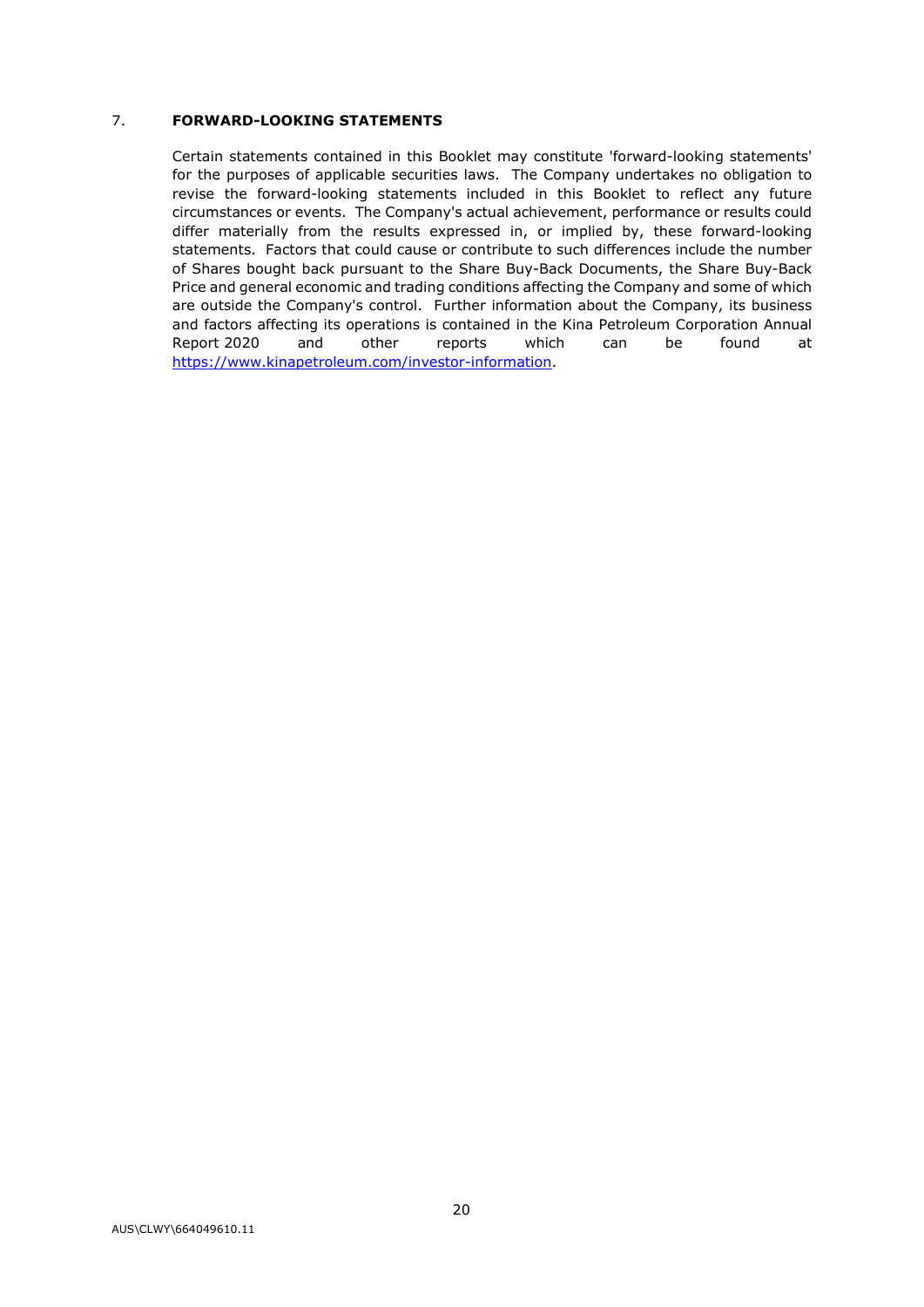# 7. **FORWARD-LOOKING STATEMENTS**

Certain statements contained in this Booklet may constitute 'forward-looking statements' for the purposes of applicable securities laws. The Company undertakes no obligation to revise the forward-looking statements included in this Booklet to reflect any future circumstances or events. The Company's actual achievement, performance or results could differ materially from the results expressed in, or implied by, these forward-looking statements. Factors that could cause or contribute to such differences include the number of Shares bought back pursuant to the Share Buy-Back Documents, the Share Buy-Back Price and general economic and trading conditions affecting the Company and some of which are outside the Company's control. Further information about the Company, its business and factors affecting its operations is contained in the Kina Petroleum Corporation Annual Report 2020 and other reports which can be found at [https://www.kinapetroleum.com/investor-information.](https://www.kinapetroleum.com/investorinformation)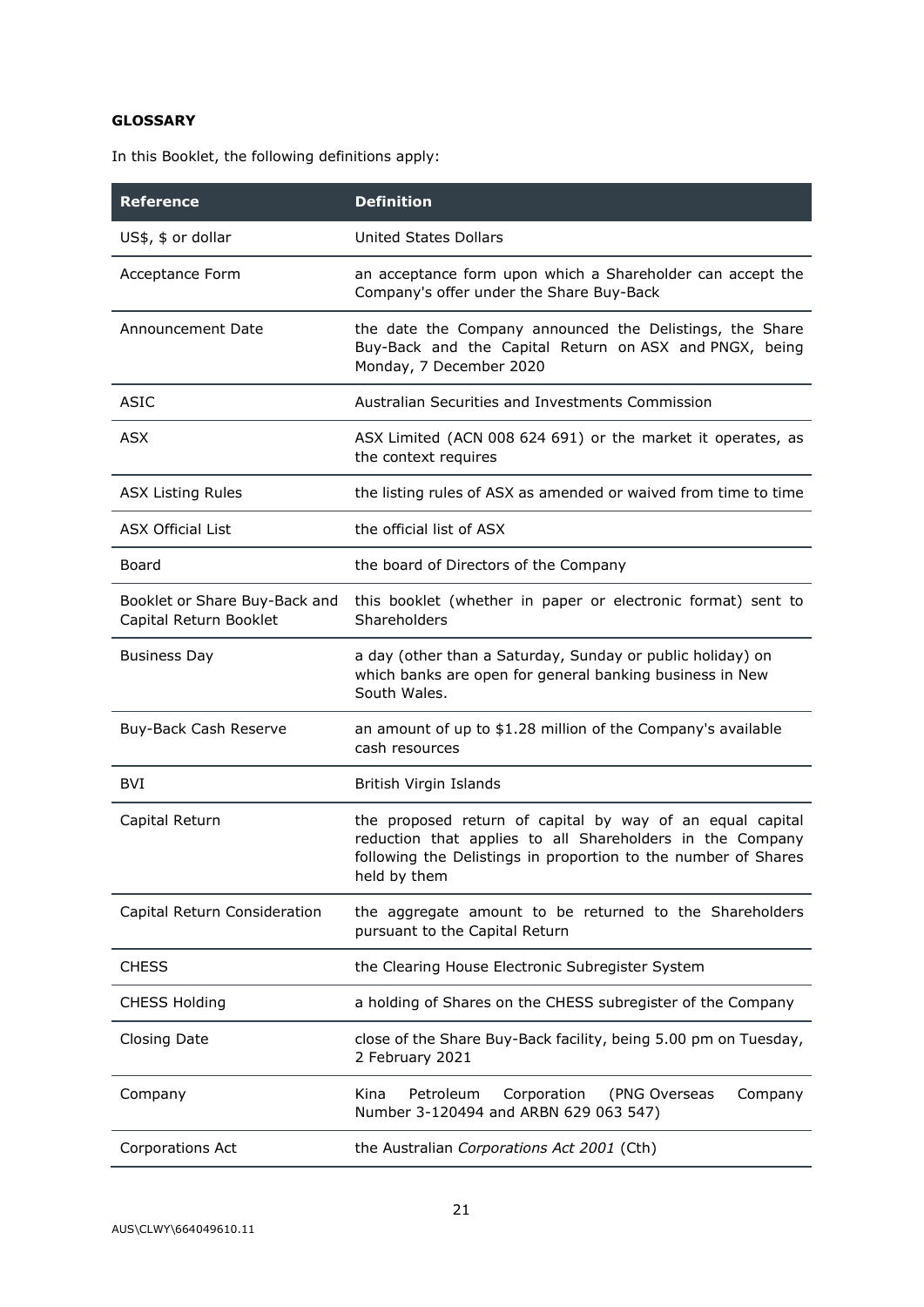# **GLOSSARY**

In this Booklet, the following definitions apply:

| <b>Reference</b>                                        | <b>Definition</b>                                                                                                                                                                                        |  |
|---------------------------------------------------------|----------------------------------------------------------------------------------------------------------------------------------------------------------------------------------------------------------|--|
| US\$, \$ or dollar                                      | <b>United States Dollars</b>                                                                                                                                                                             |  |
| Acceptance Form                                         | an acceptance form upon which a Shareholder can accept the<br>Company's offer under the Share Buy-Back                                                                                                   |  |
| Announcement Date                                       | the date the Company announced the Delistings, the Share<br>Buy-Back and the Capital Return on ASX and PNGX, being<br>Monday, 7 December 2020                                                            |  |
| <b>ASIC</b>                                             | Australian Securities and Investments Commission                                                                                                                                                         |  |
| <b>ASX</b>                                              | ASX Limited (ACN 008 624 691) or the market it operates, as<br>the context requires                                                                                                                      |  |
| <b>ASX Listing Rules</b>                                | the listing rules of ASX as amended or waived from time to time                                                                                                                                          |  |
| <b>ASX Official List</b>                                | the official list of ASX                                                                                                                                                                                 |  |
| Board                                                   | the board of Directors of the Company                                                                                                                                                                    |  |
| Booklet or Share Buy-Back and<br>Capital Return Booklet | this booklet (whether in paper or electronic format) sent to<br>Shareholders                                                                                                                             |  |
| <b>Business Day</b>                                     | a day (other than a Saturday, Sunday or public holiday) on<br>which banks are open for general banking business in New<br>South Wales.                                                                   |  |
| Buy-Back Cash Reserve                                   | an amount of up to \$1.28 million of the Company's available<br>cash resources                                                                                                                           |  |
| <b>BVI</b>                                              | British Virgin Islands                                                                                                                                                                                   |  |
| Capital Return                                          | the proposed return of capital by way of an equal capital<br>reduction that applies to all Shareholders in the Company<br>following the Delistings in proportion to the number of Shares<br>held by them |  |
| Capital Return Consideration                            | the aggregate amount to be returned to the Shareholders<br>pursuant to the Capital Return                                                                                                                |  |
| <b>CHESS</b>                                            | the Clearing House Electronic Subregister System                                                                                                                                                         |  |
| <b>CHESS Holding</b>                                    | a holding of Shares on the CHESS subregister of the Company                                                                                                                                              |  |
| <b>Closing Date</b>                                     | close of the Share Buy-Back facility, being 5.00 pm on Tuesday,<br>2 February 2021                                                                                                                       |  |
| Company                                                 | Petroleum<br>Corporation<br>Company<br>Kina<br>(PNG Overseas<br>Number 3-120494 and ARBN 629 063 547)                                                                                                    |  |
| Corporations Act                                        | the Australian Corporations Act 2001 (Cth)                                                                                                                                                               |  |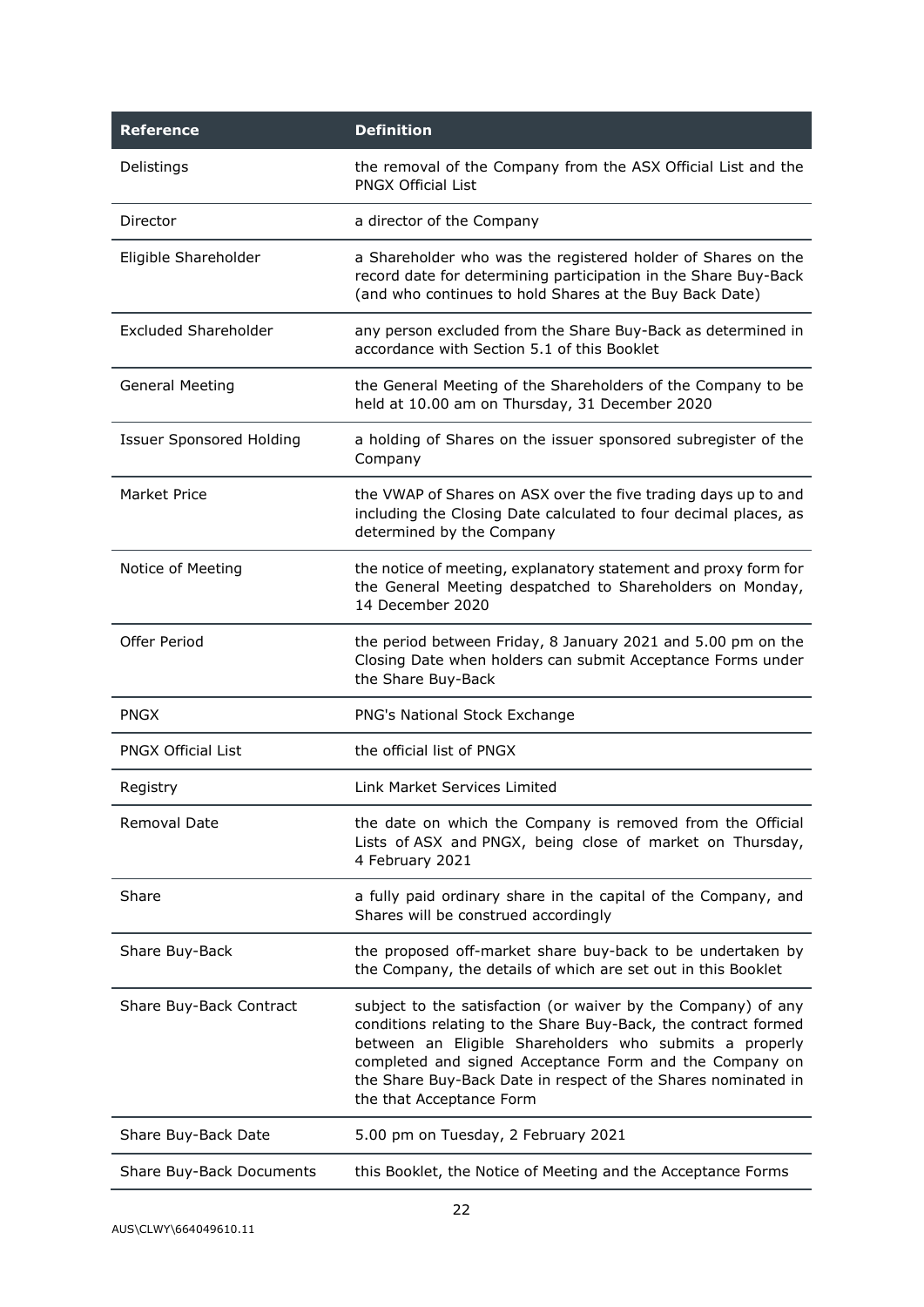| <b>Reference</b>                | <b>Definition</b>                                                                                                                                                                                                                                                                                                                                  |
|---------------------------------|----------------------------------------------------------------------------------------------------------------------------------------------------------------------------------------------------------------------------------------------------------------------------------------------------------------------------------------------------|
| Delistings                      | the removal of the Company from the ASX Official List and the<br><b>PNGX Official List</b>                                                                                                                                                                                                                                                         |
| Director                        | a director of the Company                                                                                                                                                                                                                                                                                                                          |
| Eligible Shareholder            | a Shareholder who was the registered holder of Shares on the<br>record date for determining participation in the Share Buy-Back<br>(and who continues to hold Shares at the Buy Back Date)                                                                                                                                                         |
| Excluded Shareholder            | any person excluded from the Share Buy-Back as determined in<br>accordance with Section 5.1 of this Booklet                                                                                                                                                                                                                                        |
| <b>General Meeting</b>          | the General Meeting of the Shareholders of the Company to be<br>held at 10.00 am on Thursday, 31 December 2020                                                                                                                                                                                                                                     |
| <b>Issuer Sponsored Holding</b> | a holding of Shares on the issuer sponsored subregister of the<br>Company                                                                                                                                                                                                                                                                          |
| Market Price                    | the VWAP of Shares on ASX over the five trading days up to and<br>including the Closing Date calculated to four decimal places, as<br>determined by the Company                                                                                                                                                                                    |
| Notice of Meeting               | the notice of meeting, explanatory statement and proxy form for<br>the General Meeting despatched to Shareholders on Monday,<br>14 December 2020                                                                                                                                                                                                   |
| Offer Period                    | the period between Friday, 8 January 2021 and 5.00 pm on the<br>Closing Date when holders can submit Acceptance Forms under<br>the Share Buy-Back                                                                                                                                                                                                  |
| <b>PNGX</b>                     | PNG's National Stock Exchange                                                                                                                                                                                                                                                                                                                      |
| <b>PNGX Official List</b>       | the official list of PNGX                                                                                                                                                                                                                                                                                                                          |
| Registry                        | Link Market Services Limited                                                                                                                                                                                                                                                                                                                       |
| Removal Date                    | the date on which the Company is removed from the Official<br>Lists of ASX and PNGX, being close of market on Thursday,<br>4 February 2021                                                                                                                                                                                                         |
| Share                           | a fully paid ordinary share in the capital of the Company, and<br>Shares will be construed accordingly                                                                                                                                                                                                                                             |
| Share Buy-Back                  | the proposed off-market share buy-back to be undertaken by<br>the Company, the details of which are set out in this Booklet                                                                                                                                                                                                                        |
| Share Buy-Back Contract         | subject to the satisfaction (or waiver by the Company) of any<br>conditions relating to the Share Buy-Back, the contract formed<br>between an Eligible Shareholders who submits a properly<br>completed and signed Acceptance Form and the Company on<br>the Share Buy-Back Date in respect of the Shares nominated in<br>the that Acceptance Form |
| Share Buy-Back Date             | 5.00 pm on Tuesday, 2 February 2021                                                                                                                                                                                                                                                                                                                |
| Share Buy-Back Documents        | this Booklet, the Notice of Meeting and the Acceptance Forms                                                                                                                                                                                                                                                                                       |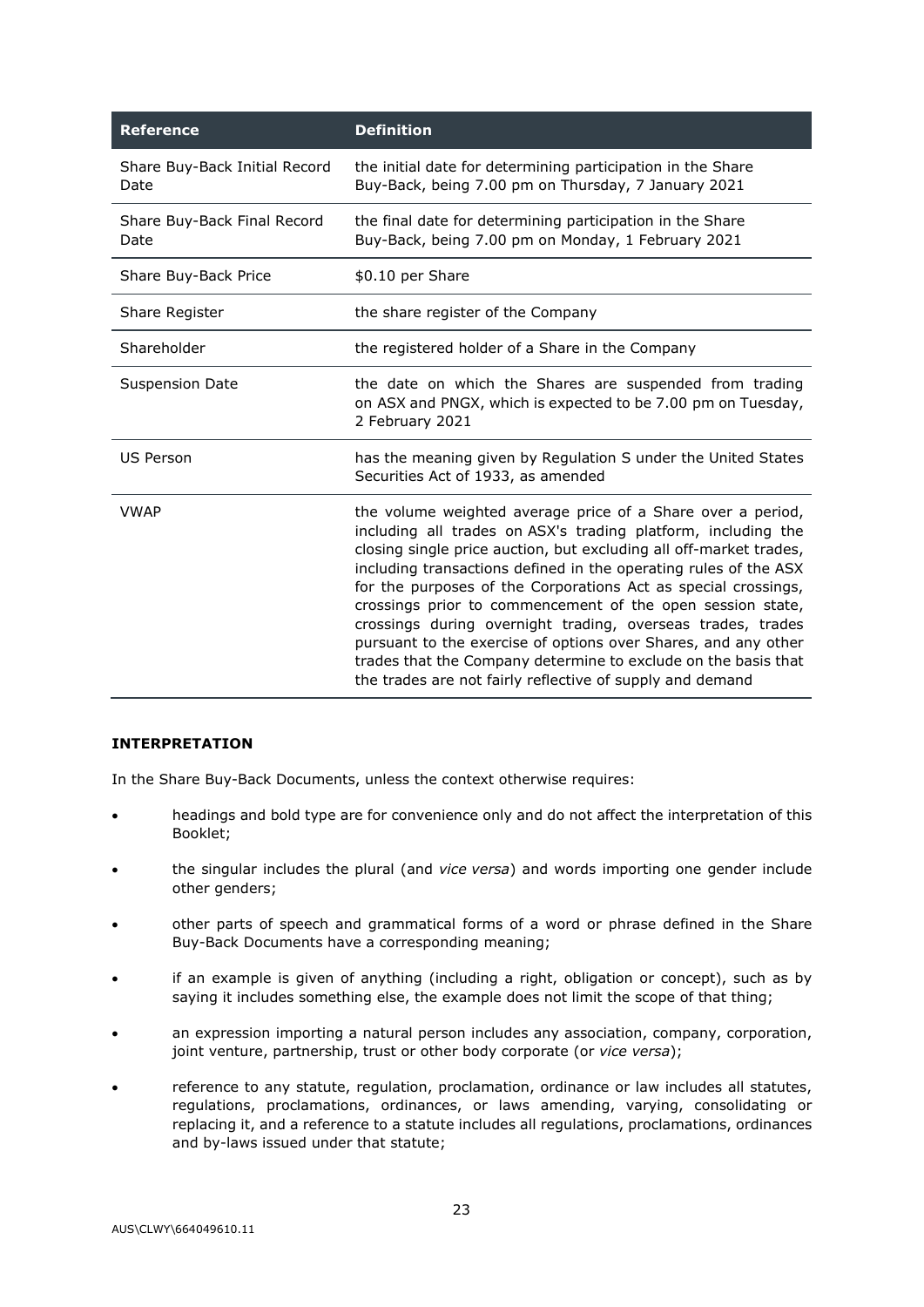| <b>Reference</b>                      | <b>Definition</b>                                                                                                                                                                                                                                                                                                                                                                                                                                                                                                                                                                                                                                                      |  |
|---------------------------------------|------------------------------------------------------------------------------------------------------------------------------------------------------------------------------------------------------------------------------------------------------------------------------------------------------------------------------------------------------------------------------------------------------------------------------------------------------------------------------------------------------------------------------------------------------------------------------------------------------------------------------------------------------------------------|--|
| Share Buy-Back Initial Record<br>Date | the initial date for determining participation in the Share<br>Buy-Back, being 7.00 pm on Thursday, 7 January 2021                                                                                                                                                                                                                                                                                                                                                                                                                                                                                                                                                     |  |
| Share Buy-Back Final Record<br>Date   | the final date for determining participation in the Share<br>Buy-Back, being 7.00 pm on Monday, 1 February 2021                                                                                                                                                                                                                                                                                                                                                                                                                                                                                                                                                        |  |
| Share Buy-Back Price                  | \$0.10 per Share                                                                                                                                                                                                                                                                                                                                                                                                                                                                                                                                                                                                                                                       |  |
| Share Register                        | the share register of the Company                                                                                                                                                                                                                                                                                                                                                                                                                                                                                                                                                                                                                                      |  |
| Shareholder                           | the registered holder of a Share in the Company                                                                                                                                                                                                                                                                                                                                                                                                                                                                                                                                                                                                                        |  |
| <b>Suspension Date</b>                | the date on which the Shares are suspended from trading<br>on ASX and PNGX, which is expected to be 7.00 pm on Tuesday,<br>2 February 2021                                                                                                                                                                                                                                                                                                                                                                                                                                                                                                                             |  |
| <b>US Person</b>                      | has the meaning given by Regulation S under the United States<br>Securities Act of 1933, as amended                                                                                                                                                                                                                                                                                                                                                                                                                                                                                                                                                                    |  |
| <b>VWAP</b>                           | the volume weighted average price of a Share over a period,<br>including all trades on ASX's trading platform, including the<br>closing single price auction, but excluding all off-market trades,<br>including transactions defined in the operating rules of the ASX<br>for the purposes of the Corporations Act as special crossings,<br>crossings prior to commencement of the open session state,<br>crossings during overnight trading, overseas trades, trades<br>pursuant to the exercise of options over Shares, and any other<br>trades that the Company determine to exclude on the basis that<br>the trades are not fairly reflective of supply and demand |  |

# **INTERPRETATION**

In the Share Buy-Back Documents, unless the context otherwise requires:

- headings and bold type are for convenience only and do not affect the interpretation of this Booklet;
- the singular includes the plural (and *vice versa*) and words importing one gender include other genders;
- other parts of speech and grammatical forms of a word or phrase defined in the Share Buy-Back Documents have a corresponding meaning;
- if an example is given of anything (including a right, obligation or concept), such as by saying it includes something else, the example does not limit the scope of that thing;
- an expression importing a natural person includes any association, company, corporation, joint venture, partnership, trust or other body corporate (or *vice versa*);
- reference to any statute, regulation, proclamation, ordinance or law includes all statutes, regulations, proclamations, ordinances, or laws amending, varying, consolidating or replacing it, and a reference to a statute includes all regulations, proclamations, ordinances and by-laws issued under that statute;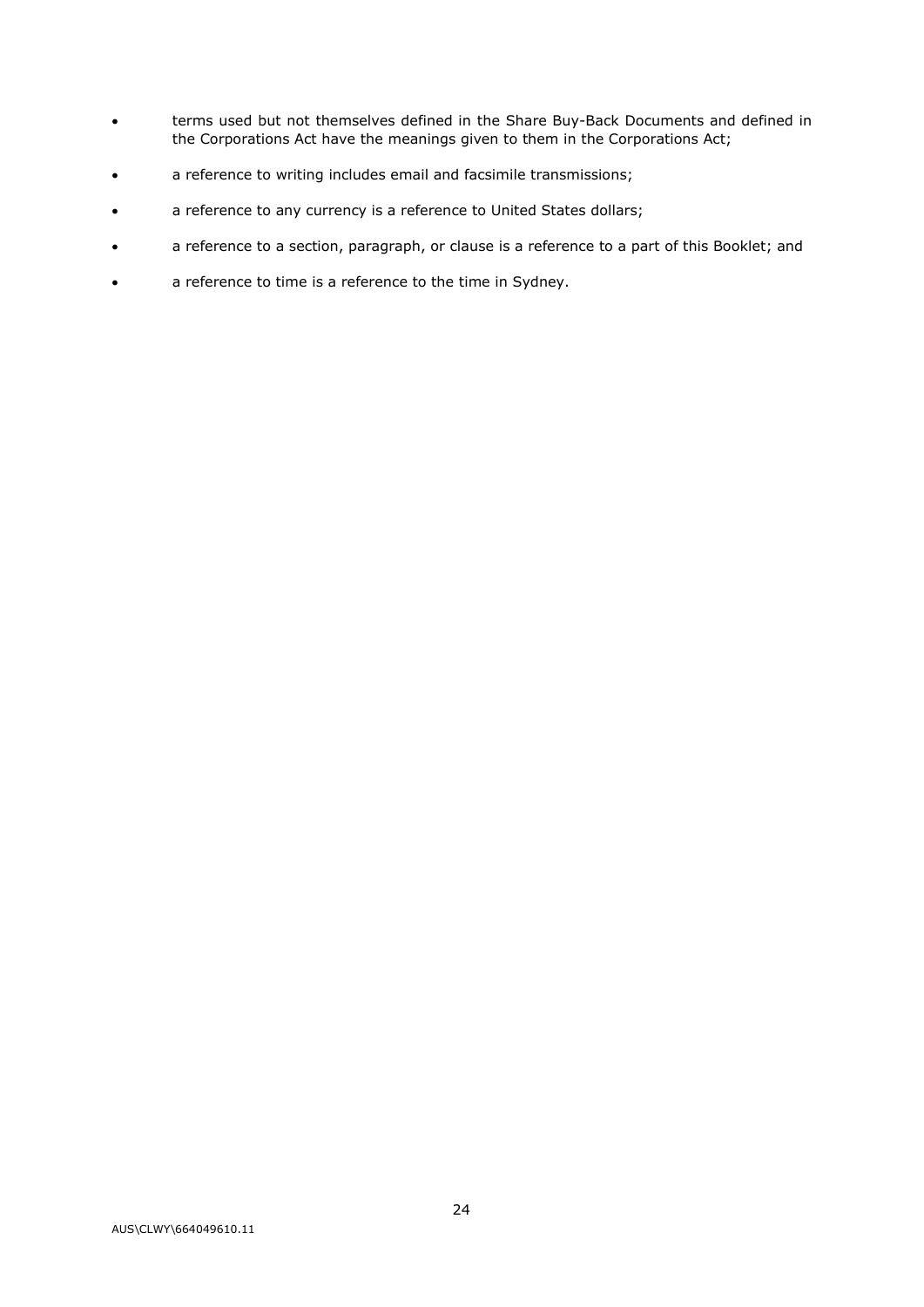- terms used but not themselves defined in the Share Buy-Back Documents and defined in the Corporations Act have the meanings given to them in the Corporations Act;
- a reference to writing includes email and facsimile transmissions;
- a reference to any currency is a reference to United States dollars;
- a reference to a section, paragraph, or clause is a reference to a part of this Booklet; and
- a reference to time is a reference to the time in Sydney.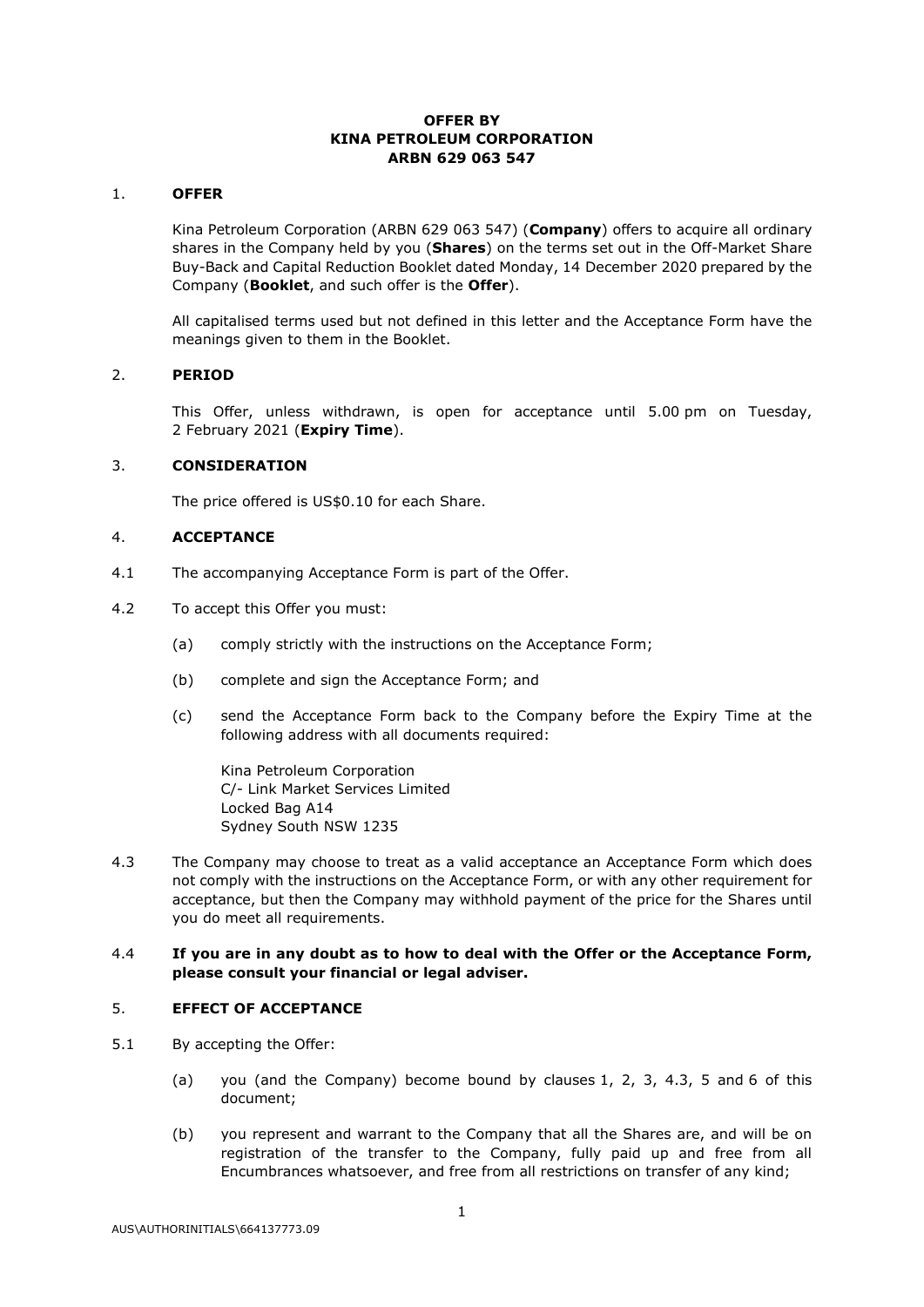# **OFFER BY KINA PETROLEUM CORPORATION ARBN 629 063 547**

#### <span id="page-48-0"></span>1. **OFFER**

Kina Petroleum Corporation (ARBN 629 063 547) (**Company**) offers to acquire all ordinary shares in the Company held by you (**Shares**) on the terms set out in the Off-Market Share Buy-Back and Capital Reduction Booklet dated Monday, 14 December 2020 prepared by the Company (**Booklet**, and such offer is the **Offer**).

All capitalised terms used but not defined in this letter and the Acceptance Form have the meanings given to them in the Booklet.

#### <span id="page-48-1"></span>2. **PERIOD**

This Offer, unless withdrawn, is open for acceptance until 5.00 pm on Tuesday, 2 February 2021 (**Expiry Time**).

#### <span id="page-48-2"></span>3. **CONSIDERATION**

The price offered is US\$0.10 for each Share.

# 4. **ACCEPTANCE**

- 4.1 The accompanying Acceptance Form is part of the Offer.
- 4.2 To accept this Offer you must:
	- (a) comply strictly with the instructions on the Acceptance Form;
	- (b) complete and sign the Acceptance Form; and
	- (c) send the Acceptance Form back to the Company before the Expiry Time at the following address with all documents required:

Kina Petroleum Corporation C/- Link Market Services Limited Locked Bag A14 Sydney South NSW 1235

<span id="page-48-3"></span>4.3 The Company may choose to treat as a valid acceptance an Acceptance Form which does not comply with the instructions on the Acceptance Form, or with any other requirement for acceptance, but then the Company may withhold payment of the price for the Shares until you do meet all requirements.

#### 4.4 **If you are in any doubt as to how to deal with the Offer or the Acceptance Form, please consult your financial or legal adviser.**

#### <span id="page-48-4"></span>5. **EFFECT OF ACCEPTANCE**

- 5.1 By accepting the Offer:
	- (a) you (and the Company) become bound by clauses [1,](#page-48-0) [2,](#page-48-1) [3,](#page-48-2) [4.3,](#page-48-3) [5](#page-48-4) and [6](#page-49-0) of this document;
	- (b) you represent and warrant to the Company that all the Shares are, and will be on registration of the transfer to the Company, fully paid up and free from all Encumbrances whatsoever, and free from all restrictions on transfer of any kind;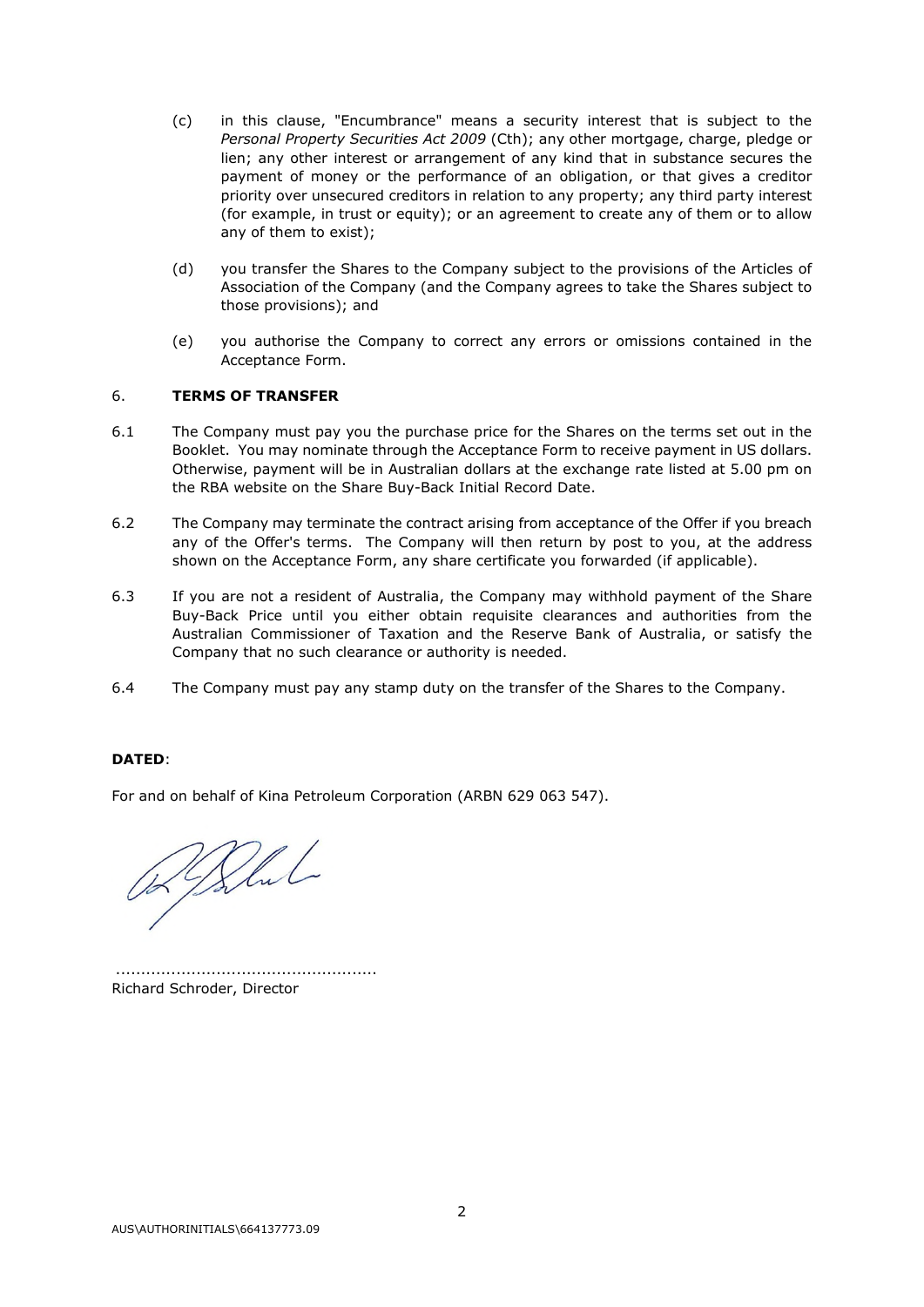- (c) in this clause, "Encumbrance" means a security interest that is subject to the *Personal Property Securities Act 2009* (Cth); any other mortgage, charge, pledge or lien; any other interest or arrangement of any kind that in substance secures the payment of money or the performance of an obligation, or that gives a creditor priority over unsecured creditors in relation to any property; any third party interest (for example, in trust or equity); or an agreement to create any of them or to allow any of them to exist);
- (d) you transfer the Shares to the Company subject to the provisions of the Articles of Association of the Company (and the Company agrees to take the Shares subject to those provisions); and
- (e) you authorise the Company to correct any errors or omissions contained in the Acceptance Form.

# <span id="page-49-0"></span>6. **TERMS OF TRANSFER**

- 6.1 The Company must pay you the purchase price for the Shares on the terms set out in the Booklet. You may nominate through the Acceptance Form to receive payment in US dollars. Otherwise, payment will be in Australian dollars at the exchange rate listed at 5.00 pm on the RBA website on the Share Buy-Back Initial Record Date.
- 6.2 The Company may terminate the contract arising from acceptance of the Offer if you breach any of the Offer's terms. The Company will then return by post to you, at the address shown on the Acceptance Form, any share certificate you forwarded (if applicable).
- 6.3 If you are not a resident of Australia, the Company may withhold payment of the Share Buy-Back Price until you either obtain requisite clearances and authorities from the Australian Commissioner of Taxation and the Reserve Bank of Australia, or satisfy the Company that no such clearance or authority is needed.
- 6.4 The Company must pay any stamp duty on the transfer of the Shares to the Company.

# **DATED**:

For and on behalf of Kina Petroleum Corporation (ARBN 629 063 547).

Referent

 .................................................... Richard Schroder, Director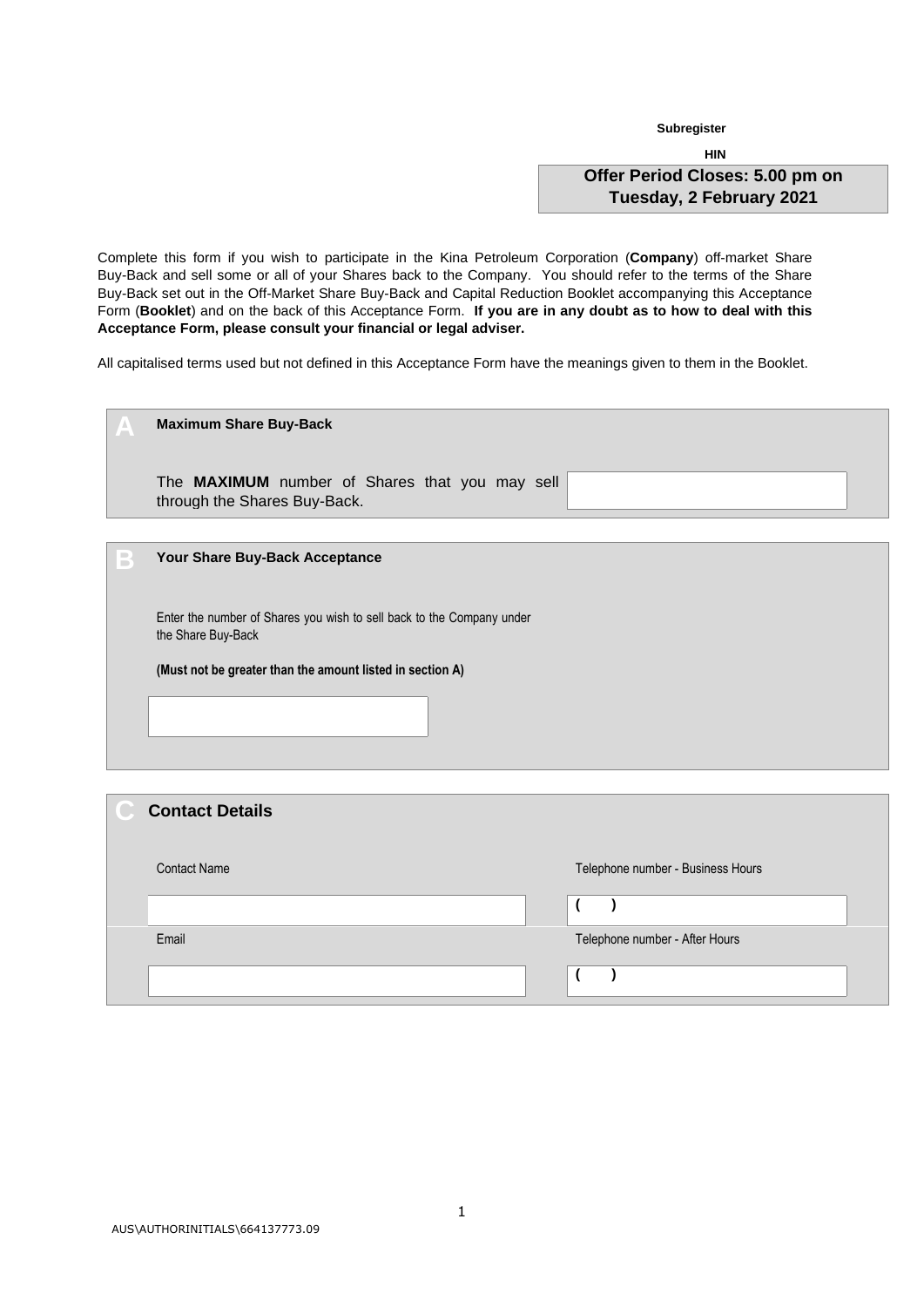**Subregister** 

**HIN Offer Period Closes: 5.00 pm on Tuesday, 2 February 2021** 

Complete this form if you wish to participate in the Kina Petroleum Corporation (**Company**) off-market Share Buy-Back and sell some or all of your Shares back to the Company. You should refer to the terms of the Share Buy-Back set out in the Off-Market Share Buy-Back and Capital Reduction Booklet accompanying this Acceptance Form (**Booklet**) and on the back of this Acceptance Form. **If you are in any doubt as to how to deal with this Acceptance Form, please consult your financial or legal adviser.**

All capitalised terms used but not defined in this Acceptance Form have the meanings given to them in the Booklet.

| A | <b>Maximum Share Buy-Back</b>                                                               |
|---|---------------------------------------------------------------------------------------------|
|   |                                                                                             |
|   | The MAXIMUM number of Shares that you may sell<br>through the Shares Buy-Back.              |
|   |                                                                                             |
| B | Your Share Buy-Back Acceptance                                                              |
|   |                                                                                             |
|   | Enter the number of Shares you wish to sell back to the Company under<br>the Share Buy-Back |
|   | (Must not be greater than the amount listed in section A)                                   |
|   |                                                                                             |
|   |                                                                                             |
|   |                                                                                             |

| <b>Contact Details</b> |                                   |
|------------------------|-----------------------------------|
| <b>Contact Name</b>    | Telephone number - Business Hours |
|                        |                                   |
| Email                  | Telephone number - After Hours    |
|                        |                                   |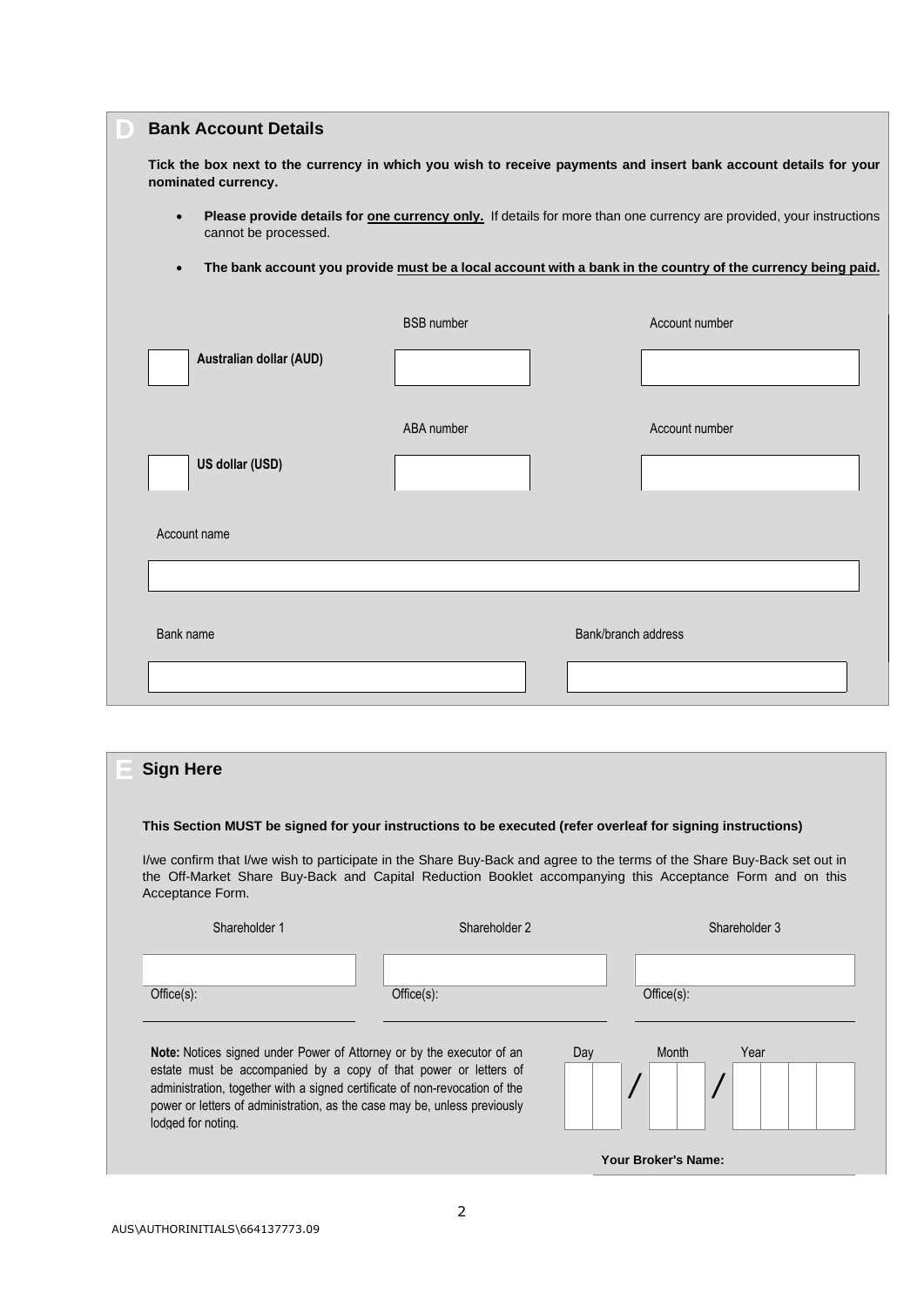| <b>Bank Account Details</b>                                                                                                                                      |                   |                     |
|------------------------------------------------------------------------------------------------------------------------------------------------------------------|-------------------|---------------------|
| Tick the box next to the currency in which you wish to receive payments and insert bank account details for your<br>nominated currency.                          |                   |                     |
| Please provide details for <b>one currency only</b> . If details for more than one currency are provided, your instructions<br>$\bullet$<br>cannot be processed. |                   |                     |
| The bank account you provide must be a local account with a bank in the country of the currency being paid.<br>$\bullet$                                         |                   |                     |
|                                                                                                                                                                  | <b>BSB</b> number | Account number      |
| Australian dollar (AUD)                                                                                                                                          |                   |                     |
|                                                                                                                                                                  | ABA number        | Account number      |
| US dollar (USD)                                                                                                                                                  |                   |                     |
| Account name                                                                                                                                                     |                   |                     |
|                                                                                                                                                                  |                   |                     |
| Bank name                                                                                                                                                        |                   | Bank/branch address |
|                                                                                                                                                                  |                   |                     |

| <b>Sign Here</b>                                                                                                                                                                                                                                                                                                                   |                                                                                                                                                                                                                                       |                     |
|------------------------------------------------------------------------------------------------------------------------------------------------------------------------------------------------------------------------------------------------------------------------------------------------------------------------------------|---------------------------------------------------------------------------------------------------------------------------------------------------------------------------------------------------------------------------------------|---------------------|
|                                                                                                                                                                                                                                                                                                                                    | This Section MUST be signed for your instructions to be executed (refer overleaf for signing instructions)                                                                                                                            |                     |
| Acceptance Form.                                                                                                                                                                                                                                                                                                                   | I/we confirm that I/we wish to participate in the Share Buy-Back and agree to the terms of the Share Buy-Back set out in<br>the Off-Market Share Buy-Back and Capital Reduction Booklet accompanying this Acceptance Form and on this |                     |
| Shareholder 1                                                                                                                                                                                                                                                                                                                      | Shareholder 2                                                                                                                                                                                                                         | Shareholder 3       |
|                                                                                                                                                                                                                                                                                                                                    |                                                                                                                                                                                                                                       |                     |
| Office(s):                                                                                                                                                                                                                                                                                                                         | Office(s):                                                                                                                                                                                                                            | Office(s):          |
| <b>Note:</b> Notices signed under Power of Attorney or by the executor of an<br>estate must be accompanied by a copy of that power or letters of<br>administration, together with a signed certificate of non-revocation of the<br>power or letters of administration, as the case may be, unless previously<br>lodged for noting. | Day                                                                                                                                                                                                                                   | Month<br>Year       |
|                                                                                                                                                                                                                                                                                                                                    |                                                                                                                                                                                                                                       | Your Broker's Name: |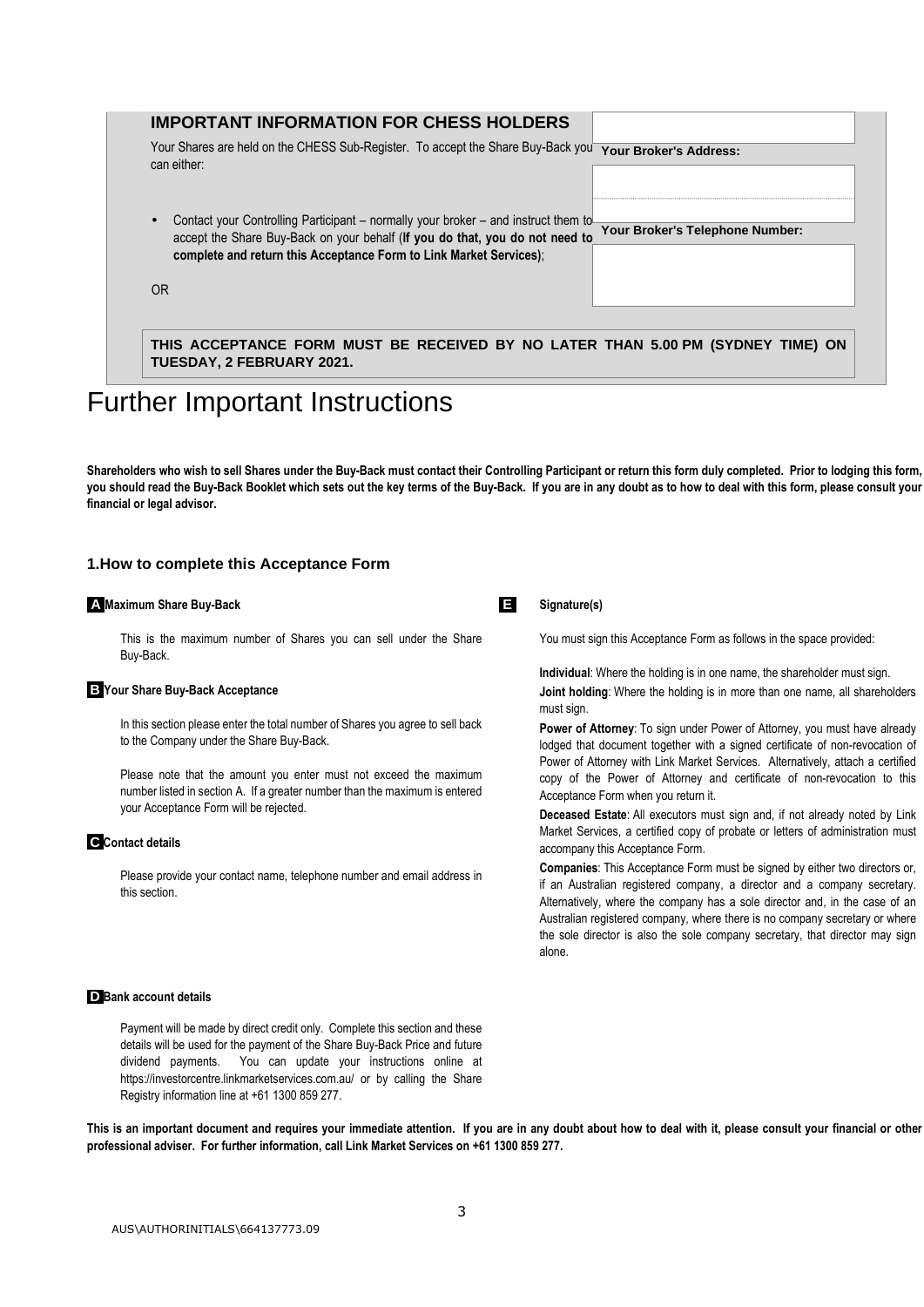|           | <b>IMPORTANT INFORMATION FOR CHESS HOLDERS</b>                                                                                                                                                                                           |                                 |
|-----------|------------------------------------------------------------------------------------------------------------------------------------------------------------------------------------------------------------------------------------------|---------------------------------|
|           | Your Shares are held on the CHESS Sub-Register. To accept the Share Buy-Back you<br>can either:                                                                                                                                          | <b>Your Broker's Address:</b>   |
|           | Contact your Controlling Participant – normally your broker – and instruct them to<br>accept the Share Buy-Back on your behalf (If you do that, you do not need to<br>complete and return this Acceptance Form to Link Market Services); | Your Broker's Telephone Number: |
| <b>OR</b> |                                                                                                                                                                                                                                          |                                 |

# Further Important Instructions

Shareholders who wish to sell Shares under the Buy-Back must contact their Controlling Participant or return this form duly completed. Prior to lodging this form, **you should read the Buy-Back Booklet which sets out the key terms of the Buy-Back. If you are in any doubt as to how to deal with this form, please consult your financial or legal advisor.** 

# **1.How to complete this Acceptance Form**

#### **iAiMaximum Share Buy-Back**

 This is the maximum number of Shares you can sell under the Share Buy-Back.

#### **iBiYour Share Buy-Back Acceptance**

 In this section please enter the total number of Shares you agree to sell back to the Company under the Share Buy-Back.

 Please note that the amount you enter must not exceed the maximum number listed in section A. If a greater number than the maximum is entered your Acceptance Form will be rejected.

#### **iCiContact details**

 Please provide your contact name, telephone number and email address in this section.

**iEi Signature(s)** 

# You must sign this Acceptance Form as follows in the space provided:

**Individual**: Where the holding is in one name, the shareholder must sign.

**Joint holding**: Where the holding is in more than one name, all shareholders must sign.

**Power of Attorney**: To sign under Power of Attorney, you must have already lodged that document together with a signed certificate of non-revocation of Power of Attorney with Link Market Services. Alternatively, attach a certified copy of the Power of Attorney and certificate of non-revocation to this Acceptance Form when you return it.

**Deceased Estate**: All executors must sign and, if not already noted by Link Market Services, a certified copy of probate or letters of administration must accompany this Acceptance Form.

**Companies**: This Acceptance Form must be signed by either two directors or, if an Australian registered company, a director and a company secretary. Alternatively, where the company has a sole director and, in the case of an Australian registered company, where there is no company secretary or where the sole director is also the sole company secretary, that director may sign alone.

#### **iD** Bank account details

 Payment will be made by direct credit only. Complete this section and these details will be used for the payment of the Share Buy-Back Price and future dividend payments. You can update your instructions online at https://investorcentre.linkmarketservices.com.au/ or by calling the Share Registry information line at +61 1300 859 277.

This is an important document and requires your immediate attention. If you are in any doubt about how to deal with it, please consult your financial or other **professional adviser. For further information, call Link Market Services on +61 1300 859 277.**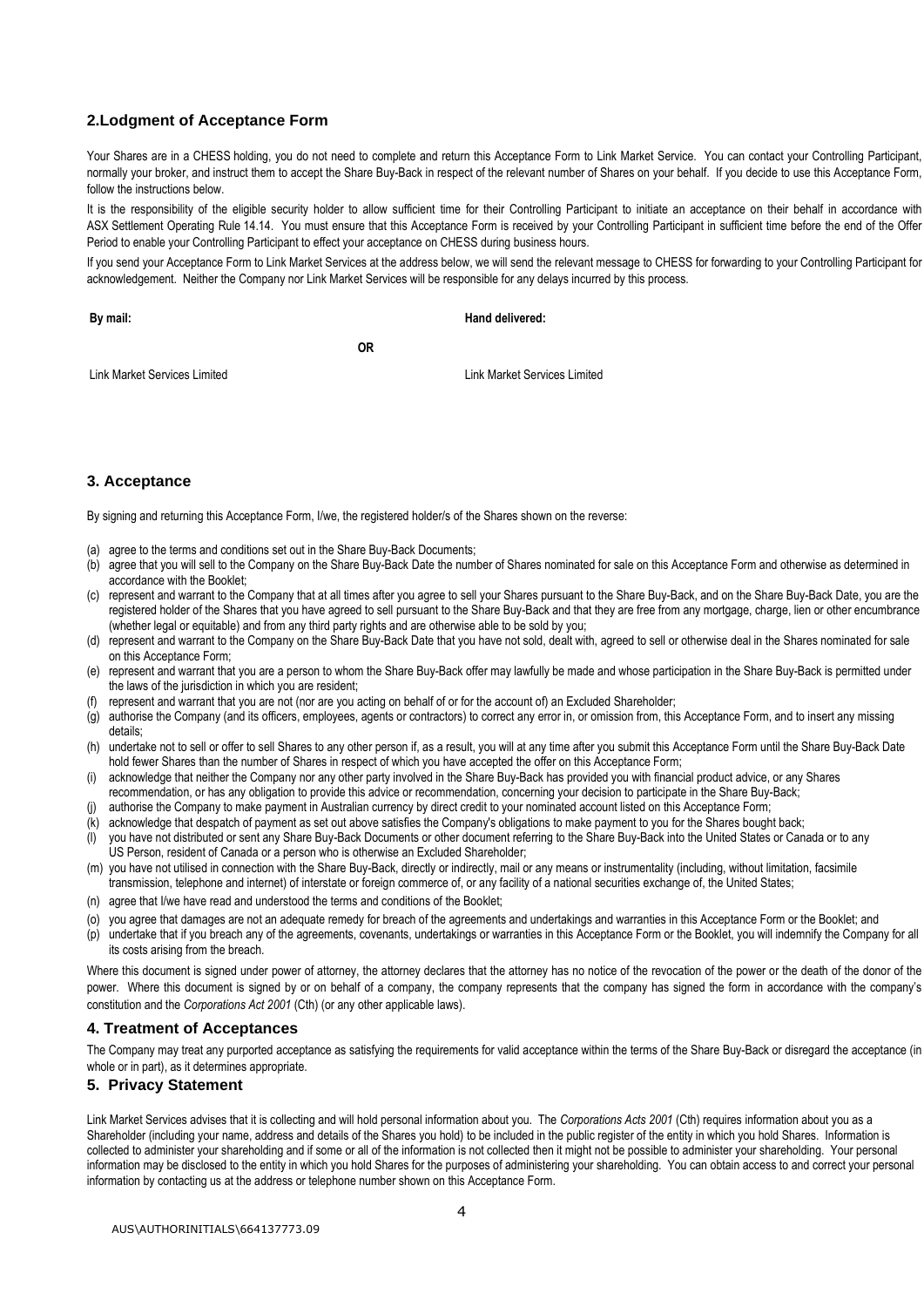# **2.Lodgment of Acceptance Form**

Your Shares are in a CHESS holding, you do not need to complete and return this Acceptance Form to Link Market Service. You can contact your Controlling Participant, normally your broker, and instruct them to accept the Share Buy-Back in respect of the relevant number of Shares on your behalf. If you decide to use this Acceptance Form, follow the instructions below.

It is the responsibility of the eligible security holder to allow sufficient time for their Controlling Participant to initiate an acceptance on their behalf in accordance with ASX Settlement Operating Rule 14.14. You must ensure that this Acceptance Form is received by your Controlling Participant in sufficient time before the end of the Offer Period to enable your Controlling Participant to effect your acceptance on CHESS during business hours.

If you send your Acceptance Form to Link Market Services at the address below, we will send the relevant message to CHESS for forwarding to your Controlling Participant for acknowledgement. Neither the Company nor Link Market Services will be responsible for any delays incurred by this process.

**Hand delivered:**

**By mail:**

**OR** 

Link Market Services Limited

Link Market Services Limited

# **3. Acceptance**

By signing and returning this Acceptance Form, I/we, the registered holder/s of the Shares shown on the reverse:

- (a) agree to the terms and conditions set out in the Share Buy-Back Documents;
- (b) agree that you will sell to the Company on the Share Buy-Back Date the number of Shares nominated for sale on this Acceptance Form and otherwise as determined in accordance with the Booklet;
- (c) represent and warrant to the Company that at all times after you agree to sell your Shares pursuant to the Share Buy-Back, and on the Share Buy-Back Date, you are the registered holder of the Shares that you have agreed to sell pursuant to the Share Buy-Back and that they are free from any mortgage, charge, lien or other encumbrance (whether legal or equitable) and from any third party rights and are otherwise able to be sold by you;
- (d) represent and warrant to the Company on the Share Buy-Back Date that you have not sold, dealt with, agreed to sell or otherwise deal in the Shares nominated for sale on this Acceptance Form;
- (e) represent and warrant that you are a person to whom the Share Buy-Back offer may lawfully be made and whose participation in the Share Buy-Back is permitted under the laws of the jurisdiction in which you are resident;
- (f) represent and warrant that you are not (nor are you acting on behalf of or for the account of) an Excluded Shareholder;
- (g) authorise the Company (and its officers, employees, agents or contractors) to correct any error in, or omission from, this Acceptance Form, and to insert any missing details;
- (h) undertake not to sell or offer to sell Shares to any other person if, as a result, you will at any time after you submit this Acceptance Form until the Share Buy-Back Date hold fewer Shares than the number of Shares in respect of which you have accepted the offer on this Acceptance Form;
- (i) acknowledge that neither the Company nor any other party involved in the Share Buy-Back has provided you with financial product advice, or any Shares
- recommendation, or has any obligation to provide this advice or recommendation, concerning your decision to participate in the Share Buy-Back;
- (j) authorise the Company to make payment in Australian currency by direct credit to your nominated account listed on this Acceptance Form;
- (k) acknowledge that despatch of payment as set out above satisfies the Company's obligations to make payment to you for the Shares bought back;
- (l) you have not distributed or sent any Share Buy-Back Documents or other document referring to the Share Buy-Back into the United States or Canada or to any US Person, resident of Canada or a person who is otherwise an Excluded Shareholder;
- (m) you have not utilised in connection with the Share Buy-Back, directly or indirectly, mail or any means or instrumentality (including, without limitation, facsimile transmission, telephone and internet) of interstate or foreign commerce of, or any facility of a national securities exchange of, the United States;
- (n) agree that I/we have read and understood the terms and conditions of the Booklet;
- (o) you agree that damages are not an adequate remedy for breach of the agreements and undertakings and warranties in this Acceptance Form or the Booklet; and
- (p) undertake that if you breach any of the agreements, covenants, undertakings or warranties in this Acceptance Form or the Booklet, you will indemnify the Company for all its costs arising from the breach.

Where this document is signed under power of attorney, the attorney declares that the attorney has no notice of the revocation of the power or the death of the donor of the power. Where this document is signed by or on behalf of a company, the company represents that the company has signed the form in accordance with the company's constitution and the *Corporations Act 2001* (Cth) (or any other applicable laws).

#### **4. Treatment of Acceptances**

The Company may treat any purported acceptance as satisfying the requirements for valid acceptance within the terms of the Share Buy-Back or disregard the acceptance (in whole or in part), as it determines appropriate.

#### **5. Privacy Statement**

Link Market Services advises that it is collecting and will hold personal information about you. The *Corporations Acts 2001* (Cth) requires information about you as a Shareholder (including your name, address and details of the Shares you hold) to be included in the public register of the entity in which you hold Shares. Information is collected to administer your shareholding and if some or all of the information is not collected then it might not be possible to administer your shareholding. Your personal information may be disclosed to the entity in which you hold Shares for the purposes of administering your shareholding. You can obtain access to and correct your personal information by contacting us at the address or telephone number shown on this Acceptance Form.